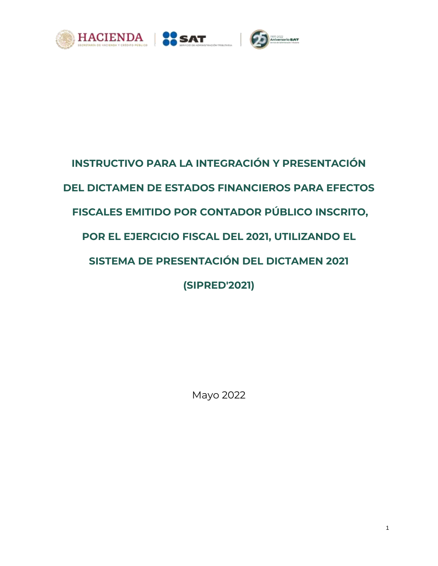





# **INSTRUCTIVO PARA LA INTEGRACIÓN Y PRESENTACIÓN DEL DICTAMEN DE ESTADOS FINANCIEROS PARA EFECTOS FISCALES EMITIDO POR CONTADOR PÚBLICO INSCRITO, POR EL EJERCICIO FISCAL DEL 2021, UTILIZANDO EL SISTEMA DE PRESENTACIÓN DEL DICTAMEN 2021 (SIPRED'2021)**

Mayo 2022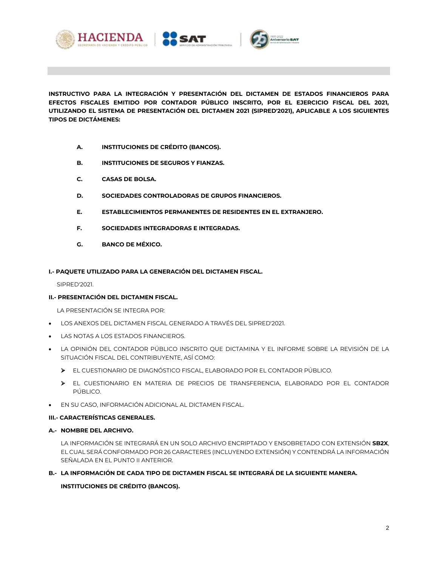



**INSTRUCTIVO PARA LA INTEGRACIÓN Y PRESENTACIÓN DEL DICTAMEN DE ESTADOS FINANCIEROS PARA EFECTOS FISCALES EMITIDO POR CONTADOR PÚBLICO INSCRITO, POR EL EJERCICIO FISCAL DEL 2021, UTILIZANDO EL SISTEMA DE PRESENTACIÓN DEL DICTAMEN 2021 (SIPRED'2021), APLICABLE A LOS SIGUIENTES TIPOS DE DICTÁMENES:** 

- **A. INSTITUCIONES DE CRÉDITO (BANCOS).**
- **B. INSTITUCIONES DE SEGUROS Y FIANZAS.**
- **C. CASAS DE BOLSA.**
- **D. SOCIEDADES CONTROLADORAS DE GRUPOS FINANCIEROS.**
- **E. ESTABLECIMIENTOS PERMANENTES DE RESIDENTES EN EL EXTRANJERO.**
- **F. SOCIEDADES INTEGRADORAS E INTEGRADAS.**
- **G. BANCO DE MÉXICO.**

## **I.- PAQUETE UTILIZADO PARA LA GENERACIÓN DEL DICTAMEN FISCAL.**

SIPRED'2021.

## **II.- PRESENTACIÓN DEL DICTAMEN FISCAL.**

LA PRESENTACIÓN SE INTEGRA POR:

- LOS ANEXOS DEL DICTAMEN FISCAL GENERADO A TRAVÉS DEL SIPRED'2021.
- LAS NOTAS A LOS ESTADOS FINANCIEROS.
- LA OPINIÓN DEL CONTADOR PÚBLICO INSCRITO QUE DICTAMINA Y EL INFORME SOBRE LA REVISIÓN DE LA SITUACIÓN FISCAL DEL CONTRIBUYENTE, ASÍ COMO:
	- EL CUESTIONARIO DE DIAGNÓSTICO FISCAL, ELABORADO POR EL CONTADOR PÚBLICO.
	- EL CUESTIONARIO EN MATERIA DE PRECIOS DE TRANSFERENCIA, ELABORADO POR EL CONTADOR PÚBLICO.
- EN SU CASO, INFORMACIÓN ADICIONAL AL DICTAMEN FISCAL.

## **III.- CARACTERÍSTICAS GENERALES.**

## **A.- NOMBRE DEL ARCHIVO.**

LA INFORMACIÓN SE INTEGRARÁ EN UN SOLO ARCHIVO ENCRIPTADO Y ENSOBRETADO CON EXTENSIÓN **SB2X**, EL CUAL SERÁ CONFORMADO POR 26 CARACTERES (INCLUYENDO EXTENSIÓN) Y CONTENDRÁ LA INFORMACIÓN SEÑALADA EN EL PUNTO II ANTERIOR.

## **B.- LA INFORMACIÓN DE CADA TIPO DE DICTAMEN FISCAL SE INTEGRARÁ DE LA SIGUIENTE MANERA.**

# **INSTITUCIONES DE CRÉDITO (BANCOS).**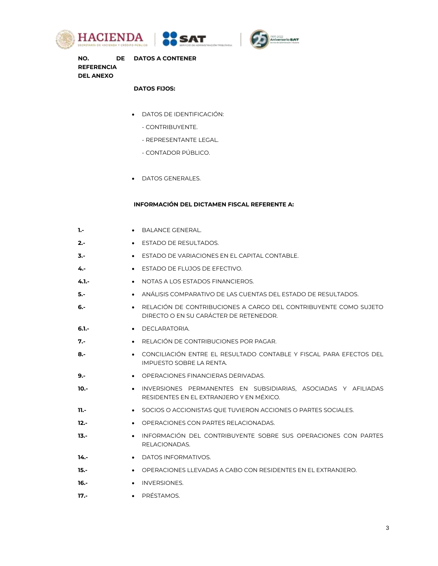





**NO. DE DATOS A CONTENER REFERENCIA DEL ANEXO**

# **DATOS FIJOS:**

- DATOS DE IDENTIFICACIÓN:
	- CONTRIBUYENTE.
	- REPRESENTANTE LEGAL.
	- CONTADOR PÚBLICO.
- DATOS GENERALES.

#### **INFORMACIÓN DEL DICTAMEN FISCAL REFERENTE A:**

| ٦.-                  | BALANCE GENERAL.                                                                                           |
|----------------------|------------------------------------------------------------------------------------------------------------|
| $2 -$<br>$\bullet$   | ESTADO DE RESULTADOS.                                                                                      |
| $3 -$<br>$\bullet$   | ESTADO DE VARIACIONES EN EL CAPITAL CONTABLE.                                                              |
| 4.-<br>$\bullet$     | ESTADO DE FLUJOS DE EFECTIVO.                                                                              |
| $4.1 -$<br>$\bullet$ | NOTAS A LOS ESTADOS FINANCIEROS.                                                                           |
| 5.-<br>$\bullet$     | ANÁLISIS COMPARATIVO DE LAS CUENTAS DEL ESTADO DE RESULTADOS.                                              |
| 6.-                  | RELACIÓN DE CONTRIBUCIONES A CARGO DEL CONTRIBUYENTE COMO SUJETO<br>DIRECTO O EN SU CARÁCTER DE RETENEDOR. |
| $6.1 -$<br>$\bullet$ | DECLARATORIA.                                                                                              |
| 7.-                  | RELACIÓN DE CONTRIBUCIONES POR PAGAR.                                                                      |
| 8.-                  | CONCILIACIÓN ENTRE EL RESULTADO CONTABLE Y FISCAL PARA EFECTOS DEL<br>IMPUESTO SOBRE LA RENTA.             |
| 9.-<br>$\bullet$     | OPERACIONES FINANCIERAS DERIVADAS.                                                                         |
| 10.-<br>$\bullet$    | INVERSIONES PERMANENTES EN SUBSIDIARIAS. ASOCIADAS Y AFILIADAS<br>RESIDENTES EN EL EXTRANJERO Y EN MÉXICO. |
| $11. -$<br>$\bullet$ | SOCIOS O ACCIONISTAS QUE TUVIERON ACCIONES O PARTES SOCIALES.                                              |
| $12 -$<br>$\bullet$  | OPERACIONES CON PARTES RELACIONADAS.                                                                       |
| $13 -$<br>$\bullet$  | INFORMACIÓN DEL CONTRIBUYENTE SOBRE SUS OPERACIONES CON PARTES<br>RELACIONADAS.                            |
| $14. -$<br>$\bullet$ | DATOS INFORMATIVOS.                                                                                        |
| 15.-<br>$\bullet$    | OPERACIONES LLEVADAS A CABO CON RESIDENTES EN EL EXTRANJERO.                                               |
| $16. -$<br>$\bullet$ | <b>INVERSIONES.</b>                                                                                        |
| $17. -$              | • PRÉSTAMOS.                                                                                               |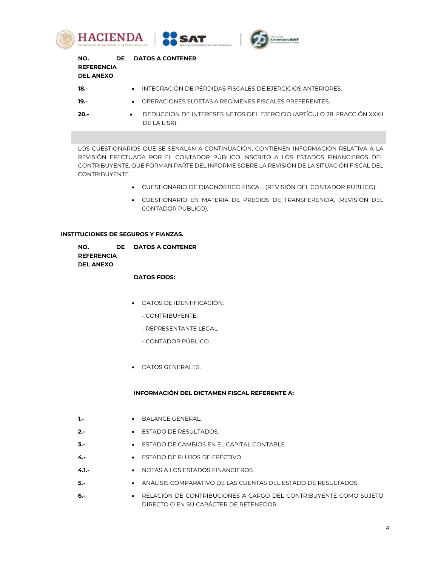





| NO.<br><b>REFERENCIA</b><br><b>DEL ANEXO</b> |           | DE DATOS A CONTENER                                                                     |
|----------------------------------------------|-----------|-----------------------------------------------------------------------------------------|
| $18.-$                                       |           | • INTEGRACIÓN DE PÉRDIDAS FISCALES DE EJERCICIOS ANTERIORES.                            |
| $19. -$                                      |           | • OPERACIONES SUJETAS A REGÍMENES FISCALES PREFERENTES.                                 |
| $20 -$                                       | $\bullet$ | DEDUCCIÓN DE INTERESES NETOS DEL EJERCICIO (ARTÍCULO 28, FRACCIÓN XXXII<br>DE LA LISR). |

LOS CUESTIONARIOS QUE SE SEÑALAN A CONTINUACIÓN, CONTIENEN INFORMACIÓN RELATIVA A LA REVISIÓN EFECTUADA POR EL CONTADOR PÚBLICO INSCRITO A LOS ESTADOS FINANCIEROS DEL CONTRIBUYENTE, QUE FORMAN PARTE DEL INFORME SOBRE LA REVISIÓN DE LA SITUACIÓN FISCAL DEL CONTRIBUYENTE.

- CUESTIONARIO DE DIAGNÓSTICO FISCAL. (REVISIÓN DEL CONTADOR PÚBLICO).
- CUESTIONARIO EN MATERIA DE PRECIOS DE TRANSFERENCIA. (REVISIÓN DEL CONTADOR PÚBLICO).

#### **INSTITUCIONES DE SEGUROS Y FIANZAS.**

| NO.               | DE DATOS A CONTENER |
|-------------------|---------------------|
| <b>REFERENCIA</b> |                     |
| <b>DEL ANEXO</b>  |                     |

#### **DATOS FIJOS:**

- DATOS DE IDENTIFICACIÓN:
	- CONTRIBUYENTE.
	- REPRESENTANTE LEGAL.
	- CONTADOR PÚBLICO.
- **DATOS GENERALES.**

## **INFORMACIÓN DEL DICTAMEN FISCAL REFERENTE A:**

- **1.-** BALANCE GENERAL.
- **2.-** ESTADO DE RESULTADOS.
- **3.-** ESTADO DE CAMBIOS EN EL CAPITAL CONTABLE.
- **4.-** ESTADO DE FLUJOS DE EFECTIVO.
- **4.1.-** NOTAS A LOS ESTADOS FINANCIEROS.
- **5.-** ANÁLISIS COMPARATIVO DE LAS CUENTAS DEL ESTADO DE RESULTADOS.
- **6.-** RELACIÓN DE CONTRIBUCIONES A CARGO DEL CONTRIBUYENTE COMO SUJETO DIRECTO O EN SU CARÁCTER DE RETENEDOR.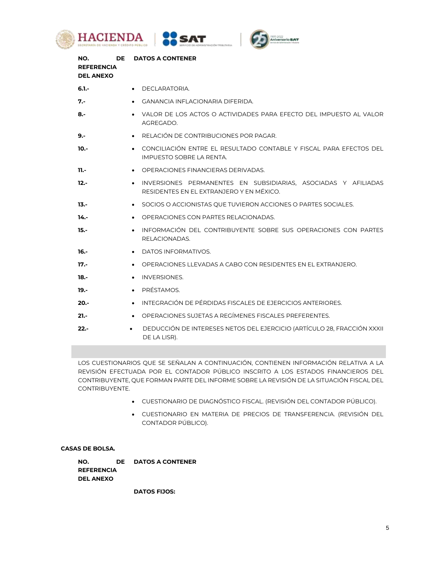





| NO.<br><b>DE</b><br><b>REFERENCIA</b><br><b>DEL ANEXO</b> | <b>DATOS A CONTENER</b>                                                                                    |
|-----------------------------------------------------------|------------------------------------------------------------------------------------------------------------|
| $6.1 -$                                                   | • DECLARATORIA.                                                                                            |
| 7.-                                                       | GANANCIA INFLACIONARIA DIFERIDA.                                                                           |
| 8.-                                                       | VALOR DE LOS ACTOS O ACTIVIDADES PARA EFECTO DEL IMPUESTO AL VALOR<br>AGREGADO.                            |
| $9 -$                                                     | RELACIÓN DE CONTRIBUCIONES POR PAGAR.                                                                      |
| $10 -$                                                    | CONCILIACIÓN ENTRE EL RESULTADO CONTABLE Y FISCAL PARA EFECTOS DEL<br>IMPUESTO SOBRE LA RENTA.             |
| 11.-                                                      | OPERACIONES FINANCIERAS DERIVADAS.                                                                         |
| $12.-$                                                    | INVERSIONES PERMANENTES EN SUBSIDIARIAS, ASOCIADAS Y AFILIADAS<br>RESIDENTES EN EL EXTRANJERO Y EN MÉXICO. |
| $13 -$                                                    | SOCIOS O ACCIONISTAS QUE TUVIERON ACCIONES O PARTES SOCIALES.<br>$\bullet$                                 |
| $14. -$                                                   | OPERACIONES CON PARTES RELACIONADAS.                                                                       |
| $15.-$                                                    | INFORMACIÓN DEL CONTRIBUYENTE SOBRE SUS OPERACIONES CON PARTES<br>RELACIONADAS.                            |
| -.16                                                      | DATOS INFORMATIVOS.                                                                                        |
| $17. -$                                                   | OPERACIONES LLEVADAS A CABO CON RESIDENTES EN EL EXTRANJERO.                                               |
| $18.-$                                                    | <b>INVERSIONES.</b><br>$\bullet$                                                                           |
| $19. -$                                                   | PRÉSTAMOS.<br>$\bullet$                                                                                    |
| $20. -$                                                   | INTEGRACIÓN DE PÉRDIDAS FISCALES DE EJERCICIOS ANTERIORES.                                                 |
| $21 -$                                                    | OPERACIONES SUJETAS A REGÍMENES FISCALES PREFERENTES.                                                      |
| $22 -$                                                    | DEDUCCIÓN DE INTERESES NETOS DEL EJERCICIO (ARTÍCULO 28, FRACCIÓN XXXII<br>DE LA LISR).                    |

LOS CUESTIONARIOS QUE SE SEÑALAN A CONTINUACIÓN, CONTIENEN INFORMACIÓN RELATIVA A LA REVISIÓN EFECTUADA POR EL CONTADOR PÚBLICO INSCRITO A LOS ESTADOS FINANCIEROS DEL CONTRIBUYENTE, QUE FORMAN PARTE DEL INFORME SOBRE LA REVISIÓN DE LA SITUACIÓN FISCAL DEL CONTRIBUYENTE.

- CUESTIONARIO DE DIAGNÓSTICO FISCAL. (REVISIÓN DEL CONTADOR PÚBLICO).
- CUESTIONARIO EN MATERIA DE PRECIOS DE TRANSFERENCIA. (REVISIÓN DEL CONTADOR PÚBLICO).

# **CASAS DE BOLSA.**

| NO.               | DE DATOS A CONTENER |
|-------------------|---------------------|
| <b>REFERENCIA</b> |                     |
| <b>DEL ANEXO</b>  |                     |

**DATOS FIJOS:**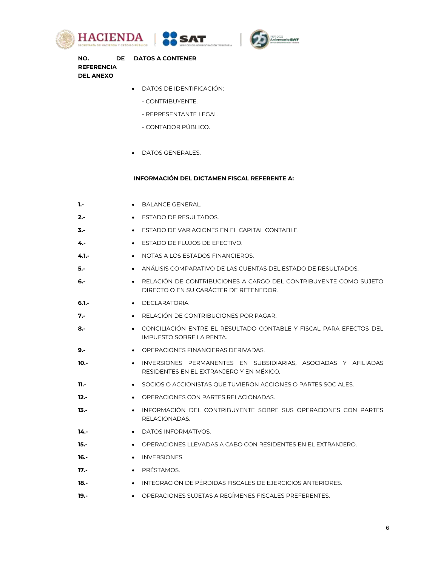





**NO. DE DATOS A CONTENER REFERENCIA DEL ANEXO**

## DATOS DE IDENTIFICACIÓN:

- CONTRIBUYENTE.
- REPRESENTANTE LEGAL.
- CONTADOR PÚBLICO.
- DATOS GENERALES.

# **INFORMACIÓN DEL DICTAMEN FISCAL REFERENTE A:**

| 1.-     | <b>BALANCE GENERAL.</b>                                                                                                 |
|---------|-------------------------------------------------------------------------------------------------------------------------|
| $2 -$   | ESTADO DE RESULTADOS.                                                                                                   |
| 3.-     | ESTADO DE VARIACIONES EN EL CAPITAL CONTABLE.<br>$\bullet$                                                              |
| 4.-     | ESTADO DE FLUJOS DE EFECTIVO.<br>$\bullet$                                                                              |
| $4.1 -$ | NOTAS A LOS ESTADOS FINANCIEROS.                                                                                        |
| 5.-     | ANÁLISIS COMPARATIVO DE LAS CUENTAS DEL ESTADO DE RESULTADOS.<br>$\bullet$                                              |
| 6.-     | RELACIÓN DE CONTRIBUCIONES A CARGO DEL CONTRIBUYENTE COMO SUJETO<br>$\bullet$<br>DIRECTO O EN SU CARÁCTER DE RETENEDOR. |
| $6.1 -$ | DECLARATORIA.<br>$\bullet$                                                                                              |
| 7.-     | RELACIÓN DE CONTRIBUCIONES POR PAGAR.<br>$\bullet$                                                                      |
| 8.-     | CONCILIACIÓN ENTRE EL RESULTADO CONTABLE Y FISCAL PARA EFECTOS DEL<br>$\bullet$<br>IMPUESTO SOBRE LA RENTA.             |
| 9.-     | OPERACIONES FINANCIERAS DERIVADAS.<br>$\bullet$                                                                         |
| 10.-    | INVERSIONES PERMANENTES EN SUBSIDIARIAS, ASOCIADAS Y AFILIADAS<br>$\bullet$<br>RESIDENTES EN EL EXTRANJERO Y EN MÉXICO. |
| $11. -$ | SOCIOS O ACCIONISTAS QUE TUVIERON ACCIONES O PARTES SOCIALES.<br>$\bullet$                                              |
| $12. -$ | OPERACIONES CON PARTES RELACIONADAS.<br>$\bullet$                                                                       |
| $13. -$ | INFORMACIÓN DEL CONTRIBUYENTE SOBRE SUS OPERACIONES CON PARTES<br>$\bullet$<br>RELACIONADAS.                            |
| $14. -$ | DATOS INFORMATIVOS.<br>$\bullet$                                                                                        |
| 15.-    | OPERACIONES LLEVADAS A CABO CON RESIDENTES EN EL EXTRANJERO.<br>$\bullet$                                               |
| $16. -$ | <b>INVERSIONES.</b>                                                                                                     |
| $17. -$ | PRÉSTAMOS.<br>$\bullet$                                                                                                 |
| $18.-$  | INTEGRACIÓN DE PÉRDIDAS FISCALES DE EJERCICIOS ANTERIORES.<br>$\bullet$                                                 |
| $19. -$ | OPERACIONES SUJETAS A REGÍMENES FISCALES PREFERENTES.<br>$\bullet$                                                      |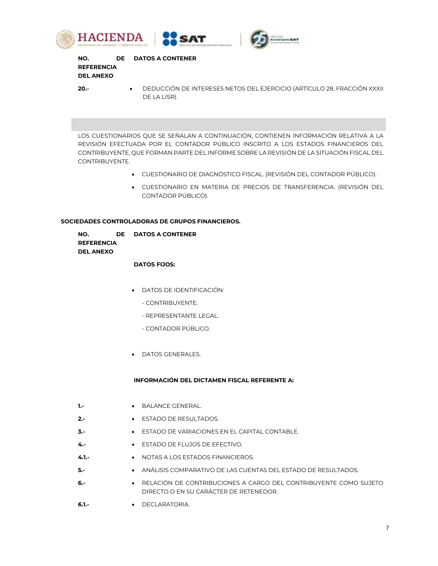





**NO. DE DATOS A CONTENER REFERENCIA DEL ANEXO**

**20.-** DEDUCCIÓN DE INTERESES NETOS DEL EJERCICIO (ARTÍCULO 28, FRACCIÓN XXXII DE LA LISR).

LOS CUESTIONARIOS QUE SE SEÑALAN A CONTINUACIÓN, CONTIENEN INFORMACIÓN RELATIVA A LA REVISIÓN EFECTUADA POR EL CONTADOR PÚBLICO INSCRITO A LOS ESTADOS FINANCIEROS DEL CONTRIBUYENTE, QUE FORMAN PARTE DEL INFORME SOBRE LA REVISIÓN DE LA SITUACIÓN FISCAL DEL CONTRIBUYENTE.

- CUESTIONARIO DE DIAGNÓSTICO FISCAL. (REVISIÓN DEL CONTADOR PÚBLICO).
- CUESTIONARIO EN MATERIA DE PRECIOS DE TRANSFERENCIA. (REVISIÓN DEL CONTADOR PÚBLICO).

# **SOCIEDADES CONTROLADORAS DE GRUPOS FINANCIEROS.**

| NO.               | DE DATOS A CONTENER |
|-------------------|---------------------|
| <b>REFERENCIA</b> |                     |
| <b>DEL ANEXO</b>  |                     |

## **DATOS FIJOS:**

- DATOS DE IDENTIFICACIÓN:
	- CONTRIBUYENTE.
	- REPRESENTANTE LEGAL.
	- CONTADOR PÚBLICO.
- **DATOS GENERALES.**

## **INFORMACIÓN DEL DICTAMEN FISCAL REFERENTE A:**

- **1.-** BALANCE GENERAL.
- **2.-** ESTADO DE RESULTADOS.
- **3.-** ESTADO DE VARIACIONES EN EL CAPITAL CONTABLE.
- **4.-** ESTADO DE FLUJOS DE EFECTIVO.
- **4.1.-** NOTAS A LOS ESTADOS FINANCIEROS.
- **5.-** ANÁLISIS COMPARATIVO DE LAS CUENTAS DEL ESTADO DE RESULTADOS.
- **6.-** RELACIÓN DE CONTRIBUCIONES A CARGO DEL CONTRIBUYENTE COMO SUJETO DIRECTO O EN SU CARÁCTER DE RETENEDOR.
- **6.1.-** DECLARATORIA.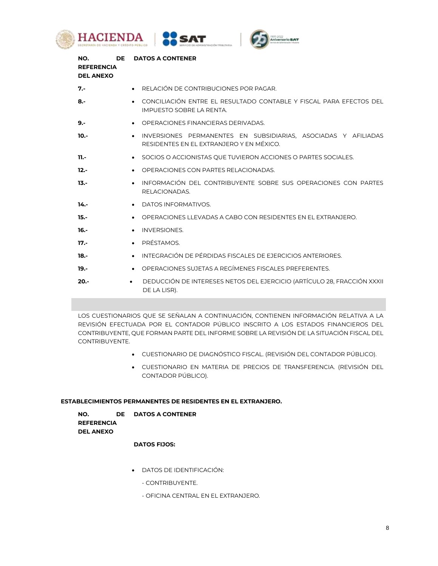





| NO.<br><b>REFERENCIA</b><br><b>DEL ANEXO</b> | <b>DE</b> | <b>DATOS A CONTENER</b>                                                                                                 |
|----------------------------------------------|-----------|-------------------------------------------------------------------------------------------------------------------------|
| 7.-                                          |           | RELACIÓN DE CONTRIBUCIONES POR PAGAR.                                                                                   |
| 8.5                                          |           | CONCILIACIÓN ENTRE EL RESULTADO CONTABLE Y FISCAL PARA EFECTOS DEL<br>IMPUESTO SOBRE LA RENTA.                          |
| $9. -$                                       |           | OPERACIONES FINANCIERAS DERIVADAS.                                                                                      |
| $10. -$                                      |           | INVERSIONES PERMANENTES EN SUBSIDIARIAS, ASOCIADAS Y AFILIADAS<br>$\bullet$<br>RESIDENTES EN EL EXTRANJERO Y EN MÉXICO. |
| $11. -$                                      |           | SOCIOS O ACCIONISTAS OUE TUVIERON ACCIONES O PARTES SOCIALES.<br>$\bullet$                                              |
| $12 -$                                       |           | OPERACIONES CON PARTES RELACIONADAS.                                                                                    |
| $13 -$                                       |           | INFORMACIÓN DEL CONTRIBUYENTE SOBRE SUS OPERACIONES CON PARTES<br>RELACIONADAS.                                         |
| 14.-                                         |           | DATOS INFORMATIVOS.                                                                                                     |
| $15. -$                                      |           | OPERACIONES LLEVADAS A CABO CON RESIDENTES EN EL EXTRANJERO.                                                            |
| 16.-                                         |           | <b>INVERSIONES.</b>                                                                                                     |
| $17. -$                                      |           | PRÉSTAMOS.                                                                                                              |
| $18.-$                                       |           | INTEGRACIÓN DE PÉRDIDAS FISCALES DE EJERCICIOS ANTERIORES.                                                              |
| $19. -$                                      |           | OPERACIONES SUJETAS A REGÍMENES FISCALES PREFERENTES.                                                                   |
| $20. -$                                      |           | DEDUCCIÓN DE INTERESES NETOS DEL EJERCICIO (ARTÍCULO 28, FRACCIÓN XXXII<br>DE LA LISRI.                                 |

LOS CUESTIONARIOS QUE SE SEÑALAN A CONTINUACIÓN, CONTIENEN INFORMACIÓN RELATIVA A LA REVISIÓN EFECTUADA POR EL CONTADOR PÚBLICO INSCRITO A LOS ESTADOS FINANCIEROS DEL CONTRIBUYENTE, QUE FORMAN PARTE DEL INFORME SOBRE LA REVISIÓN DE LA SITUACIÓN FISCAL DEL CONTRIBUYENTE.

- CUESTIONARIO DE DIAGNÓSTICO FISCAL. (REVISIÓN DEL CONTADOR PÚBLICO).
- CUESTIONARIO EN MATERIA DE PRECIOS DE TRANSFERENCIA. (REVISIÓN DEL CONTADOR PÚBLICO).

## **ESTABLECIMIENTOS PERMANENTES DE RESIDENTES EN EL EXTRANJERO.**

| NO.               | DE DATOS A CONTENER |
|-------------------|---------------------|
| <b>REFERENCIA</b> |                     |
| <b>DEL ANEXO</b>  |                     |

# **DATOS FIJOS:**

- DATOS DE IDENTIFICACIÓN:
	- CONTRIBUYENTE.
	- OFICINA CENTRAL EN EL EXTRANJERO.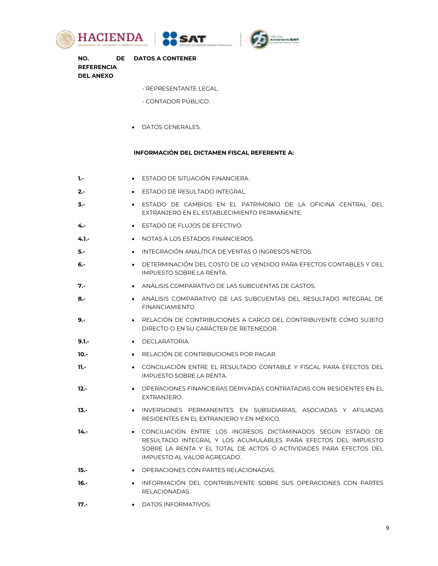





**NO. DE DATOS A CONTENER REFERENCIA DEL ANEXO**

- REPRESENTANTE LEGAL.
- CONTADOR PÚBLICO.
- **DATOS GENERALES.**

#### **INFORMACIÓN DEL DICTAMEN FISCAL REFERENTE A:**

- **1.-** ESTADO DE SITUACIÓN FINANCIERA.
- **2.- •** ESTADO DE RESULTADO INTEGRAL.
- **3.-** ESTADO DE CAMBIOS EN EL PATRIMONIO DE LA OFICINA CENTRAL DEL EXTRANJERO EN EL ESTABLECIMIENTO PERMANENTE.
- **4.-** ESTADO DE FLUJOS DE EFECTIVO.
- **4.1.-** NOTAS A LOS ESTADOS FINANCIEROS.
- **5.-** INTEGRACIÓN ANALÍTICA DE VENTAS O INGRESOS NETOS.
- **6.-** DETERMINACIÓN DEL COSTO DE LO VENDIDO PARA EFECTOS CONTABLES Y DEL IMPUESTO SOBRE LA RENTA.
- **7.-** ANÁLISIS COMPARATIVO DE LAS SUBCUENTAS DE GASTOS.
- **8.-** ANÁLISIS COMPARATIVO DE LAS SUBCUENTAS DEL RESULTADO INTEGRAL DE FINANCIAMIENTO.
- **9.-** RELACIÓN DE CONTRIBUCIONES A CARGO DEL CONTRIBUYENTE COMO SUJETO DIRECTO O EN SU CARÁCTER DE RETENEDOR.
- **9.1.-** DECLARATORIA.
- **10.- •** RELACIÓN DE CONTRIBUCIONES POR PAGAR.
- **11.-** CONCILIACIÓN ENTRE EL RESULTADO CONTABLE Y FISCAL PARA EFECTOS DEL IMPUESTO SOBRE LA RENTA.
- 12.-<br>**12.- OPERACIONES FINANCIERAS DERIVADAS CONTRATADAS CON RESIDENTES EN EL** EXTRANJERO.
- **13.-** INVERSIONES PERMANENTES EN SUBSIDIARIAS, ASOCIADAS Y AFILIADAS RESIDENTES EN EL EXTRANJERO Y EN MÉXICO.
- **14.-** CONCILIACIÓN ENTRE LOS INGRESOS DICTAMINADOS SEGÚN ESTADO DE RESULTADO INTEGRAL Y LOS ACUMULABLES PARA EFECTOS DEL IMPUESTO SOBRE LA RENTA Y EL TOTAL DE ACTOS O ACTIVIDADES PARA EFECTOS DEL IMPUESTO AL VALOR AGREGADO.
- **15.- •** OPERACIONES CON PARTES RELACIONADAS.
- **16.-** INFORMACIÓN DEL CONTRIBUYENTE SOBRE SUS OPERACIONES CON PARTES RELACIONADAS.
- **17.-** DATOS INFORMATIVOS.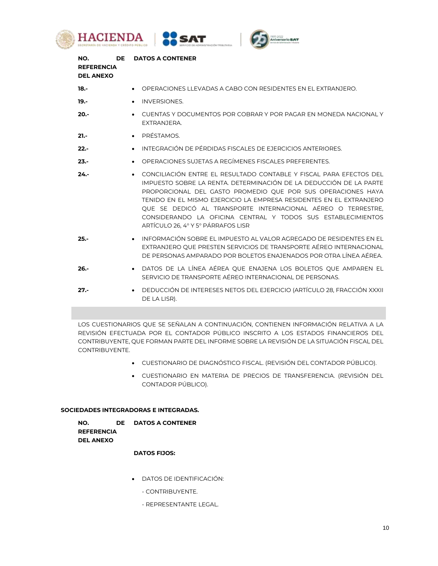





| NO.<br><b>REFERENCIA</b><br><b>DEL ANEXO</b> | <b>DE</b> | <b>DATOS A CONTENER</b>                                                                                                                                                                                                                                                                                                                                                                                                                                            |
|----------------------------------------------|-----------|--------------------------------------------------------------------------------------------------------------------------------------------------------------------------------------------------------------------------------------------------------------------------------------------------------------------------------------------------------------------------------------------------------------------------------------------------------------------|
| $18. -$                                      |           | OPERACIONES LLEVADAS A CABO CON RESIDENTES EN EL EXTRANJERO.                                                                                                                                                                                                                                                                                                                                                                                                       |
| $19. -$                                      |           | <b>INVERSIONES.</b><br>$\bullet$                                                                                                                                                                                                                                                                                                                                                                                                                                   |
| $20. -$                                      |           | CUENTAS Y DOCUMENTOS POR COBRAR Y POR PAGAR EN MONEDA NACIONAL Y<br>EXTRANJERA.                                                                                                                                                                                                                                                                                                                                                                                    |
| $21 -$                                       |           | PRÉSTAMOS.<br>$\bullet$                                                                                                                                                                                                                                                                                                                                                                                                                                            |
| $22 -$                                       |           | INTEGRACIÓN DE PÉRDIDAS FISCALES DE EJERCICIOS ANTERIORES.<br>$\bullet$                                                                                                                                                                                                                                                                                                                                                                                            |
| $23 -$                                       |           | OPERACIONES SUJETAS A REGÍMENES FISCALES PREFERENTES.                                                                                                                                                                                                                                                                                                                                                                                                              |
| $24 -$                                       |           | CONCILIACIÓN ENTRE EL RESULTADO CONTABLE Y FISCAL PARA EFECTOS DEL<br>$\bullet$<br>IMPUESTO SOBRE LA RENTA. DETERMINACIÓN DE LA DEDUCCIÓN DE LA PARTE<br>PROPORCIONAL DEL GASTO PROMEDIO QUE POR SUS OPERACIONES HAYA<br>TENIDO EN EL MISMO EJERCICIO LA EMPRESA RESIDENTES EN EL EXTRANJERO<br>QUE SE DEDICÓ AL TRANSPORTE INTERNACIONAL AÉREO O TERRESTRE.<br>CONSIDERANDO LA OFICINA CENTRAL Y TODOS SUS ESTABLECIMIENTOS<br>ARTÍCULO 26, 4º Y 5º PÁRRAFOS LISR |
| $25. -$                                      |           | INFORMACIÓN SOBRE EL IMPUESTO AL VALOR AGREGADO DE RESIDENTES EN EL<br>$\bullet$<br>EXTRANJERO QUE PRESTEN SERVICIOS DE TRANSPORTE AÉREO INTERNACIONAL<br>DE PERSONAS AMPARADO POR BOLETOS ENAJENADOS POR OTRA LÍNEA AÉREA.                                                                                                                                                                                                                                        |
| $26 -$                                       |           | DATOS DE LA LÍNEA AÉREA QUE ENAJENA LOS BOLETOS QUE AMPAREN EL<br>SERVICIO DE TRANSPORTE AÉREO INTERNACIONAL DE PERSONAS.                                                                                                                                                                                                                                                                                                                                          |
| $27. -$                                      |           | DEDUCCIÓN DE INTERESES NETOS DEL EJERCICIO (ARTÍCULO 28, FRACCIÓN XXXII<br>$\bullet$<br>DE LA LISR).                                                                                                                                                                                                                                                                                                                                                               |

LOS CUESTIONARIOS QUE SE SEÑALAN A CONTINUACIÓN, CONTIENEN INFORMACIÓN RELATIVA A LA REVISIÓN EFECTUADA POR EL CONTADOR PÚBLICO INSCRITO A LOS ESTADOS FINANCIEROS DEL CONTRIBUYENTE, QUE FORMAN PARTE DEL INFORME SOBRE LA REVISIÓN DE LA SITUACIÓN FISCAL DEL CONTRIBUYENTE.

- CUESTIONARIO DE DIAGNÓSTICO FISCAL. (REVISIÓN DEL CONTADOR PÚBLICO).
- CUESTIONARIO EN MATERIA DE PRECIOS DE TRANSFERENCIA. (REVISIÓN DEL CONTADOR PÚBLICO).

## **SOCIEDADES INTEGRADORAS E INTEGRADAS.**

**NO. REFERENCIA DEL ANEXO DATOS A CONTENER** 

## **DATOS FIJOS:**

- DATOS DE IDENTIFICACIÓN:
	- CONTRIBUYENTE.
	- REPRESENTANTE LEGAL.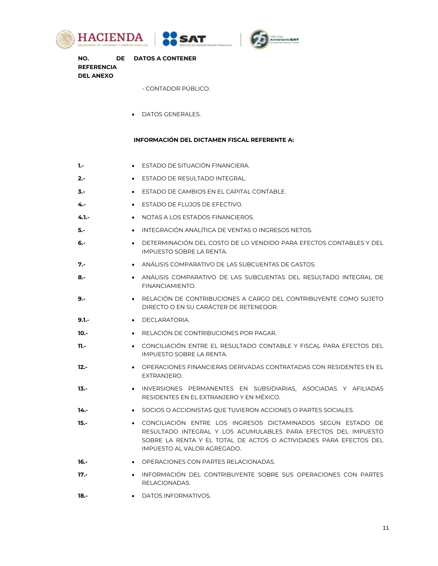





**NO. REFERENCIA DEL ANEXO DATOS A CONTENER** 

- CONTADOR PÚBLICO.

DATOS GENERALES.

## **INFORMACIÓN DEL DICTAMEN FISCAL REFERENTE A:**

| 1.-     | • ESTADO DE SITUACIÓN FINANCIERA.                                                                                       |
|---------|-------------------------------------------------------------------------------------------------------------------------|
| $2 -$   | ESTADO DE RESULTADO INTEGRAL.<br>$\bullet$                                                                              |
| $3. -$  | ESTADO DE CAMBIOS EN EL CAPITAL CONTABLE.<br>$\bullet$                                                                  |
| $4. -$  | ESTADO DE FLUJOS DE EFECTIVO.<br>$\bullet$                                                                              |
| $4.1 -$ | NOTAS A LOS ESTADOS FINANCIEROS.<br>$\bullet$                                                                           |
| $5. -$  | INTEGRACIÓN ANALÍTICA DE VENTAS O INGRESOS NETOS.                                                                       |
| $6. -$  | DETERMINACIÓN DEL COSTO DE LO VENDIDO PARA EFECTOS CONTABLES Y DEL<br>IMPUESTO SOBRE LA RENTA.                          |
| 7.-     | ANÁLISIS COMPARATIVO DE LAS SUBCUENTAS DE GASTOS.<br>$\bullet$                                                          |
| $8. -$  | ANÁLISIS COMPARATIVO DE LAS SUBCUENTAS DEL RESULTADO INTEGRAL DE<br>FINANCIAMIENTO.                                     |
| $9. -$  | RELACIÓN DE CONTRIBUCIONES A CARGO DEL CONTRIBUYENTE COMO SUJETO<br>$\bullet$<br>DIRECTO O EN SU CARÁCTER DE RETENEDOR. |
| $9.1 -$ | DECLARATORIA.<br>$\bullet$                                                                                              |
| $10 -$  | RELACIÓN DE CONTRIBUCIONES POR PAGAR.<br>$\bullet$                                                                      |
| $11. -$ | CONCILIACIÓN ENTRE EL RESULTADO CONTABLE Y FISCAL PARA EFECTOS DEL<br>$\bullet$<br>IMPUESTO SOBRE LA RENTA.             |

- 12.-<br>**12.- OPERACIONES FINANCIERAS DERIVADAS CONTRATADAS CON RESIDENTES EN EL** EXTRANJERO.
- **13.-** INVERSIONES PERMANENTES EN SUBSIDIARIAS, ASOCIADAS Y AFILIADAS RESIDENTES EN EL EXTRANJERO Y EN MÉXICO.
- 14.- **14.-** SOCIOS O ACCIONISTAS QUE TUVIERON ACCIONES O PARTES SOCIALES.
- **15.-** CONCILIACIÓN ENTRE LOS INGRESOS DICTAMINADOS SEGÚN ESTADO DE RESULTADO INTEGRAL Y LOS ACUMULABLES PARA EFECTOS DEL IMPUESTO SOBRE LA RENTA Y EL TOTAL DE ACTOS O ACTIVIDADES PARA EFECTOS DEL IMPUESTO AL VALOR AGREGADO.
- **16.- OPERACIONES CON PARTES RELACIONADAS.**
- **17.-** INFORMACIÓN DEL CONTRIBUYENTE SOBRE SUS OPERACIONES CON PARTES RELACIONADAS.
- **18.-** DATOS INFORMATIVOS.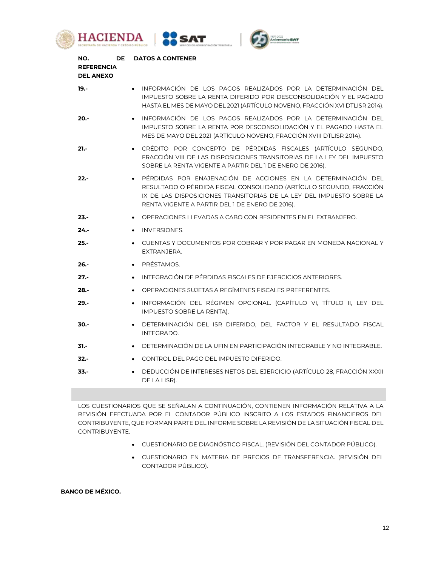





| NO.<br>DE<br><b>REFERENCIA</b><br><b>DEL ANEXO</b> | <b>DATOS A CONTENER</b>                                                                                                                                                                                                                                       |
|----------------------------------------------------|---------------------------------------------------------------------------------------------------------------------------------------------------------------------------------------------------------------------------------------------------------------|
| $19. -$                                            | • INFORMACIÓN DE LOS PAGOS REALIZADOS POR LA DETERMINACIÓN DEL<br>IMPUESTO SOBRE LA RENTA DIFERIDO POR DESCONSOLIDACIÓN Y EL PAGADO<br>HASTA EL MES DE MAYO DEL 2021 (ARTÍCULO NOVENO, FRACCIÓN XVI DTLISR 2014).                                             |
| $20 -$                                             | INFORMACIÓN DE LOS PAGOS REALIZADOS POR LA DETERMINACIÓN DEL<br>IMPUESTO SOBRE LA RENTA POR DESCONSOLIDACIÓN Y EL PAGADO HASTA EL<br>MES DE MAYO DEL 2021 (ARTÍCULO NOVENO, FRACCIÓN XVIII DTLISR 2014).                                                      |
| $21 -$                                             | CRÉDITO POR CONCEPTO DE PÉRDIDAS FISCALES (ARTÍCULO SEGUNDO,<br>FRACCIÓN VIII DE LAS DISPOSICIONES TRANSITORIAS DE LA LEY DEL IMPUESTO<br>SOBRE LA RENTA VIGENTE A PARTIR DEL 1 DE ENERO DE 2016).                                                            |
| $22 -$                                             | PÉRDIDAS POR ENAJENACIÓN DE ACCIONES EN LA DETERMINACIÓN DEL<br>RESULTADO O PÉRDIDA FISCAL CONSOLIDADO (ARTÍCULO SEGUNDO, FRACCIÓN<br>IX DE LAS DISPOSICIONES TRANSITORIAS DE LA LEY DEL IMPUESTO SOBRE LA<br>RENTA VIGENTE A PARTIR DEL 1 DE ENERO DE 2016). |
| $23 -$                                             | • OPERACIONES LLEVADAS A CABO CON RESIDENTES EN EL EXTRANJERO.                                                                                                                                                                                                |
| $24 -$                                             | <b>INVERSIONES.</b><br>$\bullet$                                                                                                                                                                                                                              |
| $25 -$                                             | CUENTAS Y DOCUMENTOS POR COBRAR Y POR PAGAR EN MONEDA NACIONAL Y<br>EXTRANJERA.                                                                                                                                                                               |
| $26. -$                                            | PRÉSTAMOS.<br>$\bullet$                                                                                                                                                                                                                                       |
| $27 -$                                             | INTEGRACIÓN DE PÉRDIDAS FISCALES DE EJERCICIOS ANTERIORES.<br>$\bullet$                                                                                                                                                                                       |
| $28 -$                                             | OPERACIONES SUJETAS A REGÍMENES FISCALES PREFERENTES.<br>$\bullet$                                                                                                                                                                                            |
| $29. -$                                            | INFORMACIÓN DEL RÉGIMEN OPCIONAL. (CAPÍTULO VI, TÍTULO II, LEY DEL<br>$\bullet$<br>IMPUESTO SOBRE LA RENTA).                                                                                                                                                  |
| $30 -$                                             | DETERMINACIÓN DEL ISR DIFERIDO, DEL FACTOR Y EL RESULTADO FISCAL<br>INTEGRADO.                                                                                                                                                                                |
| 31.-                                               | DETERMINACIÓN DE LA UFIN EN PARTICIPACIÓN INTEGRABLE Y NO INTEGRABLE.                                                                                                                                                                                         |
| $32 -$                                             | CONTROL DEL PAGO DEL IMPUESTO DIFERIDO.                                                                                                                                                                                                                       |
| $33 -$                                             | DEDUCCIÓN DE INTERESES NETOS DEL EJERCICIO (ARTÍCULO 28, FRACCIÓN XXXII<br>DE LA LISR).                                                                                                                                                                       |

LOS CUESTIONARIOS QUE SE SEÑALAN A CONTINUACIÓN, CONTIENEN INFORMACIÓN RELATIVA A LA REVISIÓN EFECTUADA POR EL CONTADOR PÚBLICO INSCRITO A LOS ESTADOS FINANCIEROS DEL CONTRIBUYENTE, QUE FORMAN PARTE DEL INFORME SOBRE LA REVISIÓN DE LA SITUACIÓN FISCAL DEL CONTRIBUYENTE.

- CUESTIONARIO DE DIAGNÓSTICO FISCAL. (REVISIÓN DEL CONTADOR PÚBLICO).
- CUESTIONARIO EN MATERIA DE PRECIOS DE TRANSFERENCIA. (REVISIÓN DEL CONTADOR PÚBLICO).

**BANCO DE MÉXICO.**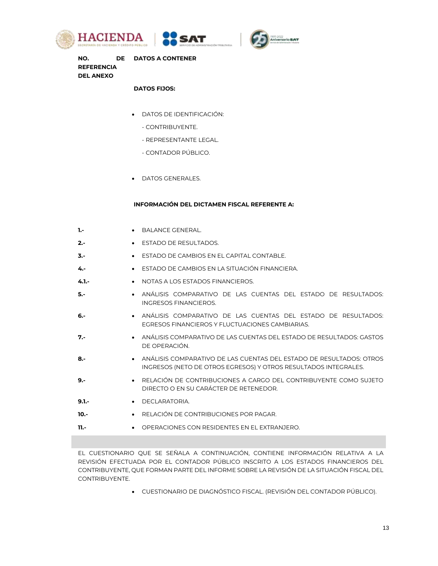





**NO. REFERENCIA DEL ANEXO DE DATOS A CONTENER** 

## **DATOS FIJOS:**

- DATOS DE IDENTIFICACIÓN:
	- CONTRIBUYENTE.
	- REPRESENTANTE LEGAL.
	- CONTADOR PÚBLICO.
- DATOS GENERALES.

#### **INFORMACIÓN DEL DICTAMEN FISCAL REFERENTE A:**

| 1.-     | BALANCE GENERAL.                                                                                                                       |
|---------|----------------------------------------------------------------------------------------------------------------------------------------|
| $2. -$  | ESTADO DE RESULTADOS.<br>$\bullet$                                                                                                     |
| $3. -$  | ESTADO DE CAMBIOS EN EL CAPITAL CONTABLE.<br>$\bullet$                                                                                 |
| 4.-     | ESTADO DE CAMBIOS EN LA SITUACIÓN FINANCIERA.<br>$\bullet$                                                                             |
| $4.1 -$ | NOTAS A LOS ESTADOS FINANCIEROS.                                                                                                       |
| 5.-     | ANÁLISIS COMPARATIVO DE LAS CUENTAS DEL ESTADO DE RESULTADOS:<br><b>INGRESOS FINANCIEROS.</b>                                          |
| 6.-     | ANÁLISIS COMPARATIVO DE LAS CUENTAS DEL ESTADO DE RESULTADOS:<br>EGRESOS FINANCIEROS Y ELUCTUACIONES CAMBIARIAS.                       |
| 7.-     | ANÁLISIS COMPARATIVO DE LAS CUENTAS DEL ESTADO DE RESULTADOS: GASTOS<br>DE OPERACIÓN.                                                  |
| 8.-     | ANÁLISIS COMPARATIVO DE LAS CUENTAS DEL ESTADO DE RESULTADOS: OTROS<br>INGRESOS (NETO DE OTROS EGRESOS) Y OTROS RESULTADOS INTEGRALES. |
| $9. -$  | RELACIÓN DE CONTRIBUCIONES A CARGO DEL CONTRIBUYENTE COMO SUJETO<br>DIRECTO O EN SU CARÁCTER DE RETENEDOR.                             |
| $9.1 -$ | DECI ARATORIA.<br>$\bullet$                                                                                                            |
| $10 -$  | • RELACIÓN DE CONTRIBUCIONES POR PAGAR.                                                                                                |
| $11. -$ | OPERACIONES CON RESIDENTES EN EL EXTRANJERO.                                                                                           |
|         |                                                                                                                                        |

EL CUESTIONARIO QUE SE SEÑALA A CONTINUACIÓN, CONTIENE INFORMACIÓN RELATIVA A LA REVISIÓN EFECTUADA POR EL CONTADOR PÚBLICO INSCRITO A LOS ESTADOS FINANCIEROS DEL CONTRIBUYENTE, QUE FORMAN PARTE DEL INFORME SOBRE LA REVISIÓN DE LA SITUACIÓN FISCAL DEL CONTRIBUYENTE.

CUESTIONARIO DE DIAGNÓSTICO FISCAL. (REVISIÓN DEL CONTADOR PÚBLICO).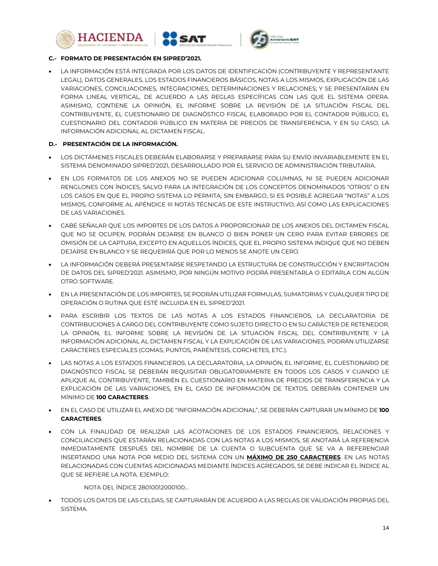





## **C.- FORMATO DE PRESENTACIÓN EN SIPRED'2021.**

 LA INFORMACIÓN ESTÁ INTEGRADA POR LOS DATOS DE IDENTIFICACIÓN (CONTRIBUYENTE Y REPRESENTANTE LEGAL), DATOS GENERALES, LOS ESTADOS FINANCIEROS BÁSICOS, NOTAS A LOS MISMOS, EXPLICACIÓN DE LAS VARIACIONES, CONCILIACIONES, INTEGRACIONES, DETERMINACIONES Y RELACIONES; Y SE PRESENTARAN EN FORMA LINEAL VERTICAL, DE ACUERDO A LAS REGLAS ESPECÍFICAS CON LAS QUE EL SISTEMA OPERA. ASIMISMO, CONTIENE LA OPINIÓN, EL INFORME SOBRE LA REVISIÓN DE LA SITUACIÓN FISCAL DEL CONTRIBUYENTE, EL CUESTIONARIO DE DIAGNÓSTICO FISCAL ELABORADO POR EL CONTADOR PÚBLICO, EL CUESTIONARIO DEL CONTADOR PÚBLICO EN MATERIA DE PRECIOS DE TRANSFERENCIA, Y EN SU CASO, LA INFORMACIÓN ADICIONAL AL DICTAMEN FISCAL.

## **D.- PRESENTACIÓN DE LA INFORMACIÓN.**

- LOS DICTÁMENES FISCALES DEBERÁN ELABORARSE Y PREPARARSE PARA SU ENVÍO INVARIABLEMENTE EN EL SISTEMA DENOMINADO SIPRED'2021, DESARROLLADO POR EL SERVICIO DE ADMINISTRACIÓN TRIBUTARIA.
- EN LOS FORMATOS DE LOS ANEXOS NO SE PUEDEN ADICIONAR COLUMNAS, NI SE PUEDEN ADICIONAR RENGLONES CON ÍNDICES, SALVO PARA LA INTEGRACIÓN DE LOS CONCEPTOS DENOMINADOS "OTROS" O EN LOS CASOS EN QUE EL PROPIO SISTEMA LO PERMITA; SIN EMBARGO, SI ES POSIBLE AGREGAR "NOTAS" A LOS MISMOS, CONFORME AL APÉNDICE III NOTAS TÉCNICAS DE ESTE INSTRUCTIVO, ASÍ COMO LAS EXPLICACIONES DE LAS VARIACIONES.
- CABE SEÑALAR QUE LOS IMPORTES DE LOS DATOS A PROPORCIONAR DE LOS ANEXOS DEL DICTAMEN FISCAL QUE NO SE OCUPEN, PODRÁN DEJARSE EN BLANCO O BIEN PONER UN CERO PARA EVITAR ERRORES DE OMISIÓN DE LA CAPTURA, EXCEPTO EN AQUELLOS ÍNDICES, QUE EL PROPIO SISTEMA INDIQUE QUE NO DEBEN DEJARSE EN BLANCO Y SE REQUERIRÁ QUE POR LO MENOS SE ANOTE UN CERO.
- LA INFORMACIÓN DEBERÁ PRESENTARSE RESPETANDO LA ESTRUCTURA DE CONSTRUCCIÓN Y ENCRIPTACIÓN DE DATOS DEL SIPRED'2021. ASIMISMO, POR NINGÚN MOTIVO PODRÁ PRESENTARLA O EDITARLA CON ALGÚN OTRO SOFTWARE.
- EN LA PRESENTACIÓN DE LOS IMPORTES, SE PODRÁN UTILIZAR FORMULAS, SUMATORIAS Y CUALQUIER TIPO DE OPERACIÓN O RUTINA QUE ESTÉ INCLUIDA EN EL SIPRED'2021.
- PARA ESCRIBIR LOS TEXTOS DE LAS NOTAS A LOS ESTADOS FINANCIEROS, LA DECLARATORIA DE CONTRIBUCIONES A CARGO DEL CONTRIBUYENTE COMO SUJETO DIRECTO O EN SU CARÁCTER DE RETENEDOR, LA OPINIÓN, EL INFORME SOBRE LA REVISIÓN DE LA SITUACIÓN FISCAL DEL CONTRIBUYENTE Y LA INFORMACIÓN ADICIONAL AL DICTAMEN FISCAL Y LA EXPLICACIÓN DE LAS VARIACIONES, PODRÁN UTILIZARSE CARACTERES ESPECIALES (COMAS, PUNTOS, PARÉNTESIS, CORCHETES, ETC.).
- LAS NOTAS A LOS ESTADOS FINANCIEROS, LA DECLARATORIA, LA OPINIÓN, EL INFORME, EL CUESTIONARIO DE DIAGNÓSTICO FISCAL SE DEBERÁN REQUISITAR OBLIGATORIAMENTE EN TODOS LOS CASOS Y CUANDO LE APLIQUE AL CONTRIBUYENTE, TAMBIÉN EL CUESTIONARIO EN MATERIA DE PRECIOS DE TRANSFERENCIA Y LA EXPLICACIÓN DE LAS VARIACIONES, EN EL CASO DE INFORMACIÓN DE TEXTOS, DEBERÁN CONTENER UN MÍNIMO DE **100 CARACTERES**.
- EN EL CASO DE UTILIZAR EL ANEXO DE "INFORMACIÓN ADICIONAL", SE DEBERÁN CAPTURAR UN MÍNIMO DE **100 CARACTERES**.
- CON LA FINALIDAD DE REALIZAR LAS ACOTACIONES DE LOS ESTADOS FINANCIEROS, RELACIONES Y CONCILIACIONES QUE ESTARÁN RELACIONADAS CON LAS NOTAS A LOS MISMOS, SE ANOTARÁ LA REFERENCIA INMEDIATAMENTE DESPUÉS DEL NOMBRE DE LA CUENTA O SUBCUENTA QUE SE VA A REFERENCIAR INSERTANDO UNA NOTA POR MEDIO DEL SISTEMA CON UN **MÁXIMO DE 250 CARACTERES**. EN LAS NOTAS RELACIONADAS CON CUENTAS ADICIONADAS MEDIANTE ÍNDICES AGREGADOS, SE DEBE INDICAR EL ÍNDICE AL QUE SE REFIERE LA NOTA. EJEMPLO:

NOTA DEL ÍNDICE 28010012000100...

 TODOS LOS DATOS DE LAS CELDAS, SE CAPTURARÁN DE ACUERDO A LAS REGLAS DE VALIDACIÓN PROPIAS DEL SISTEMA.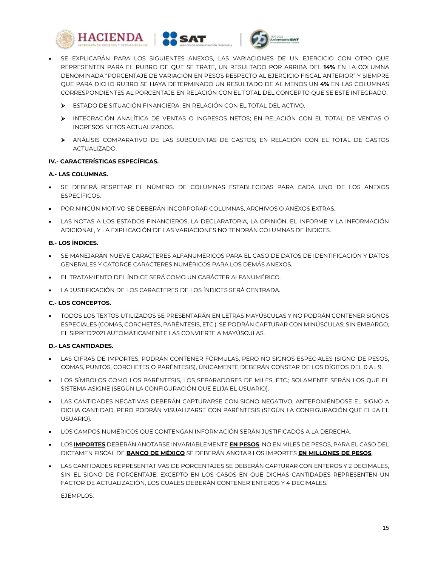





- SE EXPLICARÁN PARA LOS SIGUIENTES ANEXOS, LAS VARIACIONES DE UN EJERCICIO CON OTRO QUE REPRESENTEN PARA EL RUBRO DE QUE SE TRATE, UN RESULTADO POR ARRIBA DEL **14%** EN LA COLUMNA DENOMINADA "PORCENTAJE DE VARIACIÓN EN PESOS RESPECTO AL EJERCICIO FISCAL ANTERIOR" Y SIEMPRE QUE PARA DICHO RUBRO SE HAYA DETERMINADO UN RESULTADO DE AL MENOS UN **4%** EN LAS COLUMNAS CORRESPONDIENTES AL PORCENTAJE EN RELACIÓN CON EL TOTAL DEL CONCEPTO QUE SE ESTÉ INTEGRADO.
	- ESTADO DE SITUACIÓN FINANCIERA; EN RELACIÓN CON EL TOTAL DEL ACTIVO.
	- INTEGRACIÓN ANALÍTICA DE VENTAS O INGRESOS NETOS; EN RELACIÓN CON EL TOTAL DE VENTAS O INGRESOS NETOS ACTUALIZADOS.
	- ANÁLISIS COMPARATIVO DE LAS SUBCUENTAS DE GASTOS; EN RELACIÓN CON EL TOTAL DE GASTOS ACTUALIZADO.

## **IV.- CARACTERÍSTICAS ESPECÍFICAS.**

## **A.- LAS COLUMNAS.**

- SE DEBERÁ RESPETAR EL NÚMERO DE COLUMNAS ESTABLECIDAS PARA CADA UNO DE LOS ANEXOS ESPECÍFICOS.
- POR NINGÚN MOTIVO SE DEBERÁN INCORPORAR COLUMNAS, ARCHIVOS O ANEXOS EXTRAS.
- LAS NOTAS A LOS ESTADOS FINANCIEROS, LA DECLARATORIA, LA OPINIÓN, EL INFORME Y LA INFORMACIÓN ADICIONAL, Y LA EXPLICACIÓN DE LAS VARIACIONES NO TENDRÁN COLUMNAS DE ÍNDICES.

## **B.- LOS ÍNDICES.**

- SE MANEJARÁN NUEVE CARACTERES ALFANUMÉRICOS PARA EL CASO DE DATOS DE IDENTIFICACIÓN Y DATOS GENERALES Y CATORCE CARACTERES NUMÉRICOS PARA LOS DEMÁS ANEXOS.
- EL TRATAMIENTO DEL ÍNDICE SERÁ COMO UN CARÁCTER ALFANUMÉRICO.
- LA JUSTIFICACIÓN DE LOS CARACTERES DE LOS ÍNDICES SERÁ CENTRADA.

# **C.- LOS CONCEPTOS.**

 TODOS LOS TEXTOS UTILIZADOS SE PRESENTARÁN EN LETRAS MAYÚSCULAS Y NO PODRÁN CONTENER SIGNOS ESPECIALES (COMAS, CORCHETES, PARÉNTESIS, ETC.). SE PODRÁN CAPTURAR CON MINÚSCULAS; SIN EMBARGO, EL SIPRED'2021 AUTOMÁTICAMENTE LAS CONVIERTE A MAYÚSCULAS.

## **D.- LAS CANTIDADES.**

- LAS CIFRAS DE IMPORTES, PODRÁN CONTENER FÓRMULAS, PERO NO SIGNOS ESPECIALES (SIGNO DE PESOS, COMAS, PUNTOS, CORCHETES O PARÉNTESIS), ÚNICAMENTE DEBERÁN CONSTAR DE LOS DÍGITOS DEL 0 AL 9.
- LOS SÍMBOLOS COMO LOS PARÉNTESIS, LOS SEPARADORES DE MILES, ETC.; SOLAMENTE SERÁN LOS QUE EL SISTEMA ASIGNE (SEGÚN LA CONFIGURACIÓN QUE ELIJA EL USUARIO).
- LAS CANTIDADES NEGATIVAS DEBERÁN CAPTURARSE CON SIGNO NEGATIVO, ANTEPONIÉNDOSE EL SIGNO A DICHA CANTIDAD, PERO PODRÁN VISUALIZARSE CON PARÉNTESIS (SEGÚN LA CONFIGURACIÓN QUE ELIJA EL USUARIO).
- LOS CAMPOS NUMÉRICOS QUE CONTENGAN INFORMACIÓN SERÁN JUSTIFICADOS A LA DERECHA.
- LOS **IMPORTES** DEBERÁN ANOTARSE INVARIABLEMENTE **EN PESOS**, NO EN MILES DE PESOS, PARA EL CASO DEL DICTAMEN FISCAL DE **BANCO DE MÉXICO** SE DEBERÁN ANOTAR LOS IMPORTES **EN MILLONES DE PESOS**.
- LAS CANTIDADES REPRESENTATIVAS DE PORCENTAJES SE DEBERÁN CAPTURAR CON ENTEROS Y 2 DECIMALES, SIN EL SIGNO DE PORCENTAJE, EXCEPTO EN LOS CASOS EN QUE DICHAS CANTIDADES REPRESENTEN UN FACTOR DE ACTUALIZACIÓN, LOS CUALES DEBERÁN CONTENER ENTEROS Y 4 DECIMALES.

EJEMPLOS: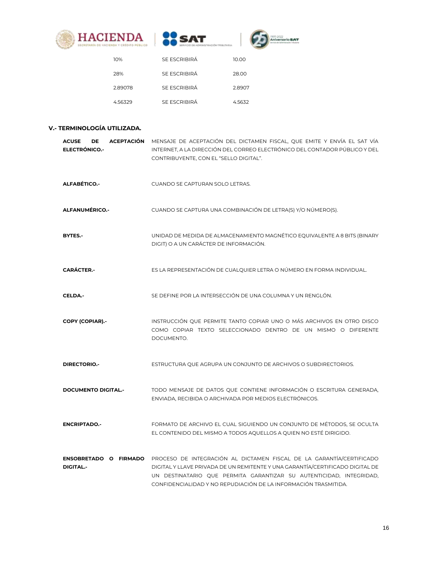





| 10%     | SE ESCRIBIRÁ | 10.00  |
|---------|--------------|--------|
| 28%     | SE ESCRIBIRÁ | 28.00  |
| 2.89078 | SE ESCRIBIRÁ | 2.8907 |
| 4.56329 | SE ESCRIBIRÁ | 4.5632 |

# **V.- TERMINOLOGÍA UTILIZADA.**

| <b>ACUSE</b><br>DE.<br><b>ACEPTACIÓN</b><br><b>ELECTRÓNICO.-</b> | MENSAJE DE ACEPTACIÓN DEL DICTAMEN FISCAL, QUE EMITE Y ENVÍA EL SAT VÍA<br>INTERNET, A LA DIRECCIÓN DEL CORREO ELECTRÓNICO DEL CONTADOR PÚBLICO Y DEL<br>CONTRIBUYENTE, CON EL "SELLO DIGITAL".                                                                                                 |
|------------------------------------------------------------------|-------------------------------------------------------------------------------------------------------------------------------------------------------------------------------------------------------------------------------------------------------------------------------------------------|
| ALFABÉTICO .-                                                    | CUANDO SE CAPTURAN SOLO LETRAS.                                                                                                                                                                                                                                                                 |
| <b>ALFANUMÉRICO.-</b>                                            | CUANDO SE CAPTURA UNA COMBINACIÓN DE LETRA(S) Y/O NÚMERO(S).                                                                                                                                                                                                                                    |
| BYTES.-                                                          | UNIDAD DE MEDIDA DE ALMACENAMIENTO MAGNÉTICO EQUIVALENTE A 8 BITS (BINARY<br>DIGIT) O A UN CARÁCTER DE INFORMACIÓN.                                                                                                                                                                             |
| <b>CARÁCTER.-</b>                                                | ES LA REPRESENTACIÓN DE CUALQUIER LETRA O NÚMERO EN FORMA INDIVIDUAL.                                                                                                                                                                                                                           |
| CELDA.-                                                          | SE DEFINE POR LA INTERSECCIÓN DE UNA COLUMNA Y UN RENGLÓN.                                                                                                                                                                                                                                      |
| <b>COPY (COPIAR).-</b>                                           | INSTRUCCIÓN QUE PERMITE TANTO COPIAR UNO O MÁS ARCHIVOS EN OTRO DISCO<br>COMO COPIAR TEXTO SELECCIONADO DENTRO DE UN MISMO O DIFERENTE<br>DOCUMENTO.                                                                                                                                            |
| DIRECTORIO.-                                                     | ESTRUCTURA QUE AGRUPA UN CONJUNTO DE ARCHIVOS O SUBDIRECTORIOS.                                                                                                                                                                                                                                 |
| <b>DOCUMENTO DIGITAL.-</b>                                       | TODO MENSAJE DE DATOS QUE CONTIENE INFORMACIÓN O ESCRITURA GENERADA,<br>ENVIADA, RECIBIDA O ARCHIVADA POR MEDIOS ELECTRÓNICOS.                                                                                                                                                                  |
| <b>ENCRIPTADO.-</b>                                              | FORMATO DE ARCHIVO EL CUAL SIGUIENDO UN CONJUNTO DE MÉTODOS, SE OCULTA<br>EL CONTENIDO DEL MISMO A TODOS AQUELLOS A QUIEN NO ESTÉ DIRIGIDO.                                                                                                                                                     |
| ENSOBRETADO O FIRMADO<br><b>DIGITAL-</b>                         | PROCESO DE INTEGRACIÓN AL DICTAMEN FISCAL DE LA GARANTÍA/CERTIFICADO<br>DIGITAL Y LLAVE PRIVADA DE UN REMITENTE Y UNA GARANTÍA/CERTIFICADO DIGITAL DE<br>UN DESTINATARIO QUE PERMITA GARANTIZAR SU AUTENTICIDAD, INTEGRIDAD,<br>CONFIDENCIALIDAD Y NO REPUDIACIÓN DE LA INFORMACIÓN TRASMITIDA. |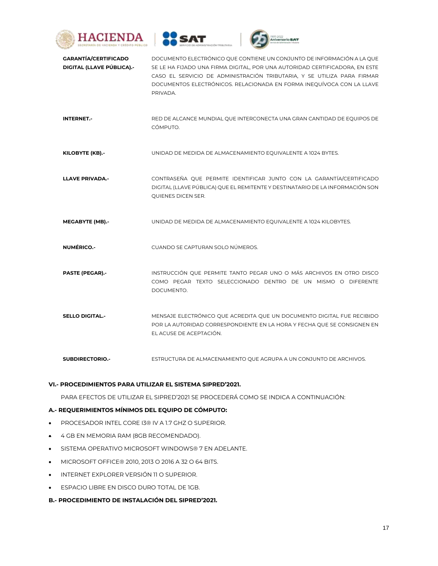





| <b>GARANTÍA/CERTIFICADO</b><br>DIGITAL (LLAVE PÚBLICA).- | DOCUMENTO ELECTRÓNICO QUE CONTIENE UN CONJUNTO DE INFORMACIÓN A LA QUE<br>SE LE HA FIJADO UNA FIRMA DIGITAL, POR UNA AUTORIDAD CERTIFICADORA, EN ESTE<br>CASO EL SERVICIO DE ADMINISTRACIÓN TRIBUTARIA, Y SE UTILIZA PARA FIRMAR<br>DOCUMENTOS ELECTRÓNICOS. RELACIONADA EN FORMA INEQUÍVOCA CON LA LLAVE<br>PRIVADA. |
|----------------------------------------------------------|-----------------------------------------------------------------------------------------------------------------------------------------------------------------------------------------------------------------------------------------------------------------------------------------------------------------------|
| <b>INTERNET.-</b>                                        | RED DE ALCANCE MUNDIAL QUE INTERCONECTA UNA GRAN CANTIDAD DE EQUIPOS DE<br>CÓMPUTO.                                                                                                                                                                                                                                   |
| KILOBYTE (KB).-                                          | UNIDAD DE MEDIDA DE ALMACENAMIENTO EQUIVALENTE A 1024 BYTES.                                                                                                                                                                                                                                                          |
| <b>LLAVE PRIVADA.-</b>                                   | CONTRASEÑA QUE PERMITE IDENTIFICAR JUNTO CON LA GARANTÍA/CERTIFICADO<br>DIGITAL (LLAVE PÚBLICA) QUE EL REMITENTE Y DESTINATARIO DE LA INFORMACIÓN SON<br>QUIENES DICEN SER.                                                                                                                                           |
| <b>MEGABYTE (MB).-</b>                                   | UNIDAD DE MEDIDA DE ALMACENAMIENTO EQUIVALENTE A 1024 KILOBYTES.                                                                                                                                                                                                                                                      |
| <b>NUMÉRICO.-</b>                                        | CUANDO SE CAPTURAN SOLO NÚMEROS.                                                                                                                                                                                                                                                                                      |
| <b>PASTE (PEGAR).-</b>                                   | INSTRUCCIÓN QUE PERMITE TANTO PEGAR UNO O MÁS ARCHIVOS EN OTRO DISCO<br>COMO PEGAR TEXTO SELECCIONADO DENTRO DE UN MISMO O DIFERENTE<br>DOCUMENTO.                                                                                                                                                                    |
| <b>SELLO DIGITAL.-</b>                                   | MENSAJE ELECTRÓNICO QUE ACREDITA QUE UN DOCUMENTO DIGITAL FUE RECIBIDO<br>POR LA AUTORIDAD CORRESPONDIENTE EN LA HORA Y FECHA QUE SE CONSIGNEN EN<br>EL ACUSE DE ACEPTACIÓN.                                                                                                                                          |

**SUBDIRECTORIO.-** ESTRUCTURA DE ALMACENAMIENTO QUE AGRUPA A UN CONJUNTO DE ARCHIVOS.

## **VI.- PROCEDIMIENTOS PARA UTILIZAR EL SISTEMA SIPRED'2021.**

PARA EFECTOS DE UTILIZAR EL SIPRED'2021 SE PROCEDERÁ COMO SE INDICA A CONTINUACIÓN:

## **A.- REQUERIMIENTOS MÍNIMOS DEL EQUIPO DE CÓMPUTO:**

- **PROCESADOR INTEL CORE 13® IV A 1.7 GHZ O SUPERIOR.**
- 4 GB EN MEMORIA RAM (8GB RECOMENDADO).
- **SISTEMA OPERATIVO MICROSOFT WINDOWS® 7 EN ADELANTE.**
- MICROSOFT OFFICE® 2010, 2013 O 2016 A 32 O 64 BITS.
- INTERNET EXPLORER VERSIÓN 11 O SUPERIOR.
- **ESPACIO LIBRE EN DISCO DURO TOTAL DE 1GB.**
- **B.- PROCEDIMIENTO DE INSTALACIÓN DEL SIPRED'2021.**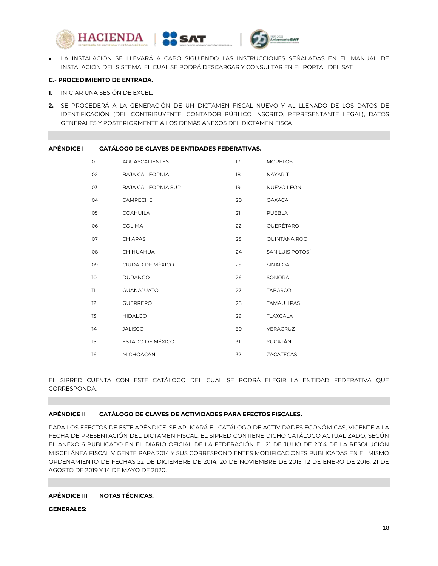





 LA INSTALACIÓN SE LLEVARÁ A CABO SIGUIENDO LAS INSTRUCCIONES SEÑALADAS EN EL MANUAL DE INSTALACIÓN DEL SISTEMA, EL CUAL SE PODRÁ DESCARGAR Y CONSULTAR EN EL PORTAL DEL SAT.

#### **C.- PROCEDIMIENTO DE ENTRADA.**

- **1.** INICIAR UNA SESIÓN DE EXCEL.
- **2.** SE PROCEDERÁ A LA GENERACIÓN DE UN DICTAMEN FISCAL NUEVO Y AL LLENADO DE LOS DATOS DE IDENTIFICACIÓN (DEL CONTRIBUYENTE, CONTADOR PÚBLICO INSCRITO, REPRESENTANTE LEGAL), DATOS GENERALES Y POSTERIORMENTE A LOS DEMÁS ANEXOS DEL DICTAMEN FISCAL.

#### **APÉNDICE I CATÁLOGO DE CLAVES DE ENTIDADES FEDERATIVAS.**

| O1 | <b>AGUASCALIENTES</b>      | 17 | <b>MORELOS</b>         |
|----|----------------------------|----|------------------------|
| 02 | <b>BAJA CALIFORNIA</b>     | 18 | <b>NAYARIT</b>         |
| 03 | <b>BAJA CALIFORNIA SUR</b> | 19 | <b>NUEVO LEON</b>      |
| 04 | <b>CAMPECHE</b>            | 20 | <b>OAXACA</b>          |
| 05 | <b>COAHUILA</b>            | 21 | PUEBLA                 |
| 06 | <b>COLIMA</b>              | 22 | QUERÉTARO              |
| 07 | <b>CHIAPAS</b>             | 23 | <b>QUINTANA ROO</b>    |
| 08 | CHIHUAHUA                  | 24 | <b>SAN LUIS POTOSÍ</b> |
| 09 | CIUDAD DE MÉXICO           | 25 | <b>SINALOA</b>         |
| 10 | <b>DURANGO</b>             | 26 | <b>SONORA</b>          |
| 11 | <b>GUANAJUATO</b>          | 27 | <b>TABASCO</b>         |
| 12 | <b>GUERRERO</b>            | 28 | <b>TAMAULIPAS</b>      |
| 13 | <b>HIDALGO</b>             | 29 | <b>TLAXCALA</b>        |
| 14 | <b>JALISCO</b>             | 30 | VERACRUZ               |
| 15 | ESTADO DE MÉXICO           | 31 | YUCATÁN                |
| 16 | <b>MICHOACÁN</b>           | 32 | <b>ZACATECAS</b>       |

EL SIPRED CUENTA CON ESTE CATÁLOGO DEL CUAL SE PODRÁ ELEGIR LA ENTIDAD FEDERATIVA QUE CORRESPONDA.

# **APÉNDICE II CATÁLOGO DE CLAVES DE ACTIVIDADES PARA EFECTOS FISCALES.**

PARA LOS EFECTOS DE ESTE APÉNDICE, SE APLICARÁ EL CATÁLOGO DE ACTIVIDADES ECONÓMICAS, VIGENTE A LA FECHA DE PRESENTACIÓN DEL DICTAMEN FISCAL. EL SIPRED CONTIENE DICHO CATÁLOGO ACTUALIZADO, SEGÚN EL ANEXO 6 PUBLICADO EN EL DIARIO OFICIAL DE LA FEDERACIÓN EL 21 DE JULIO DE 2014 DE LA RESOLUCIÓN MISCELÁNEA FISCAL VIGENTE PARA 2014 Y SUS CORRESPONDIENTES MODIFICACIONES PUBLICADAS EN EL MISMO ORDENAMIENTO DE FECHAS 22 DE DICIEMBRE DE 2014, 20 DE NOVIEMBRE DE 2015, 12 DE ENERO DE 2016, 21 DE AGOSTO DE 2019 Y 14 DE MAYO DE 2020.

## **APÉNDICE III NOTAS TÉCNICAS.**

#### **GENERALES:**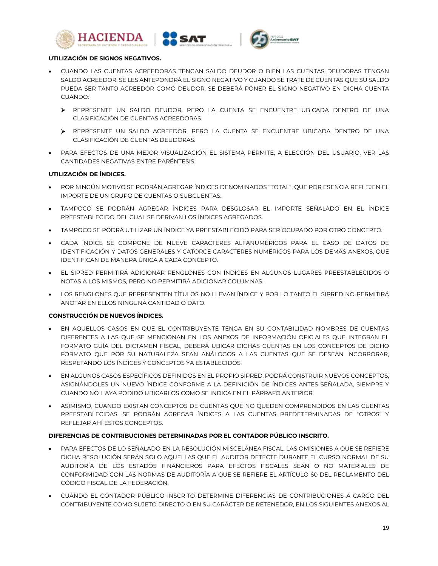





#### **UTILIZACIÓN DE SIGNOS NEGATIVOS.**

- CUANDO LAS CUENTAS ACREEDORAS TENGAN SALDO DEUDOR O BIEN LAS CUENTAS DEUDORAS TENGAN SALDO ACREEDOR, SE LES ANTEPONDRÁ EL SIGNO NEGATIVO Y CUANDO SE TRATE DE CUENTAS QUE SU SALDO PUEDA SER TANTO ACREEDOR COMO DEUDOR, SE DEBERÁ PONER EL SIGNO NEGATIVO EN DICHA CUENTA CUANDO:
	- REPRESENTE UN SALDO DEUDOR, PERO LA CUENTA SE ENCUENTRE UBICADA DENTRO DE UNA CLASIFICACIÓN DE CUENTAS ACREEDORAS.
	- REPRESENTE UN SALDO ACREEDOR, PERO LA CUENTA SE ENCUENTRE UBICADA DENTRO DE UNA CLASIFICACIÓN DE CUENTAS DEUDORAS.
- PARA EFECTOS DE UNA MEJOR VISUALIZACIÓN EL SISTEMA PERMITE, A ELECCIÓN DEL USUARIO, VER LAS CANTIDADES NEGATIVAS ENTRE PARÉNTESIS.

## **UTILIZACIÓN DE ÍNDICES.**

- POR NINGÚN MOTIVO SE PODRÁN AGREGAR ÍNDICES DENOMINADOS "TOTAL", QUE POR ESENCIA REFLEJEN EL IMPORTE DE UN GRUPO DE CUENTAS O SUBCUENTAS.
- TAMPOCO SE PODRÁN AGREGAR ÍNDICES PARA DESGLOSAR EL IMPORTE SEÑALADO EN EL ÍNDICE PREESTABLECIDO DEL CUAL SE DERIVAN LOS ÍNDICES AGREGADOS.
- TAMPOCO SE PODRÁ UTILIZAR UN ÍNDICE YA PREESTABLECIDO PARA SER OCUPADO POR OTRO CONCEPTO.
- CADA ÍNDICE SE COMPONE DE NUEVE CARACTERES ALFANUMÉRICOS PARA EL CASO DE DATOS DE IDENTIFICACIÓN Y DATOS GENERALES Y CATORCE CARACTERES NUMÉRICOS PARA LOS DEMÁS ANEXOS, QUE IDENTIFICAN DE MANERA ÚNICA A CADA CONCEPTO.
- EL SIPRED PERMITIRÁ ADICIONAR RENGLONES CON ÍNDICES EN ALGUNOS LUGARES PREESTABLECIDOS O NOTAS A LOS MISMOS, PERO NO PERMITIRÁ ADICIONAR COLUMNAS.
- LOS RENGLONES QUE REPRESENTEN TÍTULOS NO LLEVAN ÍNDICE Y POR LO TANTO EL SIPRED NO PERMITIRÁ ANOTAR EN ELLOS NINGUNA CANTIDAD O DATO.

## **CONSTRUCCIÓN DE NUEVOS ÍNDICES.**

- EN AQUELLOS CASOS EN QUE EL CONTRIBUYENTE TENGA EN SU CONTABILIDAD NOMBRES DE CUENTAS DIFERENTES A LAS QUE SE MENCIONAN EN LOS ANEXOS DE INFORMACIÓN OFICIALES QUE INTEGRAN EL FORMATO GUÍA DEL DICTAMEN FISCAL, DEBERÁ UBICAR DICHAS CUENTAS EN LOS CONCEPTOS DE DICHO FORMATO QUE POR SU NATURALEZA SEAN ANÁLOGOS A LAS CUENTAS QUE SE DESEAN INCORPORAR, RESPETANDO LOS ÍNDICES Y CONCEPTOS YA ESTABLECIDOS.
- EN ALGUNOS CASOS ESPECÍFICOS DEFINIDOS EN EL PROPIO SIPRED, PODRÁ CONSTRUIR NUEVOS CONCEPTOS, ASIGNÁNDOLES UN NUEVO ÍNDICE CONFORME A LA DEFINICIÓN DE ÍNDICES ANTES SEÑALADA, SIEMPRE Y CUANDO NO HAYA PODIDO UBICARLOS COMO SE INDICA EN EL PÁRRAFO ANTERIOR.
- ASIMISMO, CUANDO EXISTAN CONCEPTOS DE CUENTAS QUE NO QUEDEN COMPRENDIDOS EN LAS CUENTAS PREESTABLECIDAS, SE PODRÁN AGREGAR ÍNDICES A LAS CUENTAS PREDETERMINADAS DE "OTROS" Y REFLEJAR AHÍ ESTOS CONCEPTOS.

## **DIFERENCIAS DE CONTRIBUCIONES DETERMINADAS POR EL CONTADOR PÚBLICO INSCRITO.**

- PARA EFECTOS DE LO SEÑALADO EN LA RESOLUCIÓN MISCELÁNEA FISCAL, LAS OMISIONES A QUE SE REFIERE DICHA RESOLUCIÓN SERÁN SOLO AQUELLAS QUE EL AUDITOR DETECTE DURANTE EL CURSO NORMAL DE SU AUDITORÍA DE LOS ESTADOS FINANCIEROS PARA EFECTOS FISCALES SEAN O NO MATERIALES DE CONFORMIDAD CON LAS NORMAS DE AUDITORÍA A QUE SE REFIERE EL ARTÍCULO 60 DEL REGLAMENTO DEL CÓDIGO FISCAL DE LA FEDERACIÓN.
- CUANDO EL CONTADOR PÚBLICO INSCRITO DETERMINE DIFERENCIAS DE CONTRIBUCIONES A CARGO DEL CONTRIBUYENTE COMO SUJETO DIRECTO O EN SU CARÁCTER DE RETENEDOR, EN LOS SIGUIENTES ANEXOS AL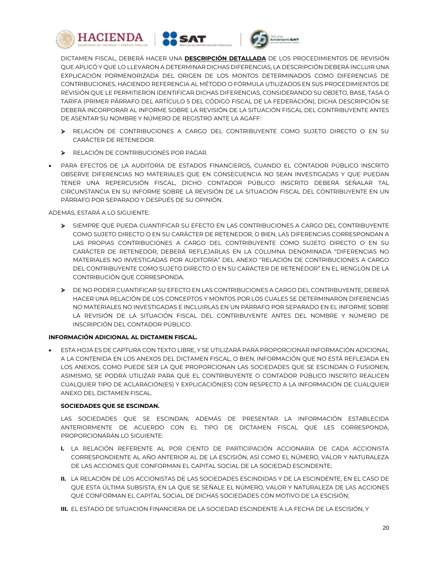





DICTAMEN FISCAL, DEBERÁ HACER UNA **DESCRIPCIÓN DETALLADA** DE LOS PROCEDIMIENTOS DE REVISIÓN QUE APLICÓ Y QUE LO LLEVARON A DETERMINAR DICHAS DIFERENCIAS, LA DESCRIPCIÓN DEBERÁ INCLUIR UNA EXPLICACIÓN PORMENORIZADA DEL ORIGEN DE LOS MONTOS DETERMINADOS COMO DIFERENCIAS DE CONTRIBUCIONES, HACIENDO REFERENCIA AL MÉTODO O FÓRMULA UTILIZADOS EN SUS PROCEDIMIENTOS DE REVISIÓN QUE LE PERMITIERON IDENTIFICAR DICHAS DIFERENCIAS, CONSIDERANDO SU OBJETO, BASE, TASA O TARIFA (PRIMER PÁRRAFO DEL ARTÍCULO 5 DEL CÓDIGO FISCAL DE LA FEDERACIÓN), DICHA DESCRIPCIÓN SE DEBERÁ INCORPORAR AL INFORME SOBRE LA REVISIÓN DE LA SITUACIÓN FISCAL DEL CONTRIBUYENTE ANTES DE ASENTAR SU NOMBRE Y NÚMERO DE REGISTRO ANTE LA AGAFF:

- RELACIÓN DE CONTRIBUCIONES A CARGO DEL CONTRIBUYENTE COMO SUJETO DIRECTO O EN SU CARÁCTER DE RETENEDOR.
- **ELACIÓN DE CONTRIBUCIONES POR PAGAR.**
- PARA EFECTOS DE LA AUDITORÍA DE ESTADOS FINANCIEROS, CUANDO EL CONTADOR PÚBLICO INSCRITO OBSERVE DIFERENCIAS NO MATERIALES QUE EN CONSECUENCIA NO SEAN INVESTIGADAS Y QUE PUEDAN TENER UNA REPERCUSIÓN FISCAL, DICHO CONTADOR PÚBLICO INSCRITO DEBERÁ SEÑALAR TAL CIRCUNSTANCIA EN SU INFORME SOBRE LA REVISIÓN DE LA SITUACIÓN FISCAL DEL CONTRIBUYENTE EN UN PÁRRAFO POR SEPARADO Y DESPUÉS DE SU OPINIÓN.

ADEMÁS, ESTARÁ A LO SIGUIENTE:

- SIEMPRE QUE PUEDA CUANTIFICAR SU EFECTO EN LAS CONTRIBUCIONES A CARGO DEL CONTRIBUYENTE COMO SUJETO DIRECTO O EN SU CARÁCTER DE RETENEDOR, O BIEN, LAS DIFERENCIAS CORRESPONDAN A LAS PROPIAS CONTRIBUCIONES A CARGO DEL CONTRIBUYENTE COMO SUJETO DIRECTO O EN SU CARÁCTER DE RETENEDOR, DEBERÁ REFLEJARLAS EN LA COLUMNA DENOMINADA "DIFERENCIAS NO MATERIALES NO INVESTIGADAS POR AUDITORÍA" DEL ANEXO "RELACIÓN DE CONTRIBUCIONES A CARGO DEL CONTRIBUYENTE COMO SUJETO DIRECTO O EN SU CARÁCTER DE RETENEDOR" EN EL RENGLÓN DE LA CONTRIBUCIÓN QUE CORRESPONDA.
- DE NO PODER CUANTIFICAR SU EFECTO EN LAS CONTRIBUCIONES A CARGO DEL CONTRIBUYENTE, DEBERÁ HACER UNA RELACIÓN DE LOS CONCEPTOS Y MONTOS POR LOS CUALES SE DETERMINARON DIFERENCIAS NO MATERIALES NO INVESTIGADAS E INCLUIRLAS EN UN PÁRRAFO POR SEPARADO EN EL INFORME SOBRE LA REVISIÓN DE LA SITUACIÓN FISCAL DEL CONTRIBUYENTE ANTES DEL NOMBRE Y NÚMERO DE INSCRIPCIÓN DEL CONTADOR PÚBLICO.

# **INFORMACIÓN ADICIONAL AL DICTAMEN FISCAL.**

 ESTA HOJA ES DE CAPTURA CON TEXTO LIBRE, Y SE UTILIZARÁ PARA PROPORCIONAR INFORMACIÓN ADICIONAL A LA CONTENIDA EN LOS ANEXOS DEL DICTAMEN FISCAL, O BIEN, INFORMACIÓN QUE NO ESTÁ REFLEJADA EN LOS ANEXOS, COMO PUEDE SER LA QUE PROPORCIONAN LAS SOCIEDADES QUE SE ESCINDAN O FUSIONEN, ASIMISMO, SE PODRÁ UTILIZAR PARA QUE EL CONTRIBUYENTE O CONTADOR PÚBLICO INSCRITO REALICEN CUALQUIER TIPO DE ACLARACIÓN(ES) Y EXPLICACIÓN(ES) CON RESPECTO A LA INFORMACIÓN DE CUALQUIER ANEXO DEL DICTAMEN FISCAL.

## **SOCIEDADES QUE SE ESCINDAN.**

LAS SOCIEDADES QUE SE ESCINDAN, ADEMÁS DE PRESENTAR LA INFORMACIÓN ESTABLECIDA ANTERIORMENTE DE ACUERDO CON EL TIPO DE DICTAMEN FISCAL QUE LES CORRESPONDA, PROPORCIONARÁN LO SIGUIENTE:

- **I.** LA RELACIÓN REFERENTE AL POR CIENTO DE PARTICIPACIÓN ACCIONARIA DE CADA ACCIONISTA CORRESPONDIENTE AL AÑO ANTERIOR AL DE LA ESCISIÓN, ASÍ COMO EL NÚMERO, VALOR Y NATURALEZA DE LAS ACCIONES QUE CONFORMAN EL CAPITAL SOCIAL DE LA SOCIEDAD ESCINDENTE;
- **II.** LA RELACIÓN DE LOS ACCIONISTAS DE LAS SOCIEDADES ESCINDIDAS Y DE LA ESCINDENTE, EN EL CASO DE QUE ESTA ÚLTIMA SUBSISTA, EN LA QUE SE SEÑALE EL NÚMERO, VALOR Y NATURALEZA DE LAS ACCIONES QUE CONFORMAN EL CAPITAL SOCIAL DE DICHAS SOCIEDADES CON MOTIVO DE LA ESCISIÓN;
- **III.** EL ESTADO DE SITUACIÓN FINANCIERA DE LA SOCIEDAD ESCINDENTE A LA FECHA DE LA ESCISIÓN, Y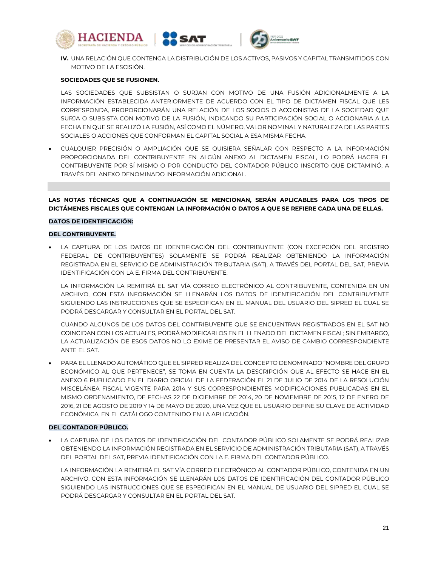





**IV.** UNA RELACIÓN QUE CONTENGA LA DISTRIBUCIÓN DE LOS ACTIVOS, PASIVOS Y CAPITAL TRANSMITIDOS CON MOTIVO DE LA ESCISIÓN.

#### **SOCIEDADES QUE SE FUSIONEN.**

LAS SOCIEDADES QUE SUBSISTAN O SURJAN CON MOTIVO DE UNA FUSIÓN ADICIONALMENTE A LA INFORMACIÓN ESTABLECIDA ANTERIORMENTE DE ACUERDO CON EL TIPO DE DICTAMEN FISCAL QUE LES CORRESPONDA, PROPORCIONARÁN UNA RELACIÓN DE LOS SOCIOS O ACCIONISTAS DE LA SOCIEDAD QUE SURJA O SUBSISTA CON MOTIVO DE LA FUSIÓN, INDICANDO SU PARTICIPACIÓN SOCIAL O ACCIONARIA A LA FECHA EN QUE SE REALIZÓ LA FUSIÓN, ASÍ COMO EL NÚMERO, VALOR NOMINAL Y NATURALEZA DE LAS PARTES SOCIALES O ACCIONES QUE CONFORMAN EL CAPITAL SOCIAL A ESA MISMA FECHA.

 CUALQUIER PRECISIÓN O AMPLIACIÓN QUE SE QUISIERA SEÑALAR CON RESPECTO A LA INFORMACIÓN PROPORCIONADA DEL CONTRIBUYENTE EN ALGÚN ANEXO AL DICTAMEN FISCAL, LO PODRÁ HACER EL CONTRIBUYENTE POR SÍ MISMO O POR CONDUCTO DEL CONTADOR PÚBLICO INSCRITO QUE DICTAMINÓ, A TRAVÉS DEL ANEXO DENOMINADO INFORMACIÓN ADICIONAL.

**LAS NOTAS TÉCNICAS QUE A CONTINUACIÓN SE MENCIONAN, SERÁN APLICABLES PARA LOS TIPOS DE DICTÁMENES FISCALES QUE CONTENGAN LA INFORMACIÓN O DATOS A QUE SE REFIERE CADA UNA DE ELLAS.**

#### **DATOS DE IDENTIFICACIÓN:**

#### **DEL CONTRIBUYENTE.**

 LA CAPTURA DE LOS DATOS DE IDENTIFICACIÓN DEL CONTRIBUYENTE (CON EXCEPCIÓN DEL REGISTRO FEDERAL DE CONTRIBUYENTES) SOLAMENTE SE PODRÁ REALIZAR OBTENIENDO LA INFORMACIÓN REGISTRADA EN EL SERVICIO DE ADMINISTRACIÓN TRIBUTARIA (SAT), A TRAVÉS DEL PORTAL DEL SAT, PREVIA IDENTIFICACIÓN CON LA E. FIRMA DEL CONTRIBUYENTE.

LA INFORMACIÓN LA REMITIRÁ EL SAT VÍA CORREO ELECTRÓNICO AL CONTRIBUYENTE, CONTENIDA EN UN ARCHIVO, CON ESTA INFORMACIÓN SE LLENARÁN LOS DATOS DE IDENTIFICACIÓN DEL CONTRIBUYENTE SIGUIENDO LAS INSTRUCCIONES QUE SE ESPECIFICAN EN EL MANUAL DEL USUARIO DEL SIPRED EL CUAL SE PODRÁ DESCARGAR Y CONSULTAR EN EL PORTAL DEL SAT.

CUANDO ALGUNOS DE LOS DATOS DEL CONTRIBUYENTE QUE SE ENCUENTRAN REGISTRADOS EN EL SAT NO COINCIDAN CON LOS ACTUALES, PODRÁ MODIFICARLOS EN EL LLENADO DEL DICTAMEN FISCAL; SIN EMBARGO, LA ACTUALIZACIÓN DE ESOS DATOS NO LO EXIME DE PRESENTAR EL AVISO DE CAMBIO CORRESPONDIENTE ANTE EL SAT.

 PARA EL LLENADO AUTOMÁTICO QUE EL SIPRED REALIZA DEL CONCEPTO DENOMINADO "NOMBRE DEL GRUPO ECONÓMICO AL QUE PERTENECE", SE TOMA EN CUENTA LA DESCRIPCIÓN QUE AL EFECTO SE HACE EN EL ANEXO 6 PUBLICADO EN EL DIARIO OFICIAL DE LA FEDERACIÓN EL 21 DE JULIO DE 2014 DE LA RESOLUCIÓN MISCELÁNEA FISCAL VIGENTE PARA 2014 Y SUS CORRESPONDIENTES MODIFICACIONES PUBLICADAS EN EL MISMO ORDENAMIENTO, DE FECHAS 22 DE DICIEMBRE DE 2014, 20 DE NOVIEMBRE DE 2015, 12 DE ENERO DE 2016, 21 DE AGOSTO DE 2019 Y 14 DE MAYO DE 2020, UNA VEZ QUE EL USUARIO DEFINE SU CLAVE DE ACTIVIDAD ECONÓMICA, EN EL CATÁLOGO CONTENIDO EN LA APLICACIÓN.

#### **DEL CONTADOR PÚBLICO.**

 LA CAPTURA DE LOS DATOS DE IDENTIFICACIÓN DEL CONTADOR PÚBLICO SOLAMENTE SE PODRÁ REALIZAR OBTENIENDO LA INFORMACIÓN REGISTRADA EN EL SERVICIO DE ADMINISTRACIÓN TRIBUTARIA (SAT), A TRAVÉS DEL PORTAL DEL SAT, PREVIA IDENTIFICACIÓN CON LA E. FIRMA DEL CONTADOR PÚBLICO.

LA INFORMACIÓN LA REMITIRÁ EL SAT VÍA CORREO ELECTRÓNICO AL CONTADOR PÚBLICO, CONTENIDA EN UN ARCHIVO, CON ESTA INFORMACIÓN SE LLENARÁN LOS DATOS DE IDENTIFICACIÓN DEL CONTADOR PÚBLICO SIGUIENDO LAS INSTRUCCIONES QUE SE ESPECIFICAN EN EL MANUAL DE USUARIO DEL SIPRED EL CUAL SE PODRÁ DESCARGAR Y CONSULTAR EN EL PORTAL DEL SAT.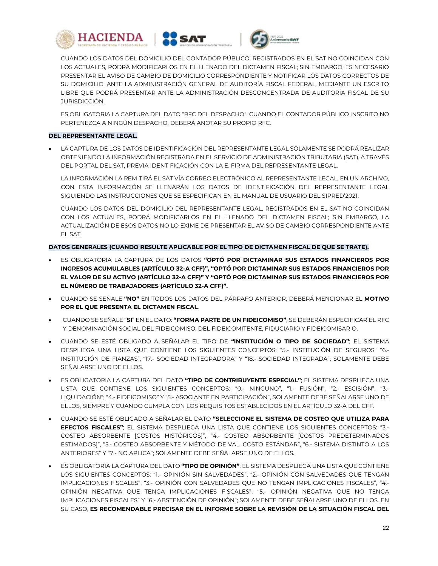





CUANDO LOS DATOS DEL DOMICILIO DEL CONTADOR PÚBLICO, REGISTRADOS EN EL SAT NO COINCIDAN CON LOS ACTUALES, PODRÁ MODIFICARLOS EN EL LLENADO DEL DICTAMEN FISCAL; SIN EMBARGO, ES NECESARIO PRESENTAR EL AVISO DE CAMBIO DE DOMICILIO CORRESPONDIENTE Y NOTIFICAR LOS DATOS CORRECTOS DE SU DOMICILIO, ANTE LA ADMINISTRACIÓN GENERAL DE AUDITORÍA FISCAL FEDERAL, MEDIANTE UN ESCRITO LIBRE QUE PODRÁ PRESENTAR ANTE LA ADMINISTRACIÓN DESCONCENTRADA DE AUDITORÍA FISCAL DE SU JURISDICCIÓN.

ES OBLIGATORIA LA CAPTURA DEL DATO "RFC DEL DESPACHO", CUANDO EL CONTADOR PÚBLICO INSCRITO NO PERTENEZCA A NINGÚN DESPACHO, DEBERÁ ANOTAR SU PROPIO RFC.

## **DEL REPRESENTANTE LEGAL.**

 LA CAPTURA DE LOS DATOS DE IDENTIFICACIÓN DEL REPRESENTANTE LEGAL SOLAMENTE SE PODRÁ REALIZAR OBTENIENDO LA INFORMACIÓN REGISTRADA EN EL SERVICIO DE ADMINISTRACIÓN TRIBUTARIA (SAT), A TRAVÉS DEL PORTAL DEL SAT, PREVIA IDENTIFICACIÓN CON LA E. FIRMA DEL REPRESENTANTE LEGAL.

LA INFORMACIÓN LA REMITIRÁ EL SAT VÍA CORREO ELECTRÓNICO AL REPRESENTANTE LEGAL, EN UN ARCHIVO, CON ESTA INFORMACIÓN SE LLENARÁN LOS DATOS DE IDENTIFICACIÓN DEL REPRESENTANTE LEGAL SIGUIENDO LAS INSTRUCCIONES QUE SE ESPECIFICAN EN EL MANUAL DE USUARIO DEL SIPRED'2021.

CUANDO LOS DATOS DEL DOMICILIO DEL REPRESENTANTE LEGAL, REGISTRADOS EN EL SAT NO COINCIDAN CON LOS ACTUALES, PODRÁ MODIFICARLOS EN EL LLENADO DEL DICTAMEN FISCAL; SIN EMBARGO, LA ACTUALIZACIÓN DE ESOS DATOS NO LO EXIME DE PRESENTAR EL AVISO DE CAMBIO CORRESPONDIENTE ANTE EL SAT.

## **DATOS GENERALES (CUANDO RESULTE APLICABLE POR EL TIPO DE DICTAMEN FISCAL DE QUE SE TRATE).**

- ES OBLIGATORIA LA CAPTURA DE LOS DATOS **"OPTÓ POR DICTAMINAR SUS ESTADOS FINANCIEROS POR INGRESOS ACUMULABLES (ARTÍCULO 32-A CFF)", "OPTÓ POR DICTAMINAR SUS ESTADOS FINANCIEROS POR EL VALOR DE SU ACTIVO (ARTÍCULO 32-A CFF)" Y "OPTÓ POR DICTAMINAR SUS ESTADOS FINANCIEROS POR EL NÚMERO DE TRABAJADORES (ARTÍCULO 32-A CFF)".**
- CUANDO SE SEÑALE **"NO"** EN TODOS LOS DATOS DEL PÁRRAFO ANTERIOR, DEBERÁ MENCIONAR EL **MOTIVO POR EL QUE PRESENTA EL DICTAMEN FISCAL**.
- CUANDO SE SEÑALE "**SI**" EN EL DATO: **"FORMA PARTE DE UN FIDEICOMISO"**, SE DEBERÁN ESPECIFICAR EL RFC Y DENOMINACIÓN SOCIAL DEL FIDEICOMISO, DEL FIDEICOMITENTE, FIDUCIARIO Y FIDEICOMISARIO.
- CUANDO SE ESTÉ OBLIGADO A SEÑALAR EL TIPO DE **"INSTITUCIÓN O TIPO DE SOCIEDAD"**; EL SISTEMA DESPLIEGA UNA LISTA QUE CONTIENE LOS SIGUIENTES CONCEPTOS: "5.- INSTITUCIÓN DE SEGUROS" "6.- INSTITUCIÓN DE FIANZAS", "17.- SOCIEDAD INTEGRADORA" Y "18.- SOCIEDAD INTEGRADA"; SOLAMENTE DEBE SEÑALARSE UNO DE ELLOS.
- ES OBLIGATORIA LA CAPTURA DEL DATO **"TIPO DE CONTRIBUYENTE ESPECIAL"**; EL SISTEMA DESPLIEGA UNA LISTA QUE CONTIENE LOS SIGUIENTES CONCEPTOS: "0.- NINGUNO", "1.- FUSIÓN", "2.- ESCISIÓN", "3.- LIQUIDACIÓN"; "4.- FIDEICOMISO" Y "5.- ASOCIANTE EN PARTICIPACIÓN", SOLAMENTE DEBE SEÑALARSE UNO DE ELLOS, SIEMPRE Y CUANDO CUMPLA CON LOS REQUISITOS ESTABLECIDOS EN EL ARTÍCULO 32-A DEL CFF.
- CUANDO SE ESTÉ OBLIGADO A SEÑALAR EL DATO **"SELECCIONE EL SISTEMA DE COSTEO QUE UTILIZA PARA EFECTOS FISCALES"**; EL SISTEMA DESPLIEGA UNA LISTA QUE CONTIENE LOS SIGUIENTES CONCEPTOS: "3.- COSTEO ABSORBENTE [COSTOS HISTÓRICOS]", "4.- COSTEO ABSORBENTE [COSTOS PREDETERMINADOS ESTIMADOS]", "5.- COSTEO ABSORBENTE Y MÉTODO DE VAL. COSTO ESTÁNDAR", "6.- SISTEMA DISTINTO A LOS ANTERIORES" Y "7.- NO APLICA"; SOLAMENTE DEBE SEÑALARSE UNO DE ELLOS.
- ES OBLIGATORIA LA CAPTURA DEL DATO **"TIPO DE OPINIÓN"**; EL SISTEMA DESPLIEGA UNA LISTA QUE CONTIENE LOS SIGUIENTES CONCEPTOS: "1.- OPINIÓN SIN SALVEDADES", "2.- OPINIÓN CON SALVEDADES QUE TENGAN IMPLICACIONES FISCALES", "3.- OPINIÓN CON SALVEDADES QUE NO TENGAN IMPLICACIONES FISCALES", "4.- OPINIÓN NEGATIVA QUE TENGA IMPLICACIONES FISCALES", "5.- OPINIÓN NEGATIVA QUE NO TENGA IMPLICACIONES FISCALES" Y "6.- ABSTENCIÓN DE OPINIÓN"; SOLAMENTE DEBE SEÑALARSE UNO DE ELLOS. EN SU CASO, **ES RECOMENDABLE PRECISAR EN EL INFORME SOBRE LA REVISIÓN DE LA SITUACIÓN FISCAL DEL**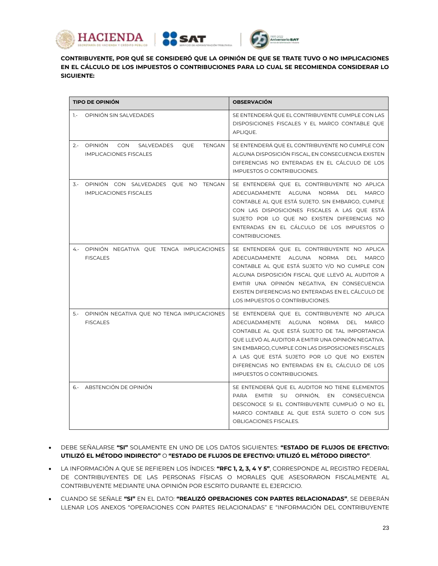





**CONTRIBUYENTE, POR QUÉ SE CONSIDERÓ QUE LA OPINIÓN DE QUE SE TRATE TUVO O NO IMPLICACIONES EN EL CÁLCULO DE LOS IMPUESTOS O CONTRIBUCIONES PARA LO CUAL SE RECOMIENDA CONSIDERAR LO SIGUIENTE:**

|              | <b>TIPO DE OPINIÓN</b>                                                    | <b>OBSERVACIÓN</b>                                                                                                                                                                                                                                                                                                                                                                |
|--------------|---------------------------------------------------------------------------|-----------------------------------------------------------------------------------------------------------------------------------------------------------------------------------------------------------------------------------------------------------------------------------------------------------------------------------------------------------------------------------|
| $\mathbf{1}$ | OPINIÓN SIN SALVEDADES                                                    | SE ENTENDERÁ QUE EL CONTRIBUYENTE CUMPLE CON LAS<br>DISPOSICIONES FISCALES Y EL MARCO CONTABLE QUE<br>APLIQUE.                                                                                                                                                                                                                                                                    |
|              | 2.- OPINIÓN CON SALVEDADES<br>QUE TENGAN<br><b>IMPLICACIONES FISCALES</b> | SE ENTENDERÁ QUE EL CONTRIBUYENTE NO CUMPLE CON<br>ALGUNA DISPOSICIÓN FISCAL, EN CONSECUENCIA EXISTEN<br>DIFERENCIAS NO ENTERADAS EN EL CÁLCULO DE LOS<br>IMPUESTOS O CONTRIBUCIONES.                                                                                                                                                                                             |
|              | 3.- OPINIÓN CON SALVEDADES QUE NO TENGAN<br><b>IMPLICACIONES FISCALES</b> | SE ENTENDERÁ QUE EL CONTRIBUYENTE NO APLICA<br>ADECUADAMENTE ALGUNA NORMA DEL MARCO<br>CONTABLE AL QUE ESTÁ SUJETO. SIN EMBARGO, CUMPLE<br>CON LAS DISPOSICIONES FISCALES A LAS QUE ESTÁ<br>SUJETO POR LO QUE NO EXISTEN DIFERENCIAS NO<br>ENTERADAS EN EL CÁLCULO DE LOS IMPUESTOS O<br>CONTRIBUCIONES.                                                                          |
|              | 4.- OPINIÓN NEGATIVA QUE TENGA IMPLICACIONES<br><b>FISCALES</b>           | SE ENTENDERÁ QUE EL CONTRIBUYENTE NO APLICA<br>ADECUADAMENTE ALGUNA NORMA DEL MARCO<br>CONTABLE AL QUE ESTÁ SUJETO Y/O NO CUMPLE CON<br>ALGUNA DISPOSICIÓN FISCAL QUE LLEVÓ AL AUDITOR A<br>EMITIR UNA OPINIÓN NEGATIVA, EN CONSECUENCIA<br>EXISTEN DIFERENCIAS NO ENTERADAS EN EL CÁLCULO DE<br>LOS IMPUESTOS O CONTRIBUCIONES.                                                  |
|              | 5.- OPINIÓN NEGATIVA QUE NO TENGA IMPLICACIONES<br><b>FISCALES</b>        | SE ENTENDERÁ QUE EL CONTRIBUYENTE NO APLICA<br>ADECUADAMENTE ALGUNA NORMA DEL MARCO<br>CONTABLE AL QUE ESTÁ SUJETO DE TAL IMPORTANCIA<br>QUE LLEVÓ AL AUDITOR A EMITIR UNA OPINIÓN NEGATIVA.<br>SIN EMBARGO, CUMPLE CON LAS DISPOSICIONES FISCALES<br>A LAS QUE ESTÁ SUJETO POR LO QUE NO EXISTEN<br>DIFERENCIAS NO ENTERADAS EN EL CÁLCULO DE LOS<br>IMPUESTOS O CONTRIBUCIONES. |
|              | 6.- ABSTENCIÓN DE OPINIÓN                                                 | SE ENTENDERÁ QUE EL AUDITOR NO TIENE ELEMENTOS<br>PARA EMITIR SU OPINIÓN, EN CONSECUENCIA<br>DESCONOCE SI EL CONTRIBUYENTE CUMPLIÓ O NO EL<br>MARCO CONTABLE AL QUE ESTÁ SUJETO O CON SUS<br>OBLIGACIONES FISCALES.                                                                                                                                                               |

- DEBE SEÑALARSE **"SI"** SOLAMENTE EN UNO DE LOS DATOS SIGUIENTES: **"ESTADO DE FLUJOS DE EFECTIVO: UTILIZÓ EL MÉTODO INDIRECTO"** O **"ESTADO DE FLUJOS DE EFECTIVO: UTILIZÓ EL MÉTODO DIRECTO"**.
- LA INFORMACIÓN A QUE SE REFIEREN LOS ÍNDICES: **"RFC 1, 2, 3, 4 Y 5"**, CORRESPONDE AL REGISTRO FEDERAL DE CONTRIBUYENTES DE LAS PERSONAS FÍSICAS O MORALES QUE ASESORARON FISCALMENTE AL CONTRIBUYENTE MEDIANTE UNA OPINIÓN POR ESCRITO DURANTE EL EJERCICIO.
- CUANDO SE SEÑALE **"SI"** EN EL DATO: **"REALIZÓ OPERACIONES CON PARTES RELACIONADAS"**, SE DEBERÁN LLENAR LOS ANEXOS "OPERACIONES CON PARTES RELACIONADAS" E "INFORMACIÓN DEL CONTRIBUYENTE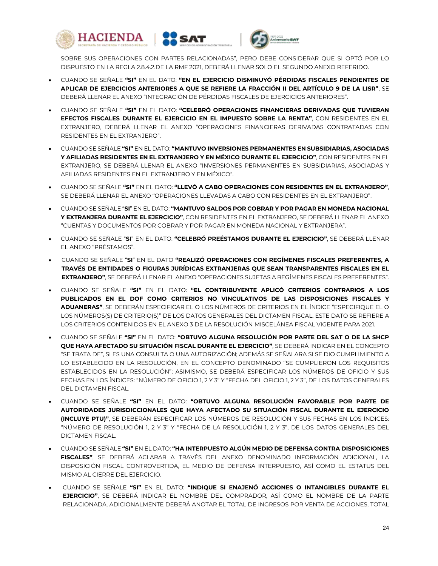





SOBRE SUS OPERACIONES CON PARTES RELACIONADAS", PERO DEBE CONSIDERAR QUE SI OPTÓ POR LO DISPUESTO EN LA REGLA 2.8.4.2.DE LA RMF 2021, DEBERÁ LLENAR SOLO EL SEGUNDO ANEXO REFERIDO.

- CUANDO SE SEÑALE **"SI"** EN EL DATO: **"EN EL EJERCICIO DISMINUYÓ PÉRDIDAS FISCALES PENDIENTES DE APLICAR DE EJERCICIOS ANTERIORES A QUE SE REFIERE LA FRACCIÓN II DEL ARTÍCULO 9 DE LA LISR"**, SE DEBERÁ LLENAR EL ANEXO "INTEGRACIÓN DE PÉRDIDAS FISCALES DE EJERCICIOS ANTERIORES".
- CUANDO SE SEÑALE **"SI"** EN EL DATO: **"CELEBRÓ OPERACIONES FINANCIERAS DERIVADAS QUE TUVIERAN EFECTOS FISCALES DURANTE EL EJERCICIO EN EL IMPUESTO SOBRE LA RENTA"**, CON RESIDENTES EN EL EXTRANJERO, DEBERÁ LLENAR EL ANEXO "OPERACIONES FINANCIERAS DERIVADAS CONTRATADAS CON RESIDENTES EN EL EXTRANJERO".
- CUANDO SE SEÑALE **"SI"** EN EL DATO: **"MANTUVO INVERSIONES PERMANENTES EN SUBSIDIARIAS, ASOCIADAS Y AFILIADAS RESIDENTES EN EL EXTRANJERO Y EN MÉXICO DURANTE EL EJERCICIO"**, CON RESIDENTES EN EL EXTRANJERO, SE DEBERÁ LLENAR EL ANEXO "INVERSIONES PERMANENTES EN SUBSIDIARIAS, ASOCIADAS Y AFILIADAS RESIDENTES EN EL EXTRANJERO Y EN MÉXICO".
- CUANDO SE SEÑALE **"SI"** EN EL DATO: **"LLEVÓ A CABO OPERACIONES CON RESIDENTES EN EL EXTRANJERO"**, SE DEBERÁ LLENAR EL ANEXO "OPERACIONES LLEVADAS A CABO CON RESIDENTES EN EL EXTRANJERO".
- CUANDO SE SEÑALE "**SI**" EN EL DATO: **"MANTUVO SALDOS POR COBRAR Y POR PAGAR EN MONEDA NACIONAL Y EXTRANJERA DURANTE EL EJERCICIO"**, CON RESIDENTES EN EL EXTRANJERO, SE DEBERÁ LLENAR EL ANEXO "CUENTAS Y DOCUMENTOS POR COBRAR Y POR PAGAR EN MONEDA NACIONAL Y EXTRANJERA".
- CUANDO SE SEÑALE "**SI**" EN EL DATO: **"CELEBRÓ PREÉSTAMOS DURANTE EL EJERCICIO"**, SE DEBERÁ LLENAR EL ANEXO "PRÉSTAMOS".
- CUANDO SE SEÑALE "**SI**" EN EL DATO **"REALIZÓ OPERACIONES CON REGÍMENES FISCALES PREFERENTES, A TRAVÉS DE ENTIDADES O FIGURAS JURÍDICAS EXTRANJERAS QUE SEAN TRANSPARENTES FISCALES EN EL EXTRANJERO"**, SE DEBERÁ LLENAR EL ANEXO "OPERACIONES SUJETAS A REGÍMENES FISCALES PREFERENTES".
- CUANDO SE SEÑALE **"SI"** EN EL DATO: **"EL CONTRIBUYENTE APLICÓ CRITERIOS CONTRARIOS A LOS PUBLICADOS EN EL DOF COMO CRITERIOS NO VINCULATIVOS DE LAS DISPOSICIONES FISCALES Y ADUANERAS"**, SE DEBERÁN ESPECIFICAR EL O LOS NÚMEROS DE CRITERIOS EN EL ÍNDICE "ESPECIFIQUE EL O LOS NÚMEROS(S) DE CRITERIO(S)" DE LOS DATOS GENERALES DEL DICTAMEN FISCAL. ESTE DATO SE REFIERE A LOS CRITERIOS CONTENIDOS EN EL ANEXO 3 DE LA RESOLUCIÓN MISCELÁNEA FISCAL VIGENTE PARA 2021.
- CUANDO SE SEÑALE **"SI"** EN EL DATO: **"OBTUVO ALGUNA RESOLUCIÓN POR PARTE DEL SAT O DE LA SHCP QUE HAYA AFECTADO SU SITUACIÓN FISCAL DURANTE EL EJERCICIO"**, SE DEBERÁ INDICAR EN EL CONCEPTO "SE TRATA DE", SI ES UNA CONSULTA O UNA AUTORIZACIÓN; ADEMÁS SE SEÑALARA SI SE DIO CUMPLIMIENTO A LO ESTABLECIDO EN LA RESOLUCIÓN, EN EL CONCEPTO DENOMINADO "SE CUMPLIERON LOS REQUISITOS ESTABLECIDOS EN LA RESOLUCIÓN"; ASIMISMO, SE DEBERÁ ESPECIFICAR LOS NÚMEROS DE OFICIO Y SUS FECHAS EN LOS ÍNDICES: "NÚMERO DE OFICIO 1, 2 Y 3" Y "FECHA DEL OFICIO 1, 2 Y 3", DE LOS DATOS GENERALES DEL DICTAMEN FISCAL.
- CUANDO SE SEÑALE **"SI"** EN EL DATO: **"OBTUVO ALGUNA RESOLUCIÓN FAVORABLE POR PARTE DE AUTORIDADES JURISDICCIONALES QUE HAYA AFECTADO SU SITUACIÓN FISCAL DURANTE EL EJERCICIO (INCLUYE PTU)"**, SE DEBERÁN ESPECIFICAR LOS NÚMEROS DE RESOLUCIÓN Y SUS FECHAS EN LOS ÍNDICES: "NÚMERO DE RESOLUCIÓN 1, 2 Y 3" Y "FECHA DE LA RESOLUCIÓN 1, 2 Y 3", DE LOS DATOS GENERALES DEL DICTAMEN FISCAL.
- CUANDO SE SEÑALE **"SI"** EN EL DATO: **"HA INTERPUESTO ALGÚN MEDIO DE DEFENSA CONTRA DISPOSICIONES FISCALES"**, SE DEBERÁ ACLARAR A TRAVÉS DEL ANEXO DENOMINADO INFORMACIÓN ADICIONAL, LA DISPOSICIÓN FISCAL CONTROVERTIDA, EL MEDIO DE DEFENSA INTERPUESTO, ASÍ COMO EL ESTATUS DEL MISMO AL CIERRE DEL EJERCICIO.
- CUANDO SE SEÑALE **"SI"** EN EL DATO: **"INDIQUE SI ENAJENÓ ACCIONES O INTANGIBLES DURANTE EL EJERCICIO"**, SE DEBERÁ INDICAR EL NOMBRE DEL COMPRADOR, ASÍ COMO EL NOMBRE DE LA PARTE RELACIONADA, ADICIONALMENTE DEBERÁ ANOTAR EL TOTAL DE INGRESOS POR VENTA DE ACCIONES, TOTAL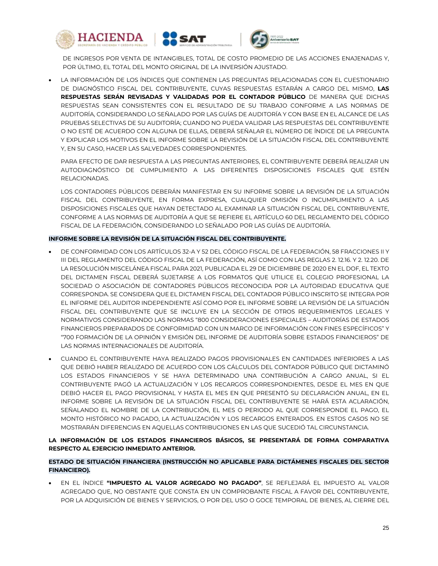





DE INGRESOS POR VENTA DE INTANGIBLES, TOTAL DE COSTO PROMEDIO DE LAS ACCIONES ENAJENADAS Y, POR ÚLTIMO, EL TOTAL DEL MONTO ORIGINAL DE LA INVERSIÓN AJUSTADO.

 LA INFORMACIÓN DE LOS ÍNDICES QUE CONTIENEN LAS PREGUNTAS RELACIONADAS CON EL CUESTIONARIO DE DIAGNÓSTICO FISCAL DEL CONTRIBUYENTE, CUYAS RESPUESTAS ESTARÁN A CARGO DEL MISMO, **LAS RESPUESTAS SERÁN REVISADAS Y VALIDADAS POR EL CONTADOR PÚBLICO** DE MANERA QUE DICHAS RESPUESTAS SEAN CONSISTENTES CON EL RESULTADO DE SU TRABAJO CONFORME A LAS NORMAS DE AUDITORÍA, CONSIDERANDO LO SEÑALADO POR LAS GUÍAS DE AUDITORÍA Y CON BASE EN EL ALCANCE DE LAS PRUEBAS SELECTIVAS DE SU AUDITORÍA; CUANDO NO PUEDA VALIDAR LAS RESPUESTAS DEL CONTRIBUYENTE O NO ESTÉ DE ACUERDO CON ALGUNA DE ELLAS, DEBERÁ SEÑALAR EL NÚMERO DE ÍNDICE DE LA PREGUNTA Y EXPLICAR LOS MOTIVOS EN EL INFORME SOBRE LA REVISIÓN DE LA SITUACIÓN FISCAL DEL CONTRIBUYENTE Y, EN SU CASO, HACER LAS SALVEDADES CORRESPONDIENTES.

PARA EFECTO DE DAR RESPUESTA A LAS PREGUNTAS ANTERIORES, EL CONTRIBUYENTE DEBERÁ REALIZAR UN AUTODIAGNÓSTICO DE CUMPLIMIENTO A LAS DIFERENTES DISPOSICIONES FISCALES QUE ESTÉN RELACIONADAS.

LOS CONTADORES PÚBLICOS DEBERÁN MANIFESTAR EN SU INFORME SOBRE LA REVISIÓN DE LA SITUACIÓN FISCAL DEL CONTRIBUYENTE, EN FORMA EXPRESA, CUALQUIER OMISIÓN O INCUMPLIMIENTO A LAS DISPOSICIONES FISCALES QUE HAYAN DETECTADO AL EXAMINAR LA SITUACIÓN FISCAL DEL CONTRIBUYENTE, CONFORME A LAS NORMAS DE AUDITORÍA A QUE SE REFIERE EL ARTÍCULO 60 DEL REGLAMENTO DEL CÓDIGO FISCAL DE LA FEDERACIÓN, CONSIDERANDO LO SEÑALADO POR LAS GUÍAS DE AUDITORÍA.

## **INFORME SOBRE LA REVISIÓN DE LA SITUACIÓN FISCAL DEL CONTRIBUYENTE.**

- DE CONFORMIDAD CON LOS ARTÍCULOS 32-A Y 52 DEL CÓDIGO FISCAL DE LA FEDERACIÓN, 58 FRACCIONES II Y III DEL REGLAMENTO DEL CÓDIGO FISCAL DE LA FEDERACIÓN, ASÍ COMO CON LAS REGLAS 2. 12.16. Y 2. 12.20. DE LA RESOLUCIÓN MISCELÁNEA FISCAL PARA 2021, PUBLICADA EL 29 DE DICIEMBRE DE 2020 EN EL DOF, EL TEXTO DEL DICTAMEN FISCAL DEBERÁ SUJETARSE A LOS FORMATOS QUE UTILICE EL COLEGIO PROFESIONAL LA SOCIEDAD O ASOCIACIÓN DE CONTADORES PÚBLICOS RECONOCIDA POR LA AUTORIDAD EDUCATIVA QUE CORRESPONDA. SE CONSIDERA QUE EL DICTAMEN FISCAL DEL CONTADOR PÚBLICO INSCRITO SE INTEGRA POR EL INFORME DEL AUDITOR INDEPENDIENTE ASÍ COMO POR EL INFORME SOBRE LA REVISIÓN DE LA SITUACIÓN FISCAL DEL CONTRIBUYENTE QUE SE INCLUYE EN LA SECCIÓN DE OTROS REQUERIMIENTOS LEGALES Y NORMATIVOS CONSIDERANDO LAS NORMAS "800 CONSIDERACIONES ESPECIALES – AUDITORÍAS DE ESTADOS FINANCIEROS PREPARADOS DE CONFORMIDAD CON UN MARCO DE INFORMACIÓN CON FINES ESPECÍFICOS" Y "700 FORMACIÓN DE LA OPINIÓN Y EMISIÓN DEL INFORME DE AUDITORÍA SOBRE ESTADOS FINANCIEROS" DE LAS NORMAS INTERNACIONALES DE AUDITORÍA.
- CUANDO EL CONTRIBUYENTE HAYA REALIZADO PAGOS PROVISIONALES EN CANTIDADES INFERIORES A LAS QUE DEBIÓ HABER REALIZADO DE ACUERDO CON LOS CÁLCULOS DEL CONTADOR PÚBLICO QUE DICTAMINÓ LOS ESTADOS FINANCIEROS Y SE HAYA DETERMINADO UNA CONTRIBUCIÓN A CARGO ANUAL, SI EL CONTRIBUYENTE PAGÓ LA ACTUALIZACIÓN Y LOS RECARGOS CORRESPONDIENTES, DESDE EL MES EN QUE DEBIÓ HACER EL PAGO PROVISIONAL Y HASTA EL MES EN QUE PRESENTÓ SU DECLARACIÓN ANUAL, EN EL INFORME SOBRE LA REVISIÓN DE LA SITUACIÓN FISCAL DEL CONTRIBUYENTE SE HARÁ ESTA ACLARACIÓN, SEÑALANDO EL NOMBRE DE LA CONTRIBUCIÓN, EL MES O PERIODO AL QUE CORRESPONDE EL PAGO, EL MONTO HISTÓRICO NO PAGADO, LA ACTUALIZACIÓN Y LOS RECARGOS ENTERADOS. EN ESTOS CASOS NO SE MOSTRARÁN DIFERENCIAS EN AQUELLAS CONTRIBUCIONES EN LAS QUE SUCEDIÓ TAL CIRCUNSTANCIA.

## **LA INFORMACIÓN DE LOS ESTADOS FINANCIEROS BÁSICOS, SE PRESENTARÁ DE FORMA COMPARATIVA RESPECTO AL EJERCICIO INMEDIATO ANTERIOR.**

# **ESTADO DE SITUACIÓN FINANCIERA (INSTRUCCIÓN NO APLICABLE PARA DICTÁMENES FISCALES DEL SECTOR FINANCIERO).**

 EN EL ÍNDICE **"IMPUESTO AL VALOR AGREGADO NO PAGADO"**, SE REFLEJARÁ EL IMPUESTO AL VALOR AGREGADO QUE, NO OBSTANTE QUE CONSTA EN UN COMPROBANTE FISCAL A FAVOR DEL CONTRIBUYENTE, POR LA ADQUISICIÓN DE BIENES Y SERVICIOS, O POR DEL USO O GOCE TEMPORAL DE BIENES, AL CIERRE DEL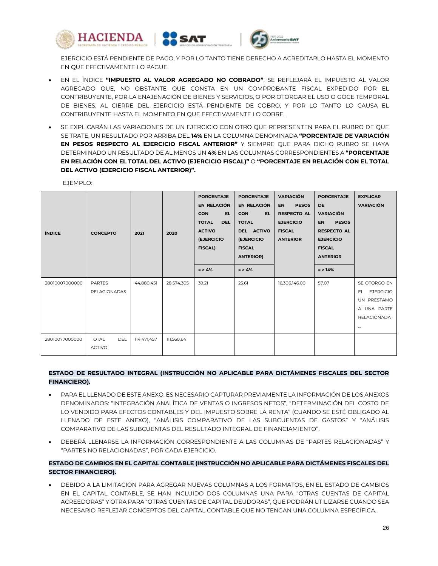

EJERCICIO ESTÁ PENDIENTE DE PAGO, Y POR LO TANTO TIENE DERECHO A ACREDITARLO HASTA EL MOMENTO EN QUE EFECTIVAMENTE LO PAGUE.

- EN EL ÍNDICE **"IMPUESTO AL VALOR AGREGADO NO COBRADO"**, SE REFLEJARÁ EL IMPUESTO AL VALOR AGREGADO QUE, NO OBSTANTE QUE CONSTA EN UN COMPROBANTE FISCAL EXPEDIDO POR EL CONTRIBUYENTE, POR LA ENAJENACIÓN DE BIENES Y SERVICIOS, O POR OTORGAR EL USO O GOCE TEMPORAL DE BIENES, AL CIERRE DEL EJERCICIO ESTÁ PENDIENTE DE COBRO, Y POR LO TANTO LO CAUSA EL CONTRIBUYENTE HASTA EL MOMENTO EN QUE EFECTIVAMENTE LO COBRE.
- SE EXPLICARÁN LAS VARIACIONES DE UN EJERCICIO CON OTRO QUE REPRESENTEN PARA EL RUBRO DE QUE SE TRATE, UN RESULTADO POR ARRIBA DEL **14%** EN LA COLUMNA DENOMINADA **"PORCENTAJE DE VARIACIÓN EN PESOS RESPECTO AL EJERCICIO FISCAL ANTERIOR"** Y SIEMPRE QUE PARA DICHO RUBRO SE HAYA DETERMINADO UN RESULTADO DE AL MENOS UN **4%** EN LAS COLUMNAS CORRESPONDIENTES A **"PORCENTAJE EN RELACIÓN CON EL TOTAL DEL ACTIVO (EJERCICIO FISCAL)"** O **"PORCENTAJE EN RELACIÓN CON EL TOTAL DEL ACTIVO (EJERCICIO FISCAL ANTERIOR)".**

| <b>ÍNDICE</b>  | <b>CONCEPTO</b>                             | 2021        | 2020        | <b>PORCENTAJE</b><br>EN RELACIÓN<br><b>CON</b><br>EL.<br><b>TOTAL</b><br><b>DEL</b><br><b>ACTIVO</b><br><b>(EJERCICIO)</b><br><b>FISCAL)</b><br>$= 54%$ | <b>PORCENTAJE</b><br>EN RELACIÓN<br>EL.<br><b>CON</b><br><b>TOTAL</b><br>DEL ACTIVO<br><b>(EJERCICIO</b><br><b>FISCAL</b><br><b>ANTERIOR)</b><br>$=$ > 4% | <b>VARIACIÓN</b><br><b>PESOS</b><br><b>EN</b><br><b>RESPECTO AL</b><br><b>EJERCICIO</b><br><b>FISCAL</b><br><b>ANTERIOR</b> | <b>PORCENTAJE</b><br><b>DE</b><br><b>VARIACIÓN</b><br><b>PESOS</b><br><b>EN</b><br><b>RESPECTO AL</b><br><b>EJERCICIO</b><br><b>FISCAL</b><br><b>ANTERIOR</b><br>$=$ > 14% | <b>EXPLICAR</b><br><b>VARIACIÓN</b>                                                              |
|----------------|---------------------------------------------|-------------|-------------|---------------------------------------------------------------------------------------------------------------------------------------------------------|-----------------------------------------------------------------------------------------------------------------------------------------------------------|-----------------------------------------------------------------------------------------------------------------------------|----------------------------------------------------------------------------------------------------------------------------------------------------------------------------|--------------------------------------------------------------------------------------------------|
| 28010007000000 | <b>PARTES</b><br><b>RELACIONADAS</b>        | 44,880,451  | 28,574,305  | 39.21                                                                                                                                                   | 25.61                                                                                                                                                     | 16,306,146.00                                                                                                               | 57.07                                                                                                                                                                      | SE OTORGÓ EN<br><b>EJERCICIO</b><br>EL.<br>UN PRÉSTAMO<br>A UNA PARTE<br>RELACIONADA<br>$\cdots$ |
| 28010077000000 | <b>TOTAL</b><br><b>DEL</b><br><b>ACTIVO</b> | 114,471,457 | 111,560,641 |                                                                                                                                                         |                                                                                                                                                           |                                                                                                                             |                                                                                                                                                                            |                                                                                                  |

EJEMPLO:

## **ESTADO DE RESULTADO INTEGRAL (INSTRUCCIÓN NO APLICABLE PARA DICTÁMENES FISCALES DEL SECTOR FINANCIERO).**

- PARA EL LLENADO DE ESTE ANEXO, ES NECESARIO CAPTURAR PREVIAMENTE LA INFORMACIÓN DE LOS ANEXOS DENOMINADOS: "INTEGRACIÓN ANALÍTICA DE VENTAS O INGRESOS NETOS", "DETERMINACIÓN DEL COSTO DE LO VENDIDO PARA EFECTOS CONTABLES Y DEL IMPUESTO SOBRE LA RENTA" (CUANDO SE ESTÉ OBLIGADO AL LLENADO DE ESTE ANEXO), "ANÁLISIS COMPARATIVO DE LAS SUBCUENTAS DE GASTOS" Y "ANÁLISIS COMPARATIVO DE LAS SUBCUENTAS DEL RESULTADO INTEGRAL DE FINANCIAMIENTO".
- DEBERÁ LLENARSE LA INFORMACIÓN CORRESPONDIENTE A LAS COLUMNAS DE "PARTES RELACIONADAS" Y "PARTES NO RELACIONADAS", POR CADA EJERCICIO.

# **ESTADO DE CAMBIOS EN EL CAPITAL CONTABLE (INSTRUCCIÓN NO APLICABLE PARA DICTÁMENES FISCALES DEL SECTOR FINANCIERO).**

 DEBIDO A LA LIMITACIÓN PARA AGREGAR NUEVAS COLUMNAS A LOS FORMATOS, EN EL ESTADO DE CAMBIOS EN EL CAPITAL CONTABLE, SE HAN INCLUIDO DOS COLUMNAS UNA PARA "OTRAS CUENTAS DE CAPITAL ACREEDORAS" Y OTRA PARA "OTRAS CUENTAS DE CAPITAL DEUDORAS", QUE PODRÁN UTILIZARSE CUANDO SEA NECESARIO REFLEJAR CONCEPTOS DEL CAPITAL CONTABLE QUE NO TENGAN UNA COLUMNA ESPECÍFICA.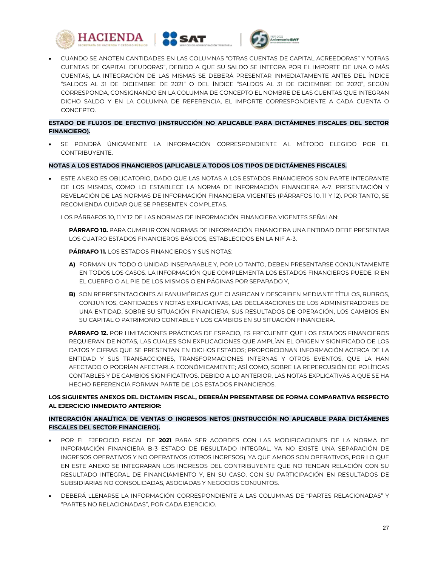





 CUANDO SE ANOTEN CANTIDADES EN LAS COLUMNAS "OTRAS CUENTAS DE CAPITAL ACREEDORAS" Y "OTRAS CUENTAS DE CAPITAL DEUDORAS", DEBIDO A QUE SU SALDO SE INTEGRA POR EL IMPORTE DE UNA O MÁS CUENTAS, LA INTEGRACIÓN DE LAS MISMAS SE DEBERÁ PRESENTAR INMEDIATAMENTE ANTES DEL ÍNDICE "SALDOS AL 31 DE DICIEMBRE DE 2021" O DEL ÍNDICE "SALDOS AL 31 DE DICIEMBRE DE 2020", SEGÚN CORRESPONDA, CONSIGNANDO EN LA COLUMNA DE CONCEPTO EL NOMBRE DE LAS CUENTAS QUE INTEGRAN DICHO SALDO Y EN LA COLUMNA DE REFERENCIA, EL IMPORTE CORRESPONDIENTE A CADA CUENTA O CONCEPTO.

## **ESTADO DE FLUJOS DE EFECTIVO (INSTRUCCIÓN NO APLICABLE PARA DICTÁMENES FISCALES DEL SECTOR FINANCIERO).**

 SE PONDRÁ ÚNICAMENTE LA INFORMACIÓN CORRESPONDIENTE AL MÉTODO ELEGIDO POR EL CONTRIBUYENTE.

## **NOTAS A LOS ESTADOS FINANCIEROS (APLICABLE A TODOS LOS TIPOS DE DICTÁMENES FISCALES.**

 ESTE ANEXO ES OBLIGATORIO, DADO QUE LAS NOTAS A LOS ESTADOS FINANCIEROS SON PARTE INTEGRANTE DE LOS MISMOS, COMO LO ESTABLECE LA NORMA DE INFORMACIÓN FINANCIERA A-7. PRESENTACIÓN Y REVELACIÓN DE LAS NORMAS DE INFORMACIÓN FINANCIERA VIGENTES (PÁRRAFOS 10, 11 Y 12). POR TANTO, SE RECOMIENDA CUIDAR QUE SE PRESENTEN COMPLETAS.

LOS PÁRRAFOS 10, 11 Y 12 DE LAS NORMAS DE INFORMACIÓN FINANCIERA VIGENTES SEÑALAN:

**PÁRRAFO 10.** PARA CUMPLIR CON NORMAS DE INFORMACIÓN FINANCIERA UNA ENTIDAD DEBE PRESENTAR LOS CUATRO ESTADOS FINANCIEROS BÁSICOS, ESTABLECIDOS EN LA NIF A-3.

## **PÁRRAFO 11.** LOS ESTADOS FINANCIEROS Y SUS NOTAS:

- **A)** FORMAN UN TODO O UNIDAD INSEPARABLE Y, POR LO TANTO, DEBEN PRESENTARSE CONJUNTAMENTE EN TODOS LOS CASOS. LA INFORMACIÓN QUE COMPLEMENTA LOS ESTADOS FINANCIEROS PUEDE IR EN EL CUERPO O AL PIE DE LOS MISMOS O EN PÁGINAS POR SEPARADO Y,
- **B)** SON REPRESENTACIONES ALFANUMÉRICAS QUE CLASIFICAN Y DESCRIBEN MEDIANTE TÍTULOS, RUBROS, CONJUNTOS, CANTIDADES Y NOTAS EXPLICATIVAS, LAS DECLARACIONES DE LOS ADMINISTRADORES DE UNA ENTIDAD, SOBRE SU SITUACIÓN FINANCIERA, SUS RESULTADOS DE OPERACIÓN, LOS CAMBIOS EN SU CAPITAL O PATRIMONIO CONTABLE Y LOS CAMBIOS EN SU SITUACIÓN FINANCIERA.

**PÁRRAFO 12.** POR LIMITACIONES PRÁCTICAS DE ESPACIO, ES FRECUENTE QUE LOS ESTADOS FINANCIEROS REQUIERAN DE NOTAS, LAS CUALES SON EXPLICACIONES QUE AMPLÍAN EL ORIGEN Y SIGNIFICADO DE LOS DATOS Y CIFRAS QUE SE PRESENTAN EN DICHOS ESTADOS; PROPORCIONAN INFORMACIÓN ACERCA DE LA ENTIDAD Y SUS TRANSACCIONES, TRANSFORMACIONES INTERNAS Y OTROS EVENTOS, QUE LA HAN AFECTADO O PODRÍAN AFECTARLA ECONÓMICAMENTE; ASÍ COMO, SOBRE LA REPERCUSIÓN DE POLÍTICAS CONTABLES Y DE CAMBIOS SIGNIFICATIVOS. DEBIDO A LO ANTERIOR, LAS NOTAS EXPLICATIVAS A QUE SE HA HECHO REFERENCIA FORMAN PARTE DE LOS ESTADOS FINANCIEROS.

## **LOS SIGUIENTES ANEXOS DEL DICTAMEN FISCAL, DEBERÁN PRESENTARSE DE FORMA COMPARATIVA RESPECTO AL EJERCICIO INMEDIATO ANTERIOR:**

## **INTEGRACIÓN ANALÍTICA DE VENTAS O INGRESOS NETOS (INSTRUCCIÓN NO APLICABLE PARA DICTÁMENES FISCALES DEL SECTOR FINANCIERO).**

- POR EL EJERCICIO FISCAL DE **2021** PARA SER ACORDES CON LAS MODIFICACIONES DE LA NORMA DE INFORMACIÓN FINANCIERA B-3 ESTADO DE RESULTADO INTEGRAL, YA NO EXISTE UNA SEPARACIÓN DE INGRESOS OPERATIVOS Y NO OPERATIVOS (OTROS INGRESOS), YA QUE AMBOS SON OPERATIVOS, POR LO QUE EN ESTE ANEXO SE INTEGRARAN LOS INGRESOS DEL CONTRIBUYENTE QUE NO TENGAN RELACIÓN CON SU RESULTADO INTEGRAL DE FINANCIAMIENTO Y, EN SU CASO, CON SU PARTICIPACIÓN EN RESULTADOS DE SUBSIDIARIAS NO CONSOLIDADAS, ASOCIADAS Y NEGOCIOS CONJUNTOS.
- DEBERÁ LLENARSE LA INFORMACIÓN CORRESPONDIENTE A LAS COLUMNAS DE "PARTES RELACIONADAS" Y "PARTES NO RELACIONADAS", POR CADA EJERCICIO.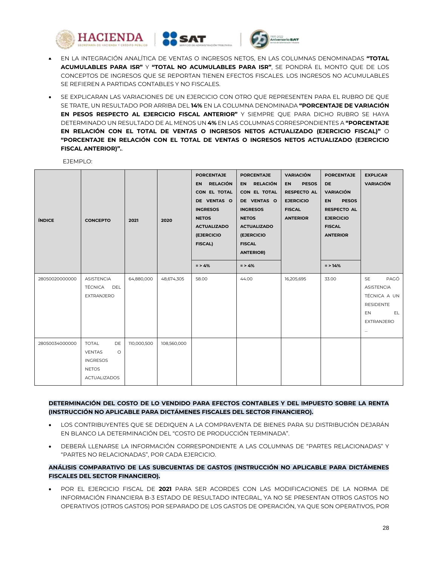





- EN LA INTEGRACIÓN ANALÍTICA DE VENTAS O INGRESOS NETOS, EN LAS COLUMNAS DENOMINADAS **"TOTAL ACUMULABLES PARA ISR"** Y **"TOTAL NO ACUMULABLES PARA ISR"**, SE PONDRÁ EL MONTO QUE DE LOS CONCEPTOS DE INGRESOS QUE SE REPORTAN TIENEN EFECTOS FISCALES. LOS INGRESOS NO ACUMULABLES SE REFIEREN A PARTIDAS CONTABLES Y NO FISCALES.
- SE EXPLICARAN LAS VARIACIONES DE UN EJERCICIO CON OTRO QUE REPRESENTEN PARA EL RUBRO DE QUE SE TRATE, UN RESULTADO POR ARRIBA DEL **14%** EN LA COLUMNA DENOMINADA **"PORCENTAJE DE VARIACIÓN EN PESOS RESPECTO AL EJERCICIO FISCAL ANTERIOR"** Y SIEMPRE QUE PARA DICHO RUBRO SE HAYA DETERMINADO UN RESULTADO DE AL MENOS UN **4%** EN LAS COLUMNAS CORRESPONDIENTES A **"PORCENTAJE EN RELACIÓN CON EL TOTAL DE VENTAS O INGRESOS NETOS ACTUALIZADO (EJERCICIO FISCAL)"** O **"PORCENTAJE EN RELACIÓN CON EL TOTAL DE VENTAS O INGRESOS NETOS ACTUALIZADO (EJERCICIO FISCAL ANTERIOR)".**.

| <b>ÍNDICE</b>  | <b>CONCEPTO</b>                                                                                          | 2021        | 2020        | <b>PORCENTAJE</b><br>EN RELACIÓN<br>CON EL TOTAL<br>DE VENTAS O<br><b>INGRESOS</b><br><b>NETOS</b><br><b>ACTUALIZADO</b><br>(EJERCICIO<br><b>FISCAL)</b><br>$=$ > 4% | <b>PORCENTAJE</b><br>EN RELACIÓN<br>CON EL TOTAL<br>DE VENTAS O<br><b>INGRESOS</b><br><b>NETOS</b><br><b>ACTUALIZADO</b><br>(EJERCICIO<br><b>FISCAL</b><br><b>ANTERIOR)</b><br>$=$ > 4% | <b>VARIACIÓN</b><br><b>EN</b><br><b>PESOS</b><br><b>RESPECTO AL</b><br><b>EJERCICIO</b><br><b>FISCAL</b><br><b>ANTERIOR</b> | <b>PORCENTAJE</b><br><b>DE</b><br><b>VARIACIÓN</b><br><b>EN</b><br><b>PESOS</b><br><b>RESPECTO AL</b><br><b>EJERCICIO</b><br><b>FISCAL</b><br><b>ANTERIOR</b><br>$=$ > 14% | <b>EXPLICAR</b><br><b>VARIACIÓN</b>                                                                 |
|----------------|----------------------------------------------------------------------------------------------------------|-------------|-------------|----------------------------------------------------------------------------------------------------------------------------------------------------------------------|-----------------------------------------------------------------------------------------------------------------------------------------------------------------------------------------|-----------------------------------------------------------------------------------------------------------------------------|----------------------------------------------------------------------------------------------------------------------------------------------------------------------------|-----------------------------------------------------------------------------------------------------|
| 28050020000000 | ASISTENCIA<br>TÉCNICA DEL<br>EXTRANJERO                                                                  | 64,880,000  | 48,674,305  | 58.00                                                                                                                                                                | 44.00                                                                                                                                                                                   | 16,205,695                                                                                                                  | 33.00                                                                                                                                                                      | SE<br>PAGÓ<br>ASISTENCIA<br>TÉCNICA A UN<br><b>RESIDENTE</b><br>EL.<br>EN<br>EXTRANJERO<br>$\cdots$ |
| 28050034000000 | <b>TOTAL</b><br>DE<br><b>VENTAS</b><br>$\circ$<br><b>INGRESOS</b><br><b>NETOS</b><br><b>ACTUALIZADOS</b> | 110,000,500 | 108,560,000 |                                                                                                                                                                      |                                                                                                                                                                                         |                                                                                                                             |                                                                                                                                                                            |                                                                                                     |

EJEMPLO:

## **DETERMINACIÓN DEL COSTO DE LO VENDIDO PARA EFECTOS CONTABLES Y DEL IMPUESTO SOBRE LA RENTA (INSTRUCCIÓN NO APLICABLE PARA DICTÁMENES FISCALES DEL SECTOR FINANCIERO).**

- LOS CONTRIBUYENTES QUE SE DEDIQUEN A LA COMPRAVENTA DE BIENES PARA SU DISTRIBUCIÓN DEJARÁN EN BLANCO LA DETERMINACIÓN DEL "COSTO DE PRODUCCIÓN TERMINADA".
- DEBERÁ LLENARSE LA INFORMACIÓN CORRESPONDIENTE A LAS COLUMNAS DE "PARTES RELACIONADAS" Y "PARTES NO RELACIONADAS", POR CADA EJERCICIO.

# **ANÁLISIS COMPARATIVO DE LAS SUBCUENTAS DE GASTOS (INSTRUCCIÓN NO APLICABLE PARA DICTÁMENES FISCALES DEL SECTOR FINANCIERO).**

 POR EL EJERCICIO FISCAL DE **2021** PARA SER ACORDES CON LAS MODIFICACIONES DE LA NORMA DE INFORMACIÓN FINANCIERA B-3 ESTADO DE RESULTADO INTEGRAL, YA NO SE PRESENTAN OTROS GASTOS NO OPERATIVOS (OTROS GASTOS) POR SEPARADO DE LOS GASTOS DE OPERACIÓN, YA QUE SON OPERATIVOS, POR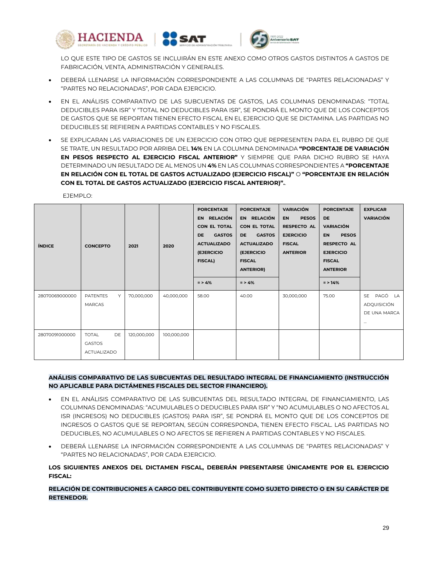





LO QUE ESTE TIPO DE GASTOS SE INCLUIRÁN EN ESTE ANEXO COMO OTROS GASTOS DISTINTOS A GASTOS DE FABRICACIÓN, VENTA, ADMINISTRACIÓN Y GENERALES.

- DEBERÁ LLENARSE LA INFORMACIÓN CORRESPONDIENTE A LAS COLUMNAS DE "PARTES RELACIONADAS" Y "PARTES NO RELACIONADAS", POR CADA EJERCICIO.
- EN EL ANÁLISIS COMPARATIVO DE LAS SUBCUENTAS DE GASTOS, LAS COLUMNAS DENOMINADAS: "TOTAL DEDUCIBLES PARA ISR" Y "TOTAL NO DEDUCIBLES PARA ISR", SE PONDRÁ EL MONTO QUE DE LOS CONCEPTOS DE GASTOS QUE SE REPORTAN TIENEN EFECTO FISCAL EN EL EJERCICIO QUE SE DICTAMINA. LAS PARTIDAS NO DEDUCIBLES SE REFIEREN A PARTIDAS CONTABLES Y NO FISCALES.
- SE EXPLICARAN LAS VARIACIONES DE UN EJERCICIO CON OTRO QUE REPRESENTEN PARA EL RUBRO DE QUE SE TRATE, UN RESULTADO POR ARRIBA DEL **14%** EN LA COLUMNA DENOMINADA **"PORCENTAJE DE VARIACIÓN EN PESOS RESPECTO AL EJERCICIO FISCAL ANTERIOR"** Y SIEMPRE QUE PARA DICHO RUBRO SE HAYA DETERMINADO UN RESULTADO DE AL MENOS UN **4%** EN LAS COLUMNAS CORRESPONDIENTES A **"PORCENTAJE EN RELACIÓN CON EL TOTAL DE GASTOS ACTUALIZADO (EJERCICIO FISCAL)"** O **"PORCENTAJE EN RELACIÓN CON EL TOTAL DE GASTOS ACTUALIZADO (EJERCICIO FISCAL ANTERIOR)".**.

| <b>ÍNDICE</b>  | <b>CONCEPTO</b>                                    | 2021        | 2020        | <b>PORCENTAJE</b><br>EN RELACIÓN<br>CON EL TOTAL<br><b>GASTOS</b><br>DE.<br><b>ACTUALIZADO</b><br><b>(EJERCICIO</b><br><b>FISCAL)</b><br>$=$ > 4% | <b>PORCENTAJE</b><br>EN RELACIÓN<br>CON EL TOTAL<br><b>GASTOS</b><br><b>DE</b><br><b>ACTUALIZADO</b><br><b>(EJERCICIO)</b><br><b>FISCAL</b><br><b>ANTERIOR)</b><br>$= 54%$ | <b>VARIACIÓN</b><br><b>PESOS</b><br><b>EN</b><br><b>RESPECTO AL</b><br><b>EJERCICIO</b><br><b>FISCAL</b><br><b>ANTERIOR</b> | <b>PORCENTAJE</b><br><b>DE</b><br><b>VARIACIÓN</b><br><b>PESOS</b><br><b>EN</b><br><b>RESPECTO AL</b><br><b>EJERCICIO</b><br><b>FISCAL</b><br><b>ANTERIOR</b><br>$=$ > 14% | <b>EXPLICAR</b><br><b>VARIACIÓN</b>                      |
|----------------|----------------------------------------------------|-------------|-------------|---------------------------------------------------------------------------------------------------------------------------------------------------|----------------------------------------------------------------------------------------------------------------------------------------------------------------------------|-----------------------------------------------------------------------------------------------------------------------------|----------------------------------------------------------------------------------------------------------------------------------------------------------------------------|----------------------------------------------------------|
| 28070069000000 | <b>PATENTES</b><br>Υ<br><b>MARCAS</b>              | 70,000,000  | 40,000,000  | 58.00                                                                                                                                             | 40.00                                                                                                                                                                      | 30,000,000                                                                                                                  | 75.00                                                                                                                                                                      | PAGÓ LA<br>SE<br>ADQUISICIÓN<br>DE UNA MARCA<br>$\cdots$ |
| 28070091000000 | DE<br><b>TOTAL</b><br><b>GASTOS</b><br>ACTUALIZADO | 120,000,000 | 100,000,000 |                                                                                                                                                   |                                                                                                                                                                            |                                                                                                                             |                                                                                                                                                                            |                                                          |

EJEMPLO:

## **ANÁLISIS COMPARATIVO DE LAS SUBCUENTAS DEL RESULTADO INTEGRAL DE FINANCIAMIENTO (INSTRUCCIÓN NO APLICABLE PARA DICTÁMENES FISCALES DEL SECTOR FINANCIERO).**

- EN EL ANÁLISIS COMPARATIVO DE LAS SUBCUENTAS DEL RESULTADO INTEGRAL DE FINANCIAMIENTO, LAS COLUMNAS DENOMINADAS: "ACUMULABLES O DEDUCIBLES PARA ISR" Y "NO ACUMULABLES O NO AFECTOS AL ISR (INGRESOS) NO DEDUCIBLES (GASTOS) PARA ISR", SE PONDRÁ EL MONTO QUE DE LOS CONCEPTOS DE INGRESOS O GASTOS QUE SE REPORTAN, SEGÚN CORRESPONDA, TIENEN EFECTO FISCAL. LAS PARTIDAS NO DEDUCIBLES, NO ACUMULABLES O NO AFECTOS SE REFIEREN A PARTIDAS CONTABLES Y NO FISCALES.
- DEBERÁ LLENARSE LA INFORMACIÓN CORRESPONDIENTE A LAS COLUMNAS DE "PARTES RELACIONADAS" Y "PARTES NO RELACIONADAS", POR CADA EJERCICIO.

**LOS SIGUIENTES ANEXOS DEL DICTAMEN FISCAL, DEBERÁN PRESENTARSE ÚNICAMENTE POR EL EJERCICIO FISCAL:** 

# **RELACIÓN DE CONTRIBUCIONES A CARGO DEL CONTRIBUYENTE COMO SUJETO DIRECTO O EN SU CARÁCTER DE RETENEDOR.**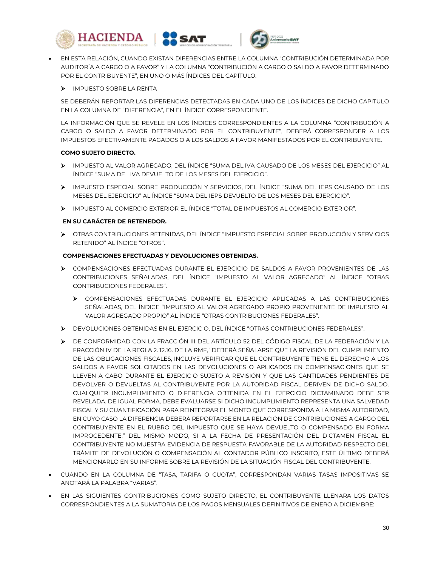





 EN ESTA RELACIÓN, CUANDO EXISTAN DIFERENCIAS ENTRE LA COLUMNA "CONTRIBUCIÓN DETERMINADA POR AUDITORÍA A CARGO O A FAVOR" Y LA COLUMNA "CONTRIBUCIÓN A CARGO O SALDO A FAVOR DETERMINADO POR EL CONTRIBUYENTE", EN UNO O MÁS ÍNDICES DEL CAPÍTULO:

# > IMPUESTO SOBRE LA RENTA

SE DEBERÁN REPORTAR LAS DIFERENCIAS DETECTADAS EN CADA UNO DE LOS ÍNDICES DE DICHO CAPITULO EN LA COLUMNA DE "DIFERENCIA", EN EL ÍNDICE CORRESPONDIENTE.

LA INFORMACIÓN QUE SE REVELE EN LOS ÍNDICES CORRESPONDIENTES A LA COLUMNA "CONTRIBUCIÓN A CARGO O SALDO A FAVOR DETERMINADO POR EL CONTRIBUYENTE", DEBERÁ CORRESPONDER A LOS IMPUESTOS EFECTIVAMENTE PAGADOS O A LOS SALDOS A FAVOR MANIFESTADOS POR EL CONTRIBUYENTE.

## **COMO SUJETO DIRECTO.**

- IMPUESTO AL VALOR AGREGADO, DEL ÍNDICE "SUMA DEL IVA CAUSADO DE LOS MESES DEL EJERCICIO" AL ÍNDICE "SUMA DEL IVA DEVUELTO DE LOS MESES DEL EJERCICIO".
- IMPUESTO ESPECIAL SOBRE PRODUCCIÓN Y SERVICIOS, DEL ÍNDICE "SUMA DEL IEPS CAUSADO DE LOS MESES DEL EJERCICIO" AL ÍNDICE "SUMA DEL IEPS DEVUELTO DE LOS MESES DEL EJERCICIO".
- IMPUESTO AL COMERCIO EXTERIOR EL ÍNDICE "TOTAL DE IMPUESTOS AL COMERCIO EXTERIOR".

## **EN SU CARÁCTER DE RETENEDOR.**

 OTRAS CONTRIBUCIONES RETENIDAS, DEL ÍNDICE "IMPUESTO ESPECIAL SOBRE PRODUCCIÓN Y SERVICIOS RETENIDO" AL ÍNDICE "OTROS".

## **COMPENSACIONES EFECTUADAS Y DEVOLUCIONES OBTENIDAS.**

- COMPENSACIONES EFECTUADAS DURANTE EL EJERCICIO DE SALDOS A FAVOR PROVENIENTES DE LAS CONTRIBUCIONES SEÑALADAS, DEL ÍNDICE "IMPUESTO AL VALOR AGREGADO" AL ÍNDICE "OTRAS CONTRIBUCIONES FEDERALES".
	- COMPENSACIONES EFECTUADAS DURANTE EL EJERCICIO APLICADAS A LAS CONTRIBUCIONES SEÑALADAS, DEL ÍNDICE "IMPUESTO AL VALOR AGREGADO PROPIO PROVENIENTE DE IMPUESTO AL VALOR AGREGADO PROPIO" AL ÍNDICE "OTRAS CONTRIBUCIONES FEDERALES".
- DEVOLUCIONES OBTENIDAS EN EL EJERCICIO, DEL ÍNDICE "OTRAS CONTRIBUCIONES FEDERALES".
- DE CONFORMIDAD CON LA FRACCIÓN III DEL ARTÍCULO 52 DEL CÓDIGO FISCAL DE LA FEDERACIÓN Y LA FRACCIÓN IV DE LA REGLA 2. 12.16. DE LA RMF, "DEBERÁ SEÑALARSE QUE LA REVISIÓN DEL CUMPLIMIENTO DE LAS OBLIGACIONES FISCALES, INCLUYE VERIFICAR QUE EL CONTRIBUYENTE TIENE EL DERECHO A LOS SALDOS A FAVOR SOLICITADOS EN LAS DEVOLUCIONES O APLICADOS EN COMPENSACIONES QUE SE LLEVEN A CABO DURANTE EL EJERCICIO SUJETO A REVISIÓN Y QUE LAS CANTIDADES PENDIENTES DE DEVOLVER O DEVUELTAS AL CONTRIBUYENTE POR LA AUTORIDAD FISCAL DERIVEN DE DICHO SALDO. CUALQUIER INCUMPLIMIENTO O DIFERENCIA OBTENIDA EN EL EJERCICIO DICTAMINADO DEBE SER REVELADA. DE IGUAL FORMA, DEBE EVALUARSE SI DICHO INCUMPLIMIENTO REPRESENTA UNA SALVEDAD FISCAL Y SU CUANTIFICACIÓN PARA REINTEGRAR EL MONTO QUE CORRESPONDA A LA MISMA AUTORIDAD, EN CUYO CASO LA DIFERENCIA DEBERÁ REPORTARSE EN LA RELACIÓN DE CONTRIBUCIONES A CARGO DEL CONTRIBUYENTE EN EL RUBRO DEL IMPUESTO QUE SE HAYA DEVUELTO O COMPENSADO EN FORMA IMPROCEDENTE." DEL MISMO MODO, SI A LA FECHA DE PRESENTACIÓN DEL DICTAMEN FISCAL EL CONTRIBUYENTE NO MUESTRA EVIDENCIA DE RESPUESTA FAVORABLE DE LA AUTORIDAD RESPECTO DEL TRÁMITE DE DEVOLUCIÓN O COMPENSACIÓN AL CONTADOR PÚBLICO INSCRITO, ESTE ÚLTIMO DEBERÁ MENCIONARLO EN SU INFORME SOBRE LA REVISIÓN DE LA SITUACIÓN FISCAL DEL CONTRIBUYENTE.
- CUANDO EN LA COLUMNA DE "TASA, TARIFA O CUOTA", CORRESPONDAN VARIAS TASAS IMPOSITIVAS SE ANOTARÁ LA PALABRA "VARIAS".
- EN LAS SIGUIENTES CONTRIBUCIONES COMO SUJETO DIRECTO, EL CONTRIBUYENTE LLENARA LOS DATOS CORRESPONDIENTES A LA SUMATORIA DE LOS PAGOS MENSUALES DEFINITIVOS DE ENERO A DICIEMBRE: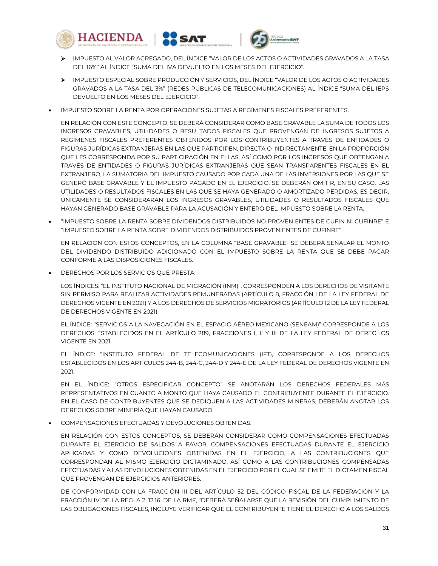





- IMPUESTO AL VALOR AGREGADO, DEL ÍNDICE "VALOR DE LOS ACTOS O ACTIVIDADES GRAVADOS A LA TASA DEL 16%" AL ÍNDICE "SUMA DEL IVA DEVUELTO EN LOS MESES DEL EJERCICIO".
- IMPUESTO ESPECIAL SOBRE PRODUCCIÓN Y SERVICIOS, DEL ÍNDICE "VALOR DE LOS ACTOS O ACTIVIDADES GRAVADOS A LA TASA DEL 3%" (REDES PÚBLICAS DE TELECOMUNICACIONES) AL ÍNDICE "SUMA DEL IEPS DEVUELTO EN LOS MESES DEL EJERCICIO".
- IMPUESTO SOBRE LA RENTA POR OPERACIONES SUJETAS A REGÍMENES FISCALES PREFERENTES.

EN RELACIÓN CON ESTE CONCEPTO, SE DEBERÁ CONSIDERAR COMO BASE GRAVABLE LA SUMA DE TODOS LOS INGRESOS GRAVABLES, UTILIDADES O RESULTADOS FISCALES QUE PROVENGAN DE INGRESOS SUJETOS A REGÍMENES FISCALES PREFERENTES OBTENIDOS POR LOS CONTRIBUYENTES A TRAVÉS DE ENTIDADES O FIGURAS JURÍDICAS EXTRANJERAS EN LAS QUE PARTICIPEN, DIRECTA O INDIRECTAMENTE, EN LA PROPORCIÓN QUE LES CORRESPONDA POR SU PARTICIPACIÓN EN ELLAS, ASÍ COMO POR LOS INGRESOS QUE OBTENGAN A TRAVÉS DE ENTIDADES O FIGURAS JURÍDICAS EXTRANJERAS QUE SEAN TRANSPARENTES FISCALES EN EL EXTRANJERO, LA SUMATORIA DEL IMPUESTO CAUSADO POR CADA UNA DE LAS INVERSIONES POR LAS QUE SE GENERÓ BASE GRAVABLE Y EL IMPUESTO PAGADO EN EL EJERCICIO. SE DEBERÁN OMITIR, EN SU CASO, LAS UTILIDADES O RESULTADOS FISCALES EN LAS QUE SE HAYA GENERADO O AMORTIZADO PÉRDIDAS, ES DECIR, ÚNICAMENTE SE CONSIDERARAN LOS INGRESOS GRAVABLES, UTILIDADES O RESULTADOS FISCALES QUE HAYAN GENERADO BASE GRAVABLE PARA LA ACUSACIÓN Y ENTERO DEL IMPUESTO SOBRE LA RENTA.

 "IMPUESTO SOBRE LA RENTA SOBRE DIVIDENDOS DISTRIBUIDOS NO PROVENIENTES DE CUFIN NI CUFINRE" E "IMPUESTO SOBRE LA RENTA SOBRE DIVIDENDOS DISTRIBUIDOS PROVENIENTES DE CUFINRE".

EN RELACIÓN CON ESTOS CONCEPTOS, EN LA COLUMNA "BASE GRAVABLE" SE DEBERÁ SEÑALAR EL MONTO DEL DIVIDENDO DISTRIBUIDO ADICIONADO CON EL IMPUESTO SOBRE LA RENTA QUE SE DEBE PAGAR CONFORME A LAS DISPOSICIONES FISCALES.

DERECHOS POR LOS SERVICIOS QUE PRESTA:

LOS ÍNDICES: "EL INSTITUTO NACIONAL DE MIGRACIÓN (INM)", CORRESPONDEN A LOS DERECHOS DE VISITANTE SIN PERMISO PARA REALIZAR ACTIVIDADES REMUNERADAS (ARTÍCULO 8, FRACCIÓN I DE LA LEY FEDERAL DE DERECHOS VIGENTE EN 2021) Y A LOS DERECHOS DE SERVICIOS MIGRATORIOS (ARTÍCULO 12 DE LA LEY FEDERAL DE DERECHOS VIGENTE EN 2021).

EL ÍNDICE: "SERVICIOS A LA NAVEGACIÓN EN EL ESPACIO AÉREO MEXICANO (SENEAM)" CORRESPONDE A LOS DERECHOS ESTABLECIDOS EN EL ARTÍCULO 289, FRACCIONES I, II Y III DE LA LEY FEDERAL DE DERECHOS VIGENTE EN 2021.

EL ÍNDICE: "INSTITUTO FEDERAL DE TELECOMUNICACIONES (IFT), CORRESPONDE A LOS DERECHOS ESTABLECIDOS EN LOS ARTÍCULOS 244-B, 244-C, 244-D Y 244-E DE LA LEY FEDERAL DE DERECHOS VIGENTE EN 2021.

EN EL ÍNDICE: "OTROS ESPECIFICAR CONCEPTO" SE ANOTARÁN LOS DERECHOS FEDERALES MÁS REPRESENTATIVOS EN CUANTO A MONTO QUE HAYA CAUSADO EL CONTRIBUYENTE DURANTE EL EJERCICIO. EN EL CASO DE CONTRIBUYENTES QUE SE DEDIQUEN A LAS ACTIVIDADES MINERAS, DEBERÁN ANOTAR LOS DERECHOS SOBRE MINERÍA QUE HAYAN CAUSADO.

COMPENSACIONES EFECTUADAS Y DEVOLUCIONES OBTENIDAS.

EN RELACIÓN CON ESTOS CONCEPTOS, SE DEBERÁN CONSIDERAR COMO COMPENSACIONES EFECTUADAS DURANTE EL EJERCICIO DE SALDOS A FAVOR, COMPENSACIONES EFECTUADAS DURANTE EL EJERCICIO APLICADAS Y COMO DEVOLUCIONES OBTENIDAS EN EL EJERCICIO, A LAS CONTRIBUCIONES QUE CORRESPONDAN AL MISMO EJERCICIO DICTAMINADO, ASÍ COMO A LAS CONTRIBUCIONES COMPENSADAS EFECTUADAS Y A LAS DEVOLUCIONES OBTENIDAS EN EL EJERCICIO POR EL CUAL SE EMITE EL DICTAMEN FISCAL QUE PROVENGAN DE EJERCICIOS ANTERIORES.

DE CONFORMIDAD CON LA FRACCIÓN III DEL ARTÍCULO 52 DEL CÓDIGO FISCAL DE LA FEDERACIÓN Y LA FRACCIÓN IV DE LA REGLA 2. 12.16. DE LA RMF, "DEBERÁ SEÑALARSE QUE LA REVISIÓN DEL CUMPLIMIENTO DE LAS OBLIGACIONES FISCALES, INCLUYE VERIFICAR QUE EL CONTRIBUYENTE TIENE EL DERECHO A LOS SALDOS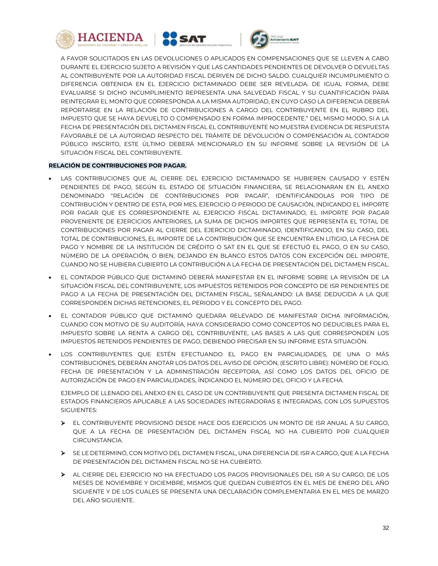





A FAVOR SOLICITADOS EN LAS DEVOLUCIONES O APLICADOS EN COMPENSACIONES QUE SE LLEVEN A CABO DURANTE EL EJERCICIO SUJETO A REVISIÓN Y QUE LAS CANTIDADES PENDIENTES DE DEVOLVER O DEVUELTAS AL CONTRIBUYENTE POR LA AUTORIDAD FISCAL DERIVEN DE DICHO SALDO. CUALQUIER INCUMPLIMIENTO O DIFERENCIA OBTENIDA EN EL EJERCICIO DICTAMINADO DEBE SER REVELADA. DE IGUAL FORMA, DEBE EVALUARSE SI DICHO INCUMPLIMIENTO REPRESENTA UNA SALVEDAD FISCAL Y SU CUANTIFICACIÓN PARA REINTEGRAR EL MONTO QUE CORRESPONDA A LA MISMA AUTORIDAD, EN CUYO CASO LA DIFERENCIA DEBERÁ REPORTARSE EN LA RELACIÓN DE CONTRIBUCIONES A CARGO DEL CONTRIBUYENTE EN EL RUBRO DEL IMPUESTO QUE SE HAYA DEVUELTO O COMPENSADO EN FORMA IMPROCEDENTE." DEL MISMO MODO, SI A LA FECHA DE PRESENTACIÓN DEL DICTAMEN FISCAL EL CONTRIBUYENTE NO MUESTRA EVIDENCIA DE RESPUESTA FAVORABLE DE LA AUTORIDAD RESPECTO DEL TRÁMITE DE DEVOLUCIÓN O COMPENSACIÓN AL CONTADOR PÚBLICO INSCRITO, ESTE ÚLTIMO DEBERÁ MENCIONARLO EN SU INFORME SOBRE LA REVISIÓN DE LA SITUACIÓN FISCAL DEL CONTRIBUYENTE.

## **RELACIÓN DE CONTRIBUCIONES POR PAGAR.**

- LAS CONTRIBUCIONES QUE AL CIERRE DEL EJERCICIO DICTAMINADO SE HUBIEREN CAUSADO Y ESTÉN PENDIENTES DE PAGO, SEGÚN EL ESTADO DE SITUACIÓN FINANCIERA, SE RELACIONARAN EN EL ANEXO DENOMINADO "RELACIÓN DE CONTRIBUCIONES POR PAGAR", IDENTIFICÁNDOLAS POR TIPO DE CONTRIBUCIÓN Y DENTRO DE ESTA, POR MES, EJERCICIO O PERIODO DE CAUSACIÓN, INDICANDO EL IMPORTE POR PAGAR QUE ES CORRESPONDIENTE AL EJERCICIO FISCAL DICTAMINADO, EL IMPORTE POR PAGAR PROVENIENTE DE EJERCICIOS ANTERIORES, LA SUMA DE DICHOS IMPORTES QUE REPRESENTA EL TOTAL DE CONTRIBUCIONES POR PAGAR AL CIERRE DEL EJERCICIO DICTAMINADO, IDENTIFICANDO, EN SU CASO, DEL TOTAL DE CONTRIBUCIONES, EL IMPORTE DE LA CONTRIBUCIÓN QUE SE ENCUENTRA EN LITIGIO, LA FECHA DE PAGO Y NOMBRE DE LA INSTITUCIÓN DE CRÉDITO O SAT EN EL QUE SE EFECTUÓ EL PAGO, O EN SU CASO, NÚMERO DE LA OPERACIÓN, O BIEN, DEJANDO EN BLANCO ESTOS DATOS CON EXCEPCIÓN DEL IMPORTE, CUANDO NO SE HUBIERA CUBIERTO LA CONTRIBUCIÓN A LA FECHA DE PRESENTACIÓN DEL DICTAMEN FISCAL.
- EL CONTADOR PÚBLICO QUE DICTAMINÓ DEBERÁ MANIFESTAR EN EL INFORME SOBRE LA REVISIÓN DE LA SITUACIÓN FISCAL DEL CONTRIBUYENTE, LOS IMPUESTOS RETENIDOS POR CONCEPTO DE ISR PENDIENTES DE PAGO A LA FECHA DE PRESENTACIÓN DEL DICTAMEN FISCAL, SEÑALANDO: LA BASE DEDUCIDA A LA QUE CORRESPONDEN DICHAS RETENCIONES, EL PERIODO Y EL CONCEPTO DEL PAGO.
- EL CONTADOR PÚBLICO QUE DICTAMINÓ QUEDARA RELEVADO DE MANIFESTAR DICHA INFORMACIÓN, CUANDO CON MOTIVO DE SU AUDITORÍA, HAYA CONSIDERADO COMO CONCEPTOS NO DEDUCIBLES PARA EL IMPUESTO SOBRE LA RENTA A CARGO DEL CONTRIBUYENTE, LAS BASES A LAS QUE CORRESPONDEN LOS IMPUESTOS RETENIDOS PENDIENTES DE PAGO, DEBIENDO PRECISAR EN SU INFORME ESTA SITUACIÓN.
- LOS CONTRIBUYENTES QUE ESTÉN EFECTUANDO EL PAGO EN PARCIALIDADES, DE UNA O MÁS CONTRIBUCIONES, DEBERÁN ANOTAR LOS DATOS DEL AVISO DE OPCIÓN, (ESCRITO LIBRE): NÚMERO DE FOLIO, FECHA DE PRESENTACIÓN Y LA ADMINISTRACIÓN RECEPTORA, ASÍ COMO LOS DATOS DEL OFICIO DE AUTORIZACIÓN DE PAGO EN PARCIALIDADES, ÍNDICANDO EL NÚMERO DEL OFICIO Y LA FECHA.

EJEMPLO DE LLENADO DEL ANEXO EN EL CASO DE UN CONTRIBUYENTE QUE PRESENTA DICTAMEN FISCAL DE ESTADOS FINANCIEROS APLICABLE A LAS SOCIEDADES INTEGRADORAS E INTEGRADAS, CON LOS SUPUESTOS SIGUIENTES:

- EL CONTRIBUYENTE PROVISIONÓ DESDE HACE DOS EJERCICIOS UN MONTO DE ISR ANUAL A SU CARGO, QUE A LA FECHA DE PRESENTACIÓN DEL DICTAMEN FISCAL NO HA CUBIERTO POR CUALQUIER CIRCUNSTANCIA.
- SE LE DETERMINÓ, CON MOTIVO DEL DICTAMEN FISCAL, UNA DIFERENCIA DE ISR A CARGO, QUE A LA FECHA DE PRESENTACIÓN DEL DICTAMEN FISCAL NO SE HA CUBIERTO.
- AL CIERRE DEL EJERCICIO NO HA EFECTUADO LOS PAGOS PROVISIONALES DEL ISR A SU CARGO, DE LOS MESES DE NOVIEMBRE Y DICIEMBRE, MISMOS QUE QUEDAN CUBIERTOS EN EL MES DE ENERO DEL AÑO SIGUIENTE Y DE LOS CUALES SE PRESENTA UNA DECLARACIÓN COMPLEMENTARIA EN EL MES DE MARZO DEL AÑO SIGUIENTE.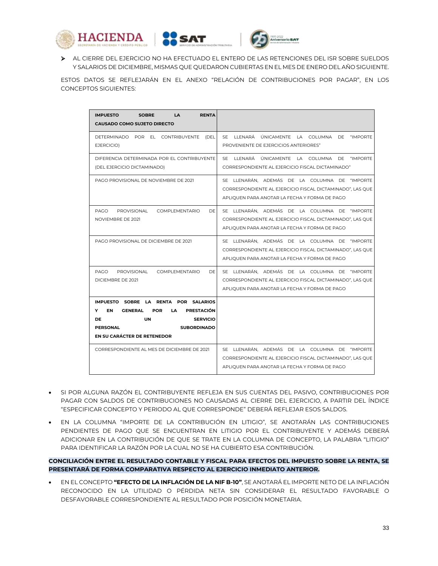





 AL CIERRE DEL EJERCICIO NO HA EFECTUADO EL ENTERO DE LAS RETENCIONES DEL ISR SOBRE SUELDOS Y SALARIOS DE DICIEMBRE, MISMAS QUE QUEDARON CUBIERTAS EN EL MES DE ENERO DEL AÑO SIGUIENTE.

ESTOS DATOS SE REFLEJARÁN EN EL ANEXO "RELACIÓN DE CONTRIBUCIONES POR PAGAR", EN LOS CONCEPTOS SIGUIENTES:

| <b>SOBRE</b><br>LA<br><b>IMPUESTO</b><br><b>RENTA</b><br><b>CAUSADO COMO SUJETO DIRECTO</b>                                                                                                                                                                                      |                                                                                                                                                             |
|----------------------------------------------------------------------------------------------------------------------------------------------------------------------------------------------------------------------------------------------------------------------------------|-------------------------------------------------------------------------------------------------------------------------------------------------------------|
| DETERMINADO POR EL CONTRIBUYENTE (DEL<br>EJERCICIO)                                                                                                                                                                                                                              | SE LLENARÁ ÚNICAMENTE LA COLUMNA DE<br>"IMPORTE<br>PROVENIENTE DE EJERCICIOS ANTERIORES"                                                                    |
| DIFERENCIA DETERMINADA POR EL CONTRIBUYENTE<br>(DEL EJERCICIO DICTAMINADO)                                                                                                                                                                                                       | SE LLENARÁ ÚNICAMENTE LA COLUMNA DE "IMPORTE<br>CORRESPONDIENTE AL EJERCICIO FISCAL DICTAMINADO"                                                            |
| PAGO PROVISIONAL DE NOVIEMBRE DE 2021                                                                                                                                                                                                                                            | SE LLENARÁN, ADEMÁS DE LA COLUMNA DE "IMPORTE<br>CORRESPONDIENTE AL EJERCICIO FISCAL DICTAMINADO", LAS QUE<br>APLIQUEN PARA ANOTAR LA FECHA Y FORMA DE PAGO |
| PROVISIONAL<br>COMPLEMENTARIO<br><b>DE</b><br>PAGO<br>NOVIEMBRE DE 2021                                                                                                                                                                                                          | SE LLENARÁN, ADEMÁS DE LA COLUMNA DE "IMPORTE<br>CORRESPONDIENTE AL EJERCICIO FISCAL DICTAMINADO", LAS QUE<br>APLIQUEN PARA ANOTAR LA FECHA Y FORMA DE PAGO |
| PAGO PROVISIONAL DE DICIEMBRE DE 2021                                                                                                                                                                                                                                            | SE LLENARÁN, ADEMÁS DE LA COLUMNA DE "IMPORTE<br>CORRESPONDIENTE AL EJERCICIO FISCAL DICTAMINADO", LAS QUE<br>APLIQUEN PARA ANOTAR LA FECHA Y FORMA DE PAGO |
| PROVISIONAL<br>COMPLEMENTARIO<br><b>DE</b><br>PAGO<br>DICIEMBRE DE 2021                                                                                                                                                                                                          | SE LLENARÁN. ADEMÁS DE LA COLUMNA DE "IMPORTE<br>CORRESPONDIENTE AL EJERCICIO FISCAL DICTAMINADO", LAS QUE<br>APLIOUEN PARA ANOTAR LA FECHA Y FORMA DE PAGO |
| IMPUESTO SOBRE LA RENTA POR SALARIOS<br>EN.<br><b>GENERAL</b><br><b>POR</b><br><b>PRESTACIÓN</b><br>Y<br>LA.<br><b>UN</b><br><b>SERVICIO</b><br><b>DE</b><br><b>SUBORDINADO</b><br><b>PERSONAL</b><br>EN SU CARÁCTER DE RETENEDOR<br>CORRESPONDIENTE AL MES DE DICIEMBRE DE 2021 | SE LLENARÁN. ADEMÁS DE LA COLUMNA DE "IMPORTE<br>CORRESPONDIENTE AL EJERCICIO FISCAL DICTAMINADO", LAS QUE<br>APLIOUEN PARA ANOTAR LA FECHA Y FORMA DE PAGO |

- SI POR ALGUNA RAZÓN EL CONTRIBUYENTE REFLEJA EN SUS CUENTAS DEL PASIVO, CONTRIBUCIONES POR PAGAR CON SALDOS DE CONTRIBUCIONES NO CAUSADAS AL CIERRE DEL EJERCICIO, A PARTIR DEL ÍNDICE "ESPECIFICAR CONCEPTO Y PERIODO AL QUE CORRESPONDE" DEBERÁ REFLEJAR ESOS SALDOS.
- EN LA COLUMNA "IMPORTE DE LA CONTRIBUCIÓN EN LITIGIO", SE ANOTARÁN LAS CONTRIBUCIONES PENDIENTES DE PAGO QUE SE ENCUENTRAN EN LITIGIO POR EL CONTRIBUYENTE Y ADEMÁS DEBERÁ ADICIONAR EN LA CONTRIBUCIÓN DE QUE SE TRATE EN LA COLUMNA DE CONCEPTO, LA PALABRA "LITIGIO" PARA IDENTIFICAR LA RAZÓN POR LA CUAL NO SE HA CUBIERTO ESA CONTRIBUCIÓN.

## **CONCILIACIÓN ENTRE EL RESULTADO CONTABLE Y FISCAL PARA EFECTOS DEL IMPUESTO SOBRE LA RENTA, SE PRESENTARÁ DE FORMA COMPARATIVA RESPECTO AL EJERCICIO INMEDIATO ANTERIOR.**

 EN EL CONCEPTO **"EFECTO DE LA INFLACIÓN DE LA NIF B-10"**, SE ANOTARÁ EL IMPORTE NETO DE LA INFLACIÓN RECONOCIDO EN LA UTILIDAD O PÉRDIDA NETA SIN CONSIDERAR EL RESULTADO FAVORABLE O DESFAVORABLE CORRESPONDIENTE AL RESULTADO POR POSICIÓN MONETARIA.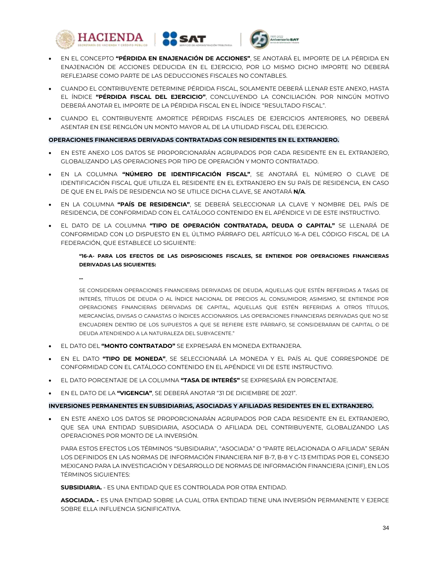





- EN EL CONCEPTO **"PÉRDIDA EN ENAJENACIÓN DE ACCIONES"**, SE ANOTARÁ EL IMPORTE DE LA PÉRDIDA EN ENAJENACIÓN DE ACCIONES DEDUCIDA EN EL EJERCICIO, POR LO MISMO DICHO IMPORTE NO DEBERÁ REFLEJARSE COMO PARTE DE LAS DEDUCCIONES FISCALES NO CONTABLES.
- CUANDO EL CONTRIBUYENTE DETERMINE PÉRDIDA FISCAL, SOLAMENTE DEBERÁ LLENAR ESTE ANEXO, HASTA EL ÍNDICE **"PÉRDIDA FISCAL DEL EJERCICIO"**, CONCLUYENDO LA CONCILIACIÓN. POR NINGÚN MOTIVO DEBERÁ ANOTAR EL IMPORTE DE LA PÉRDIDA FISCAL EN EL ÍNDICE "RESULTADO FISCAL".
- CUANDO EL CONTRIBUYENTE AMORTICE PÉRDIDAS FISCALES DE EJERCICIOS ANTERIORES, NO DEBERÁ ASENTAR EN ESE RENGLÓN UN MONTO MAYOR AL DE LA UTILIDAD FISCAL DEL EJERCICIO.

## **OPERACIONES FINANCIERAS DERIVADAS CONTRATADAS CON RESIDENTES EN EL EXTRANJERO.**

- EN ESTE ANEXO LOS DATOS SE PROPORCIONARÁN AGRUPADOS POR CADA RESIDENTE EN EL EXTRANJERO, GLOBALIZANDO LAS OPERACIONES POR TIPO DE OPERACIÓN Y MONTO CONTRATADO.
- EN LA COLUMNA **"NÚMERO DE IDENTIFICACIÓN FISCAL"**, SE ANOTARÁ EL NÚMERO O CLAVE DE IDENTIFICACIÓN FISCAL QUE UTILIZA EL RESIDENTE EN EL EXTRANJERO EN SU PAÍS DE RESIDENCIA, EN CASO DE QUE EN EL PAÍS DE RESIDENCIA NO SE UTILICE DICHA CLAVE, SE ANOTARÁ **N/A**.
- EN LA COLUMNA **"PAÍS DE RESIDENCIA"**, SE DEBERÁ SELECCIONAR LA CLAVE Y NOMBRE DEL PAÍS DE RESIDENCIA, DE CONFORMIDAD CON EL CATÁLOGO CONTENIDO EN EL APÉNDICE VI DE ESTE INSTRUCTIVO.
- EL DATO DE LA COLUMNA **"TIPO DE OPERACIÓN CONTRATADA, DEUDA O CAPITAL"** SE LLENARÁ DE CONFORMIDAD CON LO DISPUESTO EN EL ÚLTIMO PÁRRAFO DEL ARTÍCULO 16-A DEL CÓDIGO FISCAL DE LA FEDERACIÓN, QUE ESTABLECE LO SIGUIENTE:

## **"16-A- PARA LOS EFECTOS DE LAS DISPOSICIONES FISCALES, SE ENTIENDE POR OPERACIONES FINANCIERAS DERIVADAS LAS SIGUIENTES:**

**…**

SE CONSIDERAN OPERACIONES FINANCIERAS DERIVADAS DE DEUDA, AQUELLAS QUE ESTÉN REFERIDAS A TASAS DE INTERÉS, TÍTULOS DE DEUDA O AL ÍNDICE NACIONAL DE PRECIOS AL CONSUMIDOR; ASIMISMO, SE ENTIENDE POR OPERACIONES FINANCIERAS DERIVADAS DE CAPITAL, AQUELLAS QUE ESTÉN REFERIDAS A OTROS TÍTULOS, MERCANCÍAS, DIVISAS O CANASTAS O ÍNDICES ACCIONARIOS. LAS OPERACIONES FINANCIERAS DERIVADAS QUE NO SE ENCUADREN DENTRO DE LOS SUPUESTOS A QUE SE REFIERE ESTE PÁRRAFO, SE CONSIDERARAN DE CAPITAL O DE DEUDA ATENDIENDO A LA NATURALEZA DEL SUBYACENTE."

- EL DATO DEL **"MONTO CONTRATADO"** SE EXPRESARÁ EN MONEDA EXTRANJERA.
- EN EL DATO **"TIPO DE MONEDA"**, SE SELECCIONARÁ LA MONEDA Y EL PAÍS AL QUE CORRESPONDE DE CONFORMIDAD CON EL CATÁLOGO CONTENIDO EN EL APÉNDICE VII DE ESTE INSTRUCTIVO.
- EL DATO PORCENTAJE DE LA COLUMNA **"TASA DE INTERÉS"** SE EXPRESARÁ EN PORCENTAJE.
- EN EL DATO DE LA **"VIGENCIA"**, SE DEBERÁ ANOTAR "31 DE DICIEMBRE DE 2021".

# **INVERSIONES PERMANENTES EN SUBSIDIARIAS, ASOCIADAS Y AFILIADAS RESIDENTES EN EL EXTRANJERO.**

 EN ESTE ANEXO LOS DATOS SE PROPORCIONARÁN AGRUPADOS POR CADA RESIDENTE EN EL EXTRANJERO, QUE SEA UNA ENTIDAD SUBSIDIARIA, ASOCIADA O AFILIADA DEL CONTRIBUYENTE, GLOBALIZANDO LAS OPERACIONES POR MONTO DE LA INVERSIÓN.

PARA ESTOS EFECTOS LOS TÉRMINOS "SUBSIDIARIA", "ASOCIADA" O "PARTE RELACIONADA O AFILIADA" SERÁN LOS DEFINIDOS EN LAS NORMAS DE INFORMACIÓN FINANCIERA NIF B-7, B-8 Y C-13 EMITIDAS POR EL CONSEJO MEXICANO PARA LA INVESTIGACIÓN Y DESARROLLO DE NORMAS DE INFORMACIÓN FINANCIERA (CINIF), EN LOS TÉDMINOS SIGUIENTES<sup>.</sup>

**SUBSIDIARIA.** - ES UNA ENTIDAD QUE ES CONTROLADA POR OTRA ENTIDAD.

**ASOCIADA. -** ES UNA ENTIDAD SOBRE LA CUAL OTRA ENTIDAD TIENE UNA INVERSIÓN PERMANENTE Y EJERCE SOBRE ELLA INFLUENCIA SIGNIFICATIVA.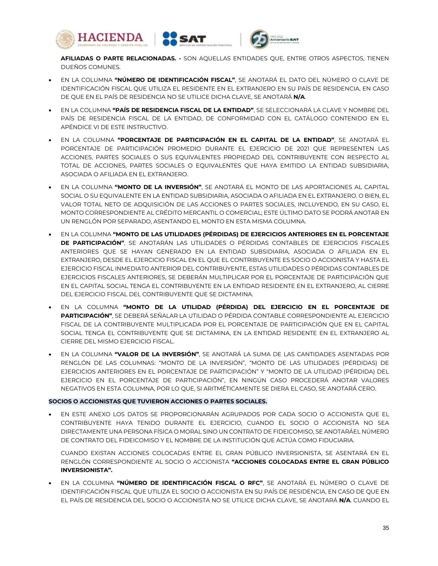





**AFILIADAS O PARTE RELACIONADAS. -** SON AQUELLAS ENTIDADES QUE, ENTRE OTROS ASPECTOS, TIENEN DUEÑOS COMUNES.

- EN LA COLUMNA **"NÚMERO DE IDENTIFICACIÓN FISCAL"**, SE ANOTARÁ EL DATO DEL NÚMERO O CLAVE DE IDENTIFICACIÓN FISCAL QUE UTILIZA EL RESIDENTE EN EL EXTRANJERO EN SU PAÍS DE RESIDENCIA, EN CASO DE QUE EN EL PAÍS DE RESIDENCIA NO SE UTILICE DICHA CLAVE, SE ANOTARÁ **N/A**.
- EN LA COLUMNA **"PAÍS DE RESIDENCIA FISCAL DE LA ENTIDAD"**, SE SELECCIONARÁ LA CLAVE Y NOMBRE DEL PAÍS DE RESIDENCIA FISCAL DE LA ENTIDAD, DE CONFORMIDAD CON EL CATÁLOGO CONTENIDO EN EL APÉNDICE VI DE ESTE INSTRUCTIVO.
- EN LA COLUMNA **"PORCENTAJE DE PARTICIPACIÓN EN EL CAPITAL DE LA ENTIDAD"**, SE ANOTARÁ EL PORCENTAJE DE PARTICIPACIÓN PROMEDIO DURANTE EL EJERCICIO DE 2021 QUE REPRESENTEN LAS ACCIONES, PARTES SOCIALES O SUS EQUIVALENTES PROPIEDAD DEL CONTRIBUYENTE CON RESPECTO AL TOTAL DE ACCIONES, PARTES SOCIALES O EQUIVALENTES QUE HAYA EMITIDO LA ENTIDAD SUBSIDIARIA, ASOCIADA O AFILIADA EN EL EXTRANJERO.
- EN LA COLUMNA **"MONTO DE LA INVERSIÓN"**, SE ANOTARÁ EL MONTO DE LAS APORTACIONES AL CAPITAL SOCIAL O SU EQUIVALENTE EN LA ENTIDAD SUBSIDIARIA, ASOCIADA O AFILIADA EN EL EXTRANJERO. O BIEN, EL VALOR TOTAL NETO DE ADQUISICIÓN DE LAS ACCIONES O PARTES SOCIALES, INCLUYENDO, EN SU CASO, EL MONTO CORRESPONDIENTE AL CRÉDITO MERCANTIL O COMERCIAL; ESTE ÚLTIMO DATO SE PODRÁ ANOTAR EN UN RENGLÓN POR SEPARADO, ASENTANDO EL MONTO EN ESTA MISMA COLUMNA.
- EN LA COLUMNA **"MONTO DE LAS UTILIDADES (PÉRDIDAS) DE EJERCICIOS ANTERIORES EN EL PORCENTAJE DE PARTICIPACIÓN"**, SE ANOTARÁN LAS UTILIDADES O PÉRDIDAS CONTABLES DE EJERCICIOS FISCALES ANTERIORES QUE SE HAYAN GENERADO EN LA ENTIDAD SUBSIDIARIA, ASOCIADA O AFILIADA EN EL EXTRANJERO, DESDE EL EJERCICIO FISCAL EN EL QUE EL CONTRIBUYENTE ES SOCIO O ACCIONISTA Y HASTA EL EJERCICIO FISCAL INMEDIATO ANTERIOR DEL CONTRIBUYENTE, ESTAS UTILIDADES O PÉRDIDAS CONTABLES DE EJERCICIOS FISCALES ANTERIORES, SE DEBERÁN MULTIPLICAR POR EL PORCENTAJE DE PARTICIPACIÓN QUE EN EL CAPITAL SOCIAL TENGA EL CONTRIBUYENTE EN LA ENTIDAD RESIDENTE EN EL EXTRANJERO, AL CIERRE DEL EJERCICIO FISCAL DEL CONTRIBUYENTE QUE SE DICTAMINA.
- EN LA COLUMNA **"MONTO DE LA UTILIDAD (PÉRDIDA) DEL EJERCICIO EN EL PORCENTAJE DE PARTICIPACIÓN"**, SE DEBERÁ SEÑALAR LA UTILIDAD O PÉRDIDA CONTABLE CORRESPONDIENTE AL EJERCICIO FISCAL DE LA CONTRIBUYENTE MULTIPLICADA POR EL PORCENTAJE DE PARTICIPACIÓN QUE EN EL CAPITAL SOCIAL TENGA EL CONTRIBUYENTE QUE SE DICTAMINA, EN LA ENTIDAD RESIDENTE EN EL EXTRANJERO AL CIERRE DEL MISMO EJERCICIO FISCAL.
- EN LA COLUMNA **"VALOR DE LA INVERSIÓN"**, SE ANOTARÁ LA SUMA DE LAS CANTIDADES ASENTADAS POR RENGLÓN DE LAS COLUMNAS: "MONTO DE LA INVERSIÓN", "MONTO DE LAS UTILIDADES (PÉRDIDAS) DE EJERCICIOS ANTERIORES EN EL PORCENTAJE DE PARTICIPACIÓN" Y "MONTO DE LA UTILIDAD (PÉRDIDA) DEL EJERCICIO EN EL PORCENTAJE DE PARTICIPACIÓN", EN NINGÚN CASO PROCEDERÁ ANOTAR VALORES NEGATIVOS EN ESTA COLUMNA, POR LO QUE, SI ARITMÉTICAMENTE SE DIERA EL CASO, SE ANOTARÁ CERO.

## **SOCIOS O ACCIONISTAS QUE TUVIERON ACCIONES O PARTES SOCIALES.**

 EN ESTE ANEXO LOS DATOS SE PROPORCIONARÁN AGRUPADOS POR CADA SOCIO O ACCIONISTA QUE EL CONTRIBUYENTE HAYA TENIDO DURANTE EL EJERCICIO, CUANDO EL SOCIO O ACCIONISTA NO SEA DIRECTAMENTE UNA PERSONA FÍSICA O MORAL SINO UN CONTRATO DE FIDEICOMISO, SE ANOTARÁEL NÚMERO DE CONTRATO DEL FIDEICOMISO Y EL NOMBRE DE LA INSTITUCIÓN QUE ACTÚA COMO FIDUCIARIA.

CUANDO EXISTAN ACCIONES COLOCADAS ENTRE EL GRAN PÚBLICO INVERSIONISTA, SE ASENTARÁ EN EL RENGLÓN CORRESPONDIENTE AL SOCIO O ACCIONISTA **"ACCIONES COLOCADAS ENTRE EL GRAN PÚBLICO INVERSIONISTA".**

 EN LA COLUMNA **"NÚMERO DE IDENTIFICACIÓN FISCAL O RFC"**, SE ANOTARÁ EL NÚMERO O CLAVE DE IDENTIFICACIÓN FISCAL QUE UTILIZA EL SOCIO O ACCIONISTA EN SU PAÍS DE RESIDENCIA, EN CASO DE QUE EN EL PAÍS DE RESIDENCIA DEL SOCIO O ACCIONISTA NO SE UTILICE DICHA CLAVE, SE ANOTARÁ **N/A**. CUANDO EL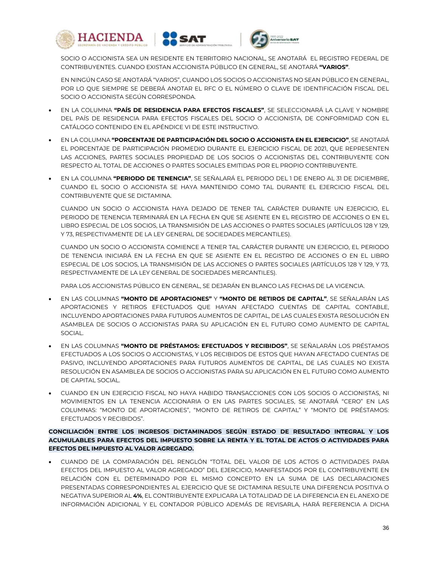





SOCIO O ACCIONISTA SEA UN RESIDENTE EN TERRITORIO NACIONAL, SE ANOTARÁ EL REGISTRO FEDERAL DE CONTRIBUYENTES. CUANDO EXISTAN ACCIONISTA PÚBLICO EN GENERAL, SE ANOTARÁ **"VARIOS"**.

EN NINGÚN CASO SE ANOTARÁ "VARIOS", CUANDO LOS SOCIOS O ACCIONISTAS NO SEAN PÚBLICO EN GENERAL, POR LO QUE SIEMPRE SE DEBERÁ ANOTAR EL RFC O EL NÚMERO O CLAVE DE IDENTIFICACIÓN FISCAL DEL SOCIO O ACCIONISTA SEGÚN CORRESPONDA.

- EN LA COLUMNA **"PAÍS DE RESIDENCIA PARA EFECTOS FISCALES"**, SE SELECCIONARÁ LA CLAVE Y NOMBRE DEL PAÍS DE RESIDENCIA PARA EFECTOS FISCALES DEL SOCIO O ACCIONISTA, DE CONFORMIDAD CON EL CATÁLOGO CONTENIDO EN EL APÉNDICE VI DE ESTE INSTRUCTIVO.
- EN LA COLUMNA **"PORCENTAJE DE PARTICIPACIÓN DEL SOCIO O ACCIONISTA EN EL EJERCICIO"**, SE ANOTARÁ EL PORCENTAJE DE PARTICIPACIÓN PROMEDIO DURANTE EL EJERCICIO FISCAL DE 2021, QUE REPRESENTEN LAS ACCIONES, PARTES SOCIALES PROPIEDAD DE LOS SOCIOS O ACCIONISTAS DEL CONTRIBUYENTE CON RESPECTO AL TOTAL DE ACCIONES O PARTES SOCIALES EMITIDAS POR EL PROPIO CONTRIBUYENTE.
- EN LA COLUMNA **"PERIODO DE TENENCIA"**, SE SEÑALARÁ EL PERIODO DEL 1 DE ENERO AL 31 DE DICIEMBRE, CUANDO EL SOCIO O ACCIONISTA SE HAYA MANTENIDO COMO TAL DURANTE EL EJERCICIO FISCAL DEL CONTRIBUYENTE QUE SE DICTAMINA.

CUANDO UN SOCIO O ACCIONISTA HAYA DEJADO DE TENER TAL CARÁCTER DURANTE UN EJERCICIO, EL PERIODO DE TENENCIA TERMINARÁ EN LA FECHA EN QUE SE ASIENTE EN EL REGISTRO DE ACCIONES O EN EL LIBRO ESPECIAL DE LOS SOCIOS, LA TRANSMISIÓN DE LAS ACCIONES O PARTES SOCIALES (ARTÍCULOS 128 Y 129, Y 73, RESPECTIVAMENTE DE LA LEY GENERAL DE SOCIEDADES MERCANTILES).

CUANDO UN SOCIO O ACCIONISTA COMIENCE A TENER TAL CARÁCTER DURANTE UN EJERCICIO, EL PERIODO DE TENENCIA INICIARÁ EN LA FECHA EN QUE SE ASIENTE EN EL REGISTRO DE ACCIONES O EN EL LIBRO ESPECIAL DE LOS SOCIOS, LA TRANSMISIÓN DE LAS ACCIONES O PARTES SOCIALES (ARTÍCULOS 128 Y 129, Y 73, RESPECTIVAMENTE DE LA LEY GENERAL DE SOCIEDADES MERCANTILES).

PARA LOS ACCIONISTAS PÚBLICO EN GENERAL, SE DEJARÁN EN BLANCO LAS FECHAS DE LA VIGENCIA.

- EN LAS COLUMNAS **"MONTO DE APORTACIONES"** Y **"MONTO DE RETIROS DE CAPITAL"**, SE SEÑALARÁN LAS APORTACIONES Y RETIROS EFECTUADOS QUE HAYAN AFECTADO CUENTAS DE CAPITAL CONTABLE, INCLUYENDO APORTACIONES PARA FUTUROS AUMENTOS DE CAPITAL, DE LAS CUALES EXISTA RESOLUCIÓN EN ASAMBLEA DE SOCIOS O ACCIONISTAS PARA SU APLICACIÓN EN EL FUTURO COMO AUMENTO DE CAPITAL SOCIAL.
- EN LAS COLUMNAS **"MONTO DE PRÉSTAMOS: EFECTUADOS Y RECIBIDOS"**, SE SEÑALARÁN LOS PRÉSTAMOS EFECTUADOS A LOS SOCIOS O ACCIONISTAS, Y LOS RECIBIDOS DE ESTOS QUE HAYAN AFECTADO CUENTAS DE PASIVO, INCLUYENDO APORTACIONES PARA FUTUROS AUMENTOS DE CAPITAL, DE LAS CUALES NO EXISTA RESOLUCIÓN EN ASAMBLEA DE SOCIOS O ACCIONISTAS PARA SU APLICACIÓN EN EL FUTURO COMO AUMENTO DE CAPITAL SOCIAL.
- CUANDO EN UN EJERCICIO FISCAL NO HAYA HABIDO TRANSACCIONES CON LOS SOCIOS O ACCIONISTAS, NI MOVIMIENTOS EN LA TENENCIA ACCIONARIA O EN LAS PARTES SOCIALES, SE ANOTARÁ "CERO" EN LAS COLUMNAS: "MONTO DE APORTACIONES", "MONTO DE RETIROS DE CAPITAL" Y "MONTO DE PRÉSTAMOS: EFECTUADOS Y RECIBIDOS".

# **CONCILIACIÓN ENTRE LOS INGRESOS DICTAMINADOS SEGÚN ESTADO DE RESULTADO INTEGRAL Y LOS ACUMULABLES PARA EFECTOS DEL IMPUESTO SOBRE LA RENTA Y EL TOTAL DE ACTOS O ACTIVIDADES PARA EFECTOS DEL IMPUESTO AL VALOR AGREGADO.**

 CUANDO DE LA COMPARACIÓN DEL RENGLÓN "TOTAL DEL VALOR DE LOS ACTOS O ACTIVIDADES PARA EFECTOS DEL IMPUESTO AL VALOR AGREGADO" DEL EJERCICIO, MANIFESTADOS POR EL CONTRIBUYENTE EN RELACIÓN CON EL DETERMINADO POR EL MISMO CONCEPTO EN LA SUMA DE LAS DECLARACIONES PRESENTADAS CORRESPONDIENTES AL EJERCICIO QUE SE DICTAMINA RESULTE UNA DIFERENCIA POSITIVA O NEGATIVA SUPERIOR AL **4%**, EL CONTRIBUYENTE EXPLICARA LA TOTALIDAD DE LA DIFERENCIA EN EL ANEXO DE INFORMACIÓN ADICIONAL Y EL CONTADOR PÚBLICO ADEMÁS DE REVISARLA, HARÁ REFERENCIA A DICHA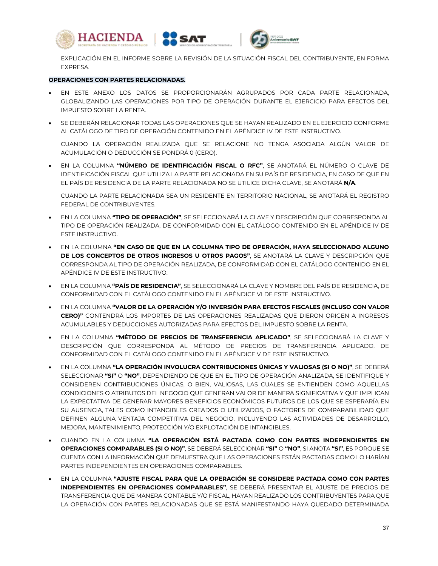





EXPLICACIÓN EN EL INFORME SOBRE LA REVISIÓN DE LA SITUACIÓN FISCAL DEL CONTRIBUYENTE, EN FORMA EXPRESA.

#### **OPERACIONES CON PARTES RELACIONADAS.**

- EN ESTE ANEXO LOS DATOS SE PROPORCIONARÁN AGRUPADOS POR CADA PARTE RELACIONADA, GLOBALIZANDO LAS OPERACIONES POR TIPO DE OPERACIÓN DURANTE EL EJERCICIO PARA EFECTOS DEL IMPUESTO SOBRE LA RENTA.
- SE DEBERÁN RELACIONAR TODAS LAS OPERACIONES QUE SE HAYAN REALIZADO EN EL EJERCICIO CONFORME AL CATÁLOGO DE TIPO DE OPERACIÓN CONTENIDO EN EL APÉNDICE IV DE ESTE INSTRUCTIVO.

CUANDO LA OPERACIÓN REALIZADA QUE SE RELACIONE NO TENGA ASOCIADA ALGÚN VALOR DE ACUMULACIÓN O DEDUCCIÓN SE PONDRÁ 0 (CERO).

 EN LA COLUMNA **"NÚMERO DE IDENTIFICACIÓN FISCAL O RFC"**, SE ANOTARÁ EL NÚMERO O CLAVE DE IDENTIFICACIÓN FISCAL QUE UTILIZA LA PARTE RELACIONADA EN SU PAÍS DE RESIDENCIA, EN CASO DE QUE EN EL PAÍS DE RESIDENCIA DE LA PARTE RELACIONADA NO SE UTILICE DICHA CLAVE, SE ANOTARÁ **N/A**.

CUANDO LA PARTE RELACIONADA SEA UN RESIDENTE EN TERRITORIO NACIONAL, SE ANOTARÁ EL REGISTRO FEDERAL DE CONTRIBUYENTES.

- EN LA COLUMNA **"TIPO DE OPERACIÓN"**, SE SELECCIONARÁ LA CLAVE Y DESCRIPCIÓN QUE CORRESPONDA AL TIPO DE OPERACIÓN REALIZADA, DE CONFORMIDAD CON EL CATÁLOGO CONTENIDO EN EL APÉNDICE IV DE ESTE INSTRUCTIVO.
- EN LA COLUMNA **"EN CASO DE QUE EN LA COLUMNA TIPO DE OPERACIÓN, HAYA SELECCIONADO ALGUNO DE LOS CONCEPTOS DE OTROS INGRESOS U OTROS PAGOS"**, SE ANOTARÁ LA CLAVE Y DESCRIPCIÓN QUE CORRESPONDA AL TIPO DE OPERACIÓN REALIZADA, DE CONFORMIDAD CON EL CATÁLOGO CONTENIDO EN EL APÉNDICE IV DE ESTE INSTRUCTIVO.
- EN LA COLUMNA **"PAÍS DE RESIDENCIA"**, SE SELECCIONARÁ LA CLAVE Y NOMBRE DEL PAÍS DE RESIDENCIA, DE CONFORMIDAD CON EL CATÁLOGO CONTENIDO EN EL APÉNDICE VI DE ESTE INSTRUCTIVO.
- EN LA COLUMNA **"VALOR DE LA OPERACIÓN Y/O INVERSIÓN PARA EFECTOS FISCALES (INCLUSO CON VALOR CERO)"** CONTENDRÁ LOS IMPORTES DE LAS OPERACIONES REALIZADAS QUE DIERON ORIGEN A INGRESOS ACUMULABLES Y DEDUCCIONES AUTORIZADAS PARA EFECTOS DEL IMPUESTO SOBRE LA RENTA.
- EN LA COLUMNA **"MÉTODO DE PRECIOS DE TRANSFERENCIA APLICADO"**, SE SELECCIONARÁ LA CLAVE Y DESCRIPCIÓN QUE CORRESPONDA AL MÉTODO DE PRECIOS DE TRANSFERENCIA APLICADO, DE CONFORMIDAD CON EL CATÁLOGO CONTENIDO EN EL APÉNDICE V DE ESTE INSTRUCTIVO.
- EN LA COLUMNA **"LA OPERACIÓN INVOLUCRA CONTRIBUCIONES ÚNICAS Y VALIOSAS (SI O NO)"**, SE DEBERÁ SELECCIONAR **"SI"** O **"NO"**, DEPENDIENDO DE QUE EN EL TIPO DE OPERACIÓN ANALIZADA, SE IDENTIFIQUE Y CONSIDEREN CONTRIBUCIONES ÚNICAS, O BIEN, VALIOSAS, LAS CUALES SE ENTIENDEN COMO AQUELLAS CONDICIONES O ATRIBUTOS DEL NEGOCIO QUE GENERAN VALOR DE MANERA SIGNIFICATIVA Y QUE IMPLICAN LA EXPECTATIVA DE GENERAR MAYORES BENEFICIOS ECONÓMICOS FUTUROS DE LOS QUE SE ESPERARÍA EN SU AUSENCIA, TALES COMO INTANGIBLES CREADOS O UTILIZADOS, O FACTORES DE COMPARABILIDAD QUE DEFINEN ALGUNA VENTAJA COMPETITIVA DEL NEGOCIO, INCLUYENDO LAS ACTIVIDADES DE DESARROLLO, MEJORA, MANTENIMIENTO, PROTECCIÓN Y/O EXPLOTACIÓN DE INTANGIBLES.
- CUANDO EN LA COLUMNA **"LA OPERACIÓN ESTÁ PACTADA COMO CON PARTES INDEPENDIENTES EN OPERACIONES COMPARABLES (SI O NO)"**, SE DEBERÁ SELECCIONAR **"SI"** O **"NO"**, SI ANOTA **"SI"**, ES PORQUE SE CUENTA CON LA INFORMACIÓN QUE DEMUESTRA QUE LAS OPERACIONES ESTÁN PACTADAS COMO LO HARÍAN PARTES INDEPENDIENTES EN OPERACIONES COMPARABLES.
- EN LA COLUMNA **"AJUSTE FISCAL PARA QUE LA OPERACIÓN SE CONSIDERE PACTADA COMO CON PARTES INDEPENDIENTES EN OPERACIONES COMPARABLES"**, SE DEBERÁ PRESENTAR EL AJUSTE DE PRECIOS DE TRANSFERENCIA QUE DE MANERA CONTABLE Y/O FISCAL, HAYAN REALIZADO LOS CONTRIBUYENTES PARA QUE LA OPERACIÓN CON PARTES RELACIONADAS QUE SE ESTÁ MANIFESTANDO HAYA QUEDADO DETERMINADA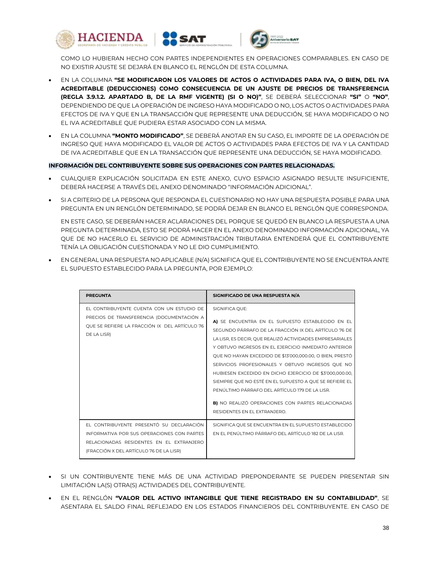





COMO LO HUBIERAN HECHO CON PARTES INDEPENDIENTES EN OPERACIONES COMPARABLES. EN CASO DE NO EXISTIR AJUSTE SE DEJARÁ EN BLANCO EL RENGLÓN DE ESTA COLUMNA.

- EN LA COLUMNA **"SE MODIFICARON LOS VALORES DE ACTOS O ACTIVIDADES PARA IVA, O BIEN, DEL IVA ACREDITABLE (DEDUCCIONES) COMO CONSECUENCIA DE UN AJUSTE DE PRECIOS DE TRANSFERENCIA (REGLA 3.9.1.2. APARTADO B, DE LA RMF VIGENTE) (SI O NO)"**, SE DEBERÁ SELECCIONAR **"SI"** O **"NO"**, DEPENDIENDO DE QUE LA OPERACIÓN DE INGRESO HAYA MODIFICADO O NO, LOS ACTOS O ACTIVIDADES PARA EFECTOS DE IVA Y QUE EN LA TRANSACCIÓN QUE REPRESENTE UNA DEDUCCIÓN, SE HAYA MODIFICADO O NO EL IVA ACREDITABLE QUE PUDIERA ESTAR ASOCIADO CON LA MISMA.
- EN LA COLUMNA **"MONTO MODIFICADO"**, SE DEBERÁ ANOTAR EN SU CASO, EL IMPORTE DE LA OPERACIÓN DE INGRESO QUE HAYA MODIFICADO EL VALOR DE ACTOS O ACTIVIDADES PARA EFECTOS DE IVA Y LA CANTIDAD DE IVA ACREDITABLE QUE EN LA TRANSACCIÓN QUE REPRESENTE UNA DEDUCCIÓN, SE HAYA MODIFICADO.

**INFORMACIÓN DEL CONTRIBUYENTE SOBRE SUS OPERACIONES CON PARTES RELACIONADAS.**

- CUALQUIER EXPLICACIÓN SOLICITADA EN ESTE ANEXO, CUYO ESPACIO ASIGNADO RESULTE INSUFICIENTE, DEBERÁ HACERSE A TRAVÉS DEL ANEXO DENOMINADO "INFORMACIÓN ADICIONAL".
- SI A CRITERIO DE LA PERSONA QUE RESPONDA EL CUESTIONARIO NO HAY UNA RESPUESTA POSIBLE PARA UNA PREGUNTA EN UN RENGLÓN DETERMINADO, SE PODRÁ DEJAR EN BLANCO EL RENGLÓN QUE CORRESPONDA.

EN ESTE CASO, SE DEBERÁN HACER ACLARACIONES DEL PORQUE SE QUEDÓ EN BLANCO LA RESPUESTA A UNA PREGUNTA DETERMINADA, ESTO SE PODRÁ HACER EN EL ANEXO DENOMINADO INFORMACIÓN ADICIONAL, YA QUE DE NO HACERLO EL SERVICIO DE ADMINISTRACIÓN TRIBUTARIA ENTENDERÁ QUE EL CONTRIBUYENTE TENÍA LA OBLIGACIÓN CUESTIONADA Y NO LE DIO CUMPLIMIENTO.

 EN GENERAL UNA RESPUESTA NO APLICABLE (N/A) SIGNIFICA QUE EL CONTRIBUYENTE NO SE ENCUENTRA ANTE EL SUPUESTO ESTABLECIDO PARA LA PREGUNTA, POR EJEMPLO:

| <b>PREGUNTA</b>                                                                                                                                                               | SIGNIFICADO DE UNA RESPUESTA N/A                                                                                                                                                                                                                                                                                                                                                                                                                                                                                                                                                                                                  |
|-------------------------------------------------------------------------------------------------------------------------------------------------------------------------------|-----------------------------------------------------------------------------------------------------------------------------------------------------------------------------------------------------------------------------------------------------------------------------------------------------------------------------------------------------------------------------------------------------------------------------------------------------------------------------------------------------------------------------------------------------------------------------------------------------------------------------------|
| FL CONTRIBUYENTE CUENTA CON UN ESTUDIO DE<br>PRECIOS DE TRANSFERENCIA (DOCUMENTACIÓN A<br>OUE SE REFIERE LA FRACCIÓN IX DEL ARTÍCULO 76<br>DE LA LISR)                        | SIGNIFICA QUE:<br>A) SE ENCUENTRA EN EL SUPUESTO ESTABLECIDO EN EL<br>SEGUNDO PÁRRAFO DE LA FRACCIÓN IX DEL ARTÍCULO 76 DE<br>LA LISR, ES DECIR, QUE REALIZÓ ACTIVIDADES EMPRESARIALES<br>Y OBTUVO INGRESOS EN EL EJERCICIO INMEDIATO ANTERIOR<br>QUE NO HAYAN EXCEDIDO DE \$13'000,000.00, O BIEN, PRESTÓ<br>SERVICIOS PROFESIONALES Y OBTUVO INGRESOS QUE NO<br>HUBIESEN EXCEDIDO EN DICHO EJERCICIO DE \$3'000,000.00,<br>SIEMPRE QUE NO ESTÉ EN EL SUPUESTO A QUE SE REFIERE EL<br>PENÚLTIMO PÁRRAFO DEL ARTÍCULO 179 DE LA LISR.<br><b>BI</b> NO REALIZÓ OPERACIONES CON PARTES RELACIONADAS<br>RESIDENTES EN EL EXTRANJERO. |
| EL CONTRIBUYENTE PRESENTÓ SU DECLARACIÓN<br>INFORMATIVA POR SUS OPFRACIONES CON PARTES<br>RELACIONADAS RESIDENTES EN EL EXTRANJERO<br>(FRACCIÓN X DEL ARTÍCULO 76 DE LA LISR) | SIGNIFICA QUE SE ENCUENTRA EN EL SUPUESTO ESTABLECIDO<br>EN EL PENÚLTIMO PÁRRAFO DEL ARTÍCULO 182 DE LA LISR.                                                                                                                                                                                                                                                                                                                                                                                                                                                                                                                     |

- . SI UN CONTRIBUYENTE TIENE MÁS DE UNA ACTIVIDAD PREPONDERANTE SE PUEDEN PRESENTAR SIN LIMITACIÓN LA(S) OTRA(S) ACTIVIDADES DEL CONTRIBUYENTE.
- EN EL RENGLÓN **"VALOR DEL ACTIVO INTANGIBLE QUE TIENE REGISTRADO EN SU CONTABILIDAD"**, SE ASENTARA EL SALDO FINAL REFLEJADO EN LOS ESTADOS FINANCIEROS DEL CONTRIBUYENTE. EN CASO DE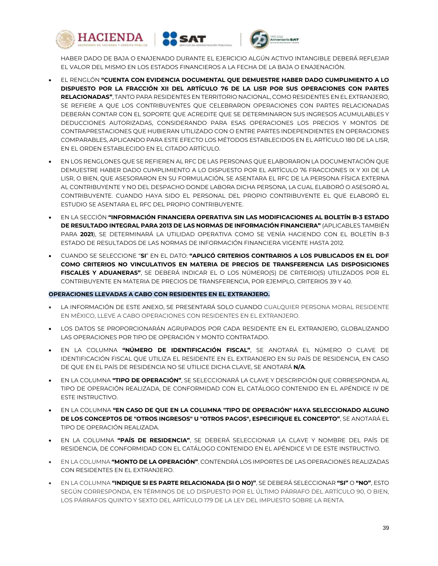





HABER DADO DE BAJA O ENAJENADO DURANTE EL EJERCICIO ALGÚN ACTIVO INTANGIBLE DEBERÁ REFLEJAR EL VALOR DEL MISMO EN LOS ESTADOS FINANCIEROS A LA FECHA DE LA BAJA O ENAJENACIÓN.

- EL RENGLÓN **"CUENTA CON EVIDENCIA DOCUMENTAL QUE DEMUESTRE HABER DADO CUMPLIMIENTO A LO DISPUESTO POR LA FRACCIÓN XII DEL ARTÍCULO 76 DE LA LISR POR SUS OPERACIONES CON PARTES RELACIONADAS"**, TANTO PARA RESIDENTES EN TERRITORIO NACIONAL, COMO RESIDENTES EN EL EXTRANJERO, SE REFIERE A QUE LOS CONTRIBUYENTES QUE CELEBRARON OPERACIONES CON PARTES RELACIONADAS DEBERÁN CONTAR CON EL SOPORTE QUE ACREDITE QUE SE DETERMINARON SUS INGRESOS ACUMULABLES Y DEDUCCIONES AUTORIZADAS, CONSIDERANDO PARA ESAS OPERACIONES LOS PRECIOS Y MONTOS DE CONTRAPRESTACIONES QUE HUBIERAN UTILIZADO CON O ENTRE PARTES INDEPENDIENTES EN OPERACIONES COMPARABLES, APLICANDO PARA ESTE EFECTO LOS MÉTODOS ESTABLECIDOS EN EL ARTÍCULO 180 DE LA LISR, EN EL ORDEN ESTABLECIDO EN EL CITADO ARTÍCULO.
- EN LOS RENGLONES QUE SE REFIEREN AL RFC DE LAS PERSONAS QUE ELABORARON LA DOCUMENTACIÓN QUE DEMUESTRE HABER DADO CUMPLIMIENTO A LO DISPUESTO POR EL ARTÍCULO 76 FRACCIONES IX Y XII DE LA LISR, O BIEN, QUE ASESORARON EN SU FORMULACIÓN, SE ASENTARA EL RFC DE LA PERSONA FÍSICA EXTERNA AL CONTRIBUYENTE Y NO DEL DESPACHO DONDE LABORA DICHA PERSONA, LA CUAL ELABORÓ O ASESORÓ AL CONTRIBUYENTE. CUANDO HAYA SIDO EL PERSONAL DEL PROPIO CONTRIBUYENTE EL QUE ELABORÓ EL ESTUDIO SE ASENTARA EL RFC DEL PROPIO CONTRIBUYENTE.
- EN LA SECCIÓN **"INFORMACIÓN FINANCIERA OPERATIVA SIN LAS MODIFICACIONES AL BOLETÍN B-3 ESTADO DE RESULTADO INTEGRAL PARA 2013 DE LAS NORMAS DE INFORMACIÓN FINANCIERA"** (APLICABLES TAMBIÉN PARA **2021**), SE DETERMINARÁ LA UTILIDAD OPERATIVA COMO SE VENÍA HACIENDO CON EL BOLETÍN B-3 ESTADO DE RESULTADOS DE LAS NORMAS DE INFORMACIÓN FINANCIERA VIGENTE HASTA 2012.
- CUANDO SE SELECCIONE "**SI**" EN EL DATO: **"APLICÓ CRITERIOS CONTRARIOS A LOS PUBLICADOS EN EL DOF COMO CRITERIOS NO VINCULATIVOS EN MATERIA DE PRECIOS DE TRANSFERENCIA LAS DISPOSICIONES FISCALES Y ADUANERAS"**, SE DEBERÁ INDICAR EL O LOS NÚMERO(S) DE CRITERIO(S) UTILIZADOS POR EL CONTRIBUYENTE EN MATERIA DE PRECIOS DE TRANSFERENCIA, POR EJEMPLO, CRITERIOS 39 Y 40.

#### **OPERACIONES LLEVADAS A CABO CON RESIDENTES EN EL EXTRANJERO.**

- LA INFORMACIÓN DE ESTE ANEXO, SE PRESENTARÁ SOLO CUANDO CUALQUIER PERSONA MORAL RESIDENTE EN MÉXICO, LLEVE A CABO OPERACIONES CON RESIDENTES EN EL EXTRANJERO.
- LOS DATOS SE PROPORCIONARÁN AGRUPADOS POR CADA RESIDENTE EN EL EXTRANJERO, GLOBALIZANDO LAS OPERACIONES POR TIPO DE OPERACIÓN Y MONTO CONTRATADO.
- EN LA COLUMNA **"NÚMERO DE IDENTIFICACIÓN FISCAL"**, SE ANOTARÁ EL NÚMERO O CLAVE DE IDENTIFICACIÓN FISCAL QUE UTILIZA EL RESIDENTE EN EL EXTRANJERO EN SU PAÍS DE RESIDENCIA, EN CASO DE QUE EN EL PAÍS DE RESIDENCIA NO SE UTILICE DICHA CLAVE, SE ANOTARÁ **N/A**.
- EN LA COLUMNA **"TIPO DE OPERACIÓN"**, SE SELECCIONARÁ LA CLAVE Y DESCRIPCIÓN QUE CORRESPONDA AL TIPO DE OPERACIÓN REALIZADA, DE CONFORMIDAD CON EL CATÁLOGO CONTENIDO EN EL APÉNDICE IV DE ESTE INSTRUCTIVO.
- EN LA COLUMNA **"EN CASO DE QUE EN LA COLUMNA "TIPO DE OPERACIÓN" HAYA SELECCIONADO ALGUNO DE LOS CONCEPTOS DE "OTROS INGRESOS" U "OTROS PAGOS", ESPECIFIQUE EL CONCEPTO"**, SE ANOTARÁ EL TIPO DE OPERACIÓN REALIZADA.
- EN LA COLUMNA **"PAÍS DE RESIDENCIA"**, SE DEBERÁ SELECCIONAR LA CLAVE Y NOMBRE DEL PAÍS DE RESIDENCIA, DE CONFORMIDAD CON EL CATÁLOGO CONTENIDO EN EL APÉNDICE VI DE ESTE INSTRUCTIVO.
- EN LA COLUMNA **"MONTO DE LA OPERACIÓN"**, CONTENDRÁ LOS IMPORTES DE LAS OPERACIONES REALIZADAS CON RESIDENTES EN EL EXTRANJERO.
- EN LA COLUMNA **"INDIQUE SI ES PARTE RELACIONADA (SI O NO)"**, SE DEBERÁ SELECCIONAR **"SI"** O **"NO"**, ESTO SEGÚN CORRESPONDA, EN TÉRMINOS DE LO DISPUESTO POR EL ÚLTIMO PÁRRAFO DEL ARTÍCULO 90, O BIEN, LOS PÁRRAFOS QUINTO Y SEXTO DEL ARTÍCULO 179 DE LA LEY DEL IMPUESTO SOBRE LA RENTA.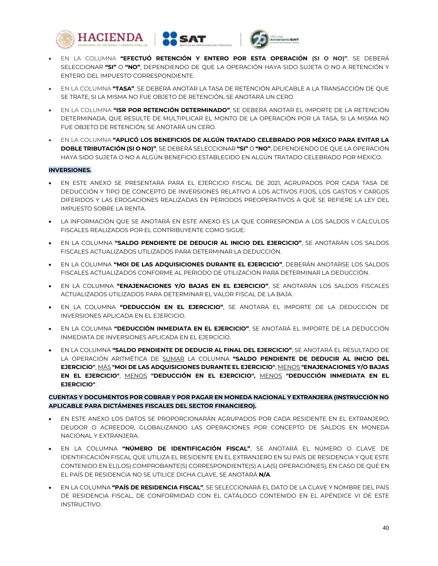





- EN LA COLUMNA **"EFECTUÓ RETENCIÓN Y ENTERO POR ESTA OPERACIÓN (SI O NO)"**, SE DEBERÁ SELECCIONAR **"SI"** O **"NO"**, DEPENDIENDO DE QUE LA OPERACIÓN HAYA SIDO SUJETA O NO A RETENCIÓN Y ENTERO DEL IMPUESTO CORRESPONDIENTE.
- EN LA COLUMNA **"TASA"**, SE DEBERÁ ANOTAR LA TASA DE RETENCIÓN APLICABLE A LA TRANSACCIÓN DE QUE SE TRATE, SI LA MISMA NO FUE OBJETO DE RETENCIÓN, SE ANOTARÁ UN CERO.
- EN LA COLUMNA **"ISR POR RETENCIÓN DETERMINADO"**, SE DEBERÁ ANOTAR EL IMPORTE DE LA RETENCIÓN DETERMINADA, QUE RESULTE DE MULTIPLICAR EL MONTO DE LA OPERACIÓN POR LA TASA, SI LA MISMA NO FUE OBJETO DE RETENCIÓN, SE ANOTARÁ UN CERO.
- EN LA COLUMNA **"APLICÓ LOS BENEFICIOS DE ALGÚN TRATADO CELEBRADO POR MÉXICO PARA EVITAR LA DOBLE TRIBUTACIÓN (SI O NO)"**, SE DEBERÁ SELECCIONAR **"SI"** O **"NO"**, DEPENDIENDO DE QUE LA OPERACIÓN HAYA SIDO SUJETA O NO A ALGÚN BENEFICIO ESTABLECIDO EN ALGÚN TRATADO CELEBRADO POR MÉXICO.

## **INVERSIONES.**

- EN ESTE ANEXO SE PRESENTARÁ PARA EL EJERCICIO FISCAL DE 2021, AGRUPADOS POR CADA TASA DE DEDUCCIÓN Y TIPO DE CONCEPTO DE INVERSIONES RELATIVO A LOS ACTIVOS FIJOS, LOS GASTOS Y CARGOS DIFERIDOS Y LAS EROGACIONES REALIZADAS EN PERIODOS PREOPERATIVOS A QUE SE REFIERE LA LEY DEL IMPUESTO SOBRE LA RENTA.
- LA INFORMACIÓN QUE SE ANOTARÁ EN ESTE ANEXO ES LA QUE CORRESPONDA A LOS SALDOS Y CÁLCULOS FISCALES REALIZADOS POR EL CONTRIBUYENTE COMO SIGUE:
- EN LA COLUMNA **"SALDO PENDIENTE DE DEDUCIR AL INICIO DEL EJERCICIO"**, SE ANOTARÁN LOS SALDOS FISCALES ACTUALIZADOS UTILIZADOS PARA DETERMINAR LA DEDUCCIÓN.
- EN LA COLUMNA **"MOI DE LAS ADQUISICIONES DURANTE EL EJERCICIO"**, DEBERÁN ANOTARSE LOS SALDOS FISCALES ACTUALIZADOS CONFORME AL PERIODO DE UTILIZACIÓN PARA DETERMINAR LA DEDUCCIÓN.
- EN LA COLUMNA **"ENAJENACIONES Y/O BAJAS EN EL EJERCICIO"**, SE ANOTARÁN LOS SALDOS FISCALES ACTUALIZADOS UTILIZADOS PARA DETERMINAR EL VALOR FISCAL DE LA BAJA.
- EN LA COLUMNA **"DEDUCCIÓN EN EL EJERCICIO"**, SE ANOTARÁ EL IMPORTE DE LA DEDUCCIÓN DE INVERSIONES APLICADA EN EL EJERCICIO.
- EN LA COLUMNA **"DEDUCCIÓN INMEDIATA EN EL EJERCICIO"**, SE ANOTARÁ EL IMPORTE DE LA DEDUCCIÓN INMEDIATA DE INVERSIONES APLICADA EN EL EJERCICIO.
- EN LA COLUMNA **"SALDO PENDIENTE DE DEDUCIR AL FINAL DEL EJERCICIO"**, SE ANOTARÁ EL RESULTADO DE LA OPERACIÓN ARITMÉTICA DE SUMAR LA COLUMNA **"SALDO PENDIENTE DE DEDUCIR AL INICIO DEL EJERCICIO"**, MÁS **"MOI DE LAS ADQUISICIONES DURANTE EL EJERCICIO"**, MENOS **"ENAJENACIONES Y/O BAJAS EN EL EJERCICIO"**, MENOS **"DEDUCCIÓN EN EL EJERCICIO",** MENOS **"DEDUCCIÓN INMEDIATA EN EL EJERCICIO"**.

## **CUENTAS Y DOCUMENTOS POR COBRAR Y POR PAGAR EN MONEDA NACIONAL Y EXTRANJERA (INSTRUCCIÓN NO APLICABLE PARA DICTÁMENES FISCALES DEL SECTOR FINANCIERO).**

- EN ESTE ANEXO LOS DATOS SE PROPORCIONARÁN AGRUPADOS POR CADA RESIDENTE EN EL EXTRANJERO, DEUDOR O ACREEDOR, GLOBALIZANDO LAS OPERACIONES POR CONCEPTO DE SALDOS EN MONEDA NACIONAL Y EXTRANJERA.
- EN LA COLUMNA **"NÚMERO DE IDENTIFICACIÓN FISCAL"**, SE ANOTARÁ EL NÚMERO O CLAVE DE IDENTIFICACIÓN FISCAL QUE UTILIZA EL RESIDENTE EN EL EXTRANJERO EN SU PAÍS DE RESIDENCIA Y QUE ESTE CONTENIDO EN EL(LOS) COMPROBANTE(S) CORRESPONDIENTE(S) A LA(S) OPERACIÓN(ES), EN CASO DE QUE EN EL PAÍS DE RESIDENCIA NO SE UTILICE DICHA CLAVE, SE ANOTARÁ **N/A**.
- EN LA COLUMNA **"PAÍS DE RESIDENCIA FISCAL"**, SE SELECCIONARÁ EL DATO DE LA CLAVE Y NOMBRE DEL PAÍS DE RESIDENCIA FISCAL, DE CONFORMIDAD CON EL CATÁLOGO CONTENIDO EN EL APÉNDICE VI DE ESTE INSTRUCTIVO.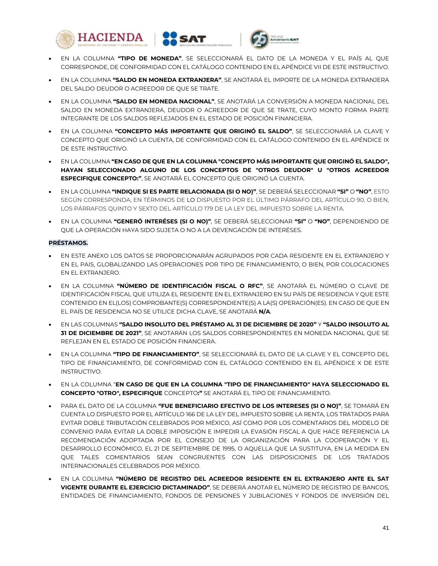





- EN LA COLUMNA **"TIPO DE MONEDA"**, SE SELECCIONARÁ EL DATO DE LA MONEDA Y EL PAÍS AL QUE CORRESPONDE, DE CONFORMIDAD CON EL CATÁLOGO CONTENIDO EN EL APÉNDICE VII DE ESTE INSTRUCTIVO.
- EN LA COLUMNA **"SALDO EN MONEDA EXTRANJERA"**, SE ANOTARÁ EL IMPORTE DE LA MONEDA EXTRANJERA DEL SALDO DEUDOR O ACREEDOR DE QUE SE TRATE.
- EN LA COLUMNA **"SALDO EN MONEDA NACIONAL"**, SE ANOTARÁ LA CONVERSIÓN A MONEDA NACIONAL DEL SALDO EN MONEDA EXTRANJERA, DEUDOR O ACREEDOR DE QUE SE TRATE, CUYO MONTO FORMA PARTE INTEGRANTE DE LOS SALDOS REFLEJADOS EN EL ESTADO DE POSICIÓN FINANCIERA.
- EN LA COLUMNA **"CONCEPTO MÁS IMPORTANTE QUE ORIGINÓ EL SALDO"**, SE SELECCIONARÁ LA CLAVE Y CONCEPTO QUE ORIGINÓ LA CUENTA, DE CONFORMIDAD CON EL CATÁLOGO CONTENIDO EN EL APÉNDICE IX DE ESTE INSTRUCTIVO.
- EN LA COLUMNA **"EN CASO DE QUE EN LA COLUMNA "CONCEPTO MÁS IMPORTANTE QUE ORIGINÓ EL SALDO", HAYAN SELECCIONADO ALGUNO DE LOS CONCEPTOS DE "OTROS DEUDOR" U "OTROS ACREEDOR ESPECIFIQUE CONCEPTO:"**, SE ANOTARÁ EL CONCEPTO QUE ORIGINÓ LA CUENTA.
- EN LA COLUMNA **"INDIQUE SI ES PARTE RELACIONADA (SI O NO)"**, SE DEBERÁ SELECCIONAR **"SI"** O **"NO"**, ESTO SEGÚN CORRESPONDA, EN TÉRMINOS DE LO DISPUESTO POR EL ÚLTIMO PÁRRAFO DEL ARTÍCULO 90, O BIEN, LOS PÁRRAFOS QUINTO Y SEXTO DEL ARTÍCULO 179 DE LA LEY DEL IMPUESTO SOBRE LA RENTA.
- EN LA COLUMNA **"GENERÓ INTERÉSES (SI O NO)"**, SE DEBERÁ SELECCIONAR **"SI"** O **"NO"**, DEPENDIENDO DE QUE LA OPERACIÓN HAYA SIDO SUJETA O NO A LA DEVENGACIÓN DE INTERÉSES.

## **PRÉSTAMOS.**

- EN ESTE ANEXO LOS DATOS SE PROPORCIONARÁN AGRUPADOS POR CADA RESIDENTE EN EL EXTRANJERO Y EN EL PAIS, GLOBALIZANDO LAS OPERACIONES POR TIPO DE FINANCIAMIENTO, O BIEN, POR COLOCACIONES EN EL EXTRANJERO.
- EN LA COLUMNA **"NÚMERO DE IDENTIFICACIÓN FISCAL O RFC"**, SE ANOTARÁ EL NÚMERO O CLAVE DE IDENTIFICACIÓN FISCAL QUE UTILIZA EL RESIDENTE EN EL EXTRANJERO EN SU PAÍS DE RESIDENCIA Y QUE ESTE CONTENIDO EN EL(LOS) COMPROBANTE(S) CORRESPONDIENTE(S) A LA(S) OPERACIÓN(ES). EN CASO DE QUE EN EL PAÍS DE RESIDENCIA NO SE UTILICE DICHA CLAVE, SE ANOTARÁ **N/A**.
- EN LAS COLUMNAS **"SALDO INSOLUTO DEL PRÉSTAMO AL 31 DE DICIEMBRE DE 2020"** Y **"SALDO INSOLUTO AL 31 DE DICIEMBRE DE 2021"**, SE ANOTARÁN LOS SALDOS CORRESPONDIENTES EN MONEDA NACIONAL QUE SE REFLEJAN EN EL ESTADO DE POSICIÓN FINANCIERA.
- EN LA COLUMNA **"TIPO DE FINANCIAMIENTO"**, SE SELECCIONARÁ EL DATO DE LA CLAVE Y EL CONCEPTO DEL TIPO DE FINANCIAMIENTO, DE CONFORMIDAD CON EL CATÁLOGO CONTENIDO EN EL APÉNDICE X DE ESTE INSTRUCTIVO.
- EN LA COLUMNA "**EN CASO DE QUE EN LA COLUMNA "TIPO DE FINANCIAMIENTO" HAYA SELECCIONADO EL CONCEPTO "OTRO", ESPECIFIQUE** CONCEPTO**:"** SE ANOTARÁ EL TIPO DE FINANCIAMIENTO.
- PARA EL DATO DE LA COLUMNA **"FUE BENEFICIARIO EFECTIVO DE LOS INTERESES (SI O NO)"**, SE TOMARÁ EN CUENTA LO DISPUESTO POR EL ARTÍCULO 166 DE LA LEY DEL IMPUESTO SOBRE LA RENTA, LOS TRATADOS PARA EVITAR DOBLE TRIBUTACIÓN CELEBRADOS POR MÉXICO, ASÍ COMO POR LOS COMENTARIOS DEL MODELO DE CONVENIO PARA EVITAR LA DOBLE IMPOSICIÓN E IMPEDIR LA EVASIÓN FISCAL A QUE HACE REFERENCIA LA RECOMENDACIÓN ADOPTADA POR EL CONSEJO DE LA ORGANIZACIÓN PARA LA COOPERACIÓN Y EL DESARROLLO ECONÓMICO, EL 21 DE SEPTIEMBRE DE 1995, O AQUELLA QUE LA SUSTITUYA, EN LA MEDIDA EN QUE TALES COMENTARIOS SEAN CONGRUENTES CON LAS DISPOSICIONES DE LOS TRATADOS INTERNACIONALES CELEBRADOS POR MÉXICO.
- EN LA COLUMNA **"NÚMERO DE REGISTRO DEL ACREEDOR RESIDENTE EN EL EXTRANJERO ANTE EL SAT VIGENTE DURANTE EL EJERCICIO DICTAMINADO"**, SE DEBERÁ ANOTAR EL NÚMERO DE REGISTRO DE BANCOS, ENTIDADES DE FINANCIAMIENTO, FONDOS DE PENSIONES Y JUBILACIONES Y FONDOS DE INVERSIÓN DEL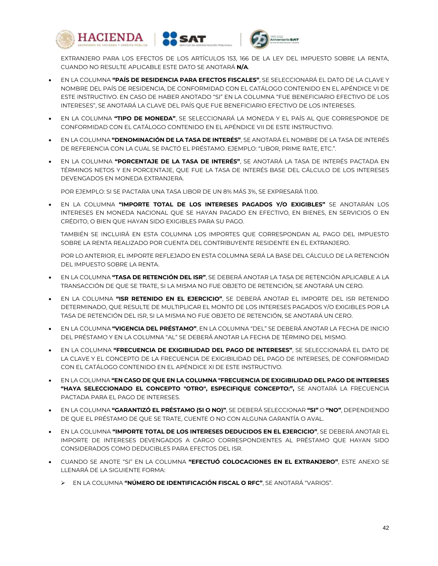





EXTRANJERO PARA LOS EFECTOS DE LOS ARTÍCULOS 153, 166 DE LA LEY DEL IMPUESTO SOBRE LA RENTA, CUANDO NO RESULTE APLICABLE ESTE DATO SE ANOTARÁ **N/A**.

- EN LA COLUMNA **"PAÍS DE RESIDENCIA PARA EFECTOS FISCALES"**, SE SELECCIONARÁ EL DATO DE LA CLAVE Y NOMBRE DEL PAÍS DE RESIDENCIA, DE CONFORMIDAD CON EL CATÁLOGO CONTENIDO EN EL APÉNDICE VI DE ESTE INSTRUCTIVO. EN CASO DE HABER ANOTADO "SI" EN LA COLUMNA "FUE BENEFICIARIO EFECTIVO DE LOS INTERESES", SE ANOTARÁ LA CLAVE DEL PAÍS QUE FUE BENEFICIARIO EFECTIVO DE LOS INTERESES.
- EN LA COLUMNA **"TIPO DE MONEDA"**, SE SELECCIONARÁ LA MONEDA Y EL PAÍS AL QUE CORRESPONDE DE CONFORMIDAD CON EL CATÁLOGO CONTENIDO EN EL APÉNDICE VII DE ESTE INSTRUCTIVO.
- EN LA COLUMNA **"DENOMINACIÓN DE LA TASA DE INTERÉS"**, SE ANOTARÁ EL NOMBRE DE LA TASA DE INTERÉS DE REFERENCIA CON LA CUAL SE PACTÓ EL PRÉSTAMO. EJEMPLO: "LIBOR, PRIME RATE, ETC.".
- EN LA COLUMNA **"PORCENTAJE DE LA TASA DE INTERÉS"**, SE ANOTARÁ LA TASA DE INTERÉS PACTADA EN TÉRMINOS NETOS Y EN PORCENTAJE, QUE FUE LA TASA DE INTERÉS BASE DEL CÁLCULO DE LOS INTERESES DEVENGADOS EN MONEDA EXTRANJERA.

POR EJEMPLO: SI SE PACTARA UNA TASA LIBOR DE UN 8% MÁS 3%, SE EXPRESARÁ 11.00.

 EN LA COLUMNA **"IMPORTE TOTAL DE LOS INTERESES PAGADOS Y/O EXIGIBLES"** SE ANOTARÁN LOS INTERESES EN MONEDA NACIONAL QUE SE HAYAN PAGADO EN EFECTIVO, EN BIENES, EN SERVICIOS O EN CRÉDITO, O BIEN QUE HAYAN SIDO EXIGIBLES PARA SU PAGO.

TAMBIÉN SE INCLUIRÁ EN ESTA COLUMNA LOS IMPORTES QUE CORRESPONDAN AL PAGO DEL IMPUESTO SOBRE LA RENTA REALIZADO POR CUENTA DEL CONTRIBUYENTE RESIDENTE EN EL EXTRANJERO.

POR LO ANTERIOR, EL IMPORTE REFLEJADO EN ESTA COLUMNA SERÁ LA BASE DEL CÁLCULO DE LA RETENCIÓN DEL IMPUESTO SOBRE LA RENTA.

- EN LA COLUMNA **"TASA DE RETENCIÓN DEL ISR"**, SE DEBERÁ ANOTAR LA TASA DE RETENCIÓN APLICABLE A LA TRANSACCIÓN DE QUE SE TRATE, SI LA MISMA NO FUE OBJETO DE RETENCIÓN, SE ANOTARÁ UN CERO.
- EN LA COLUMNA **"ISR RETENIDO EN EL EJERCICIO"**, SE DEBERÁ ANOTAR EL IMPORTE DEL ISR RETENIDO DETERMINADO, QUE RESULTE DE MULTIPLICAR EL MONTO DE LOS INTERESES PAGADOS Y/O EXIGIBLES POR LA TASA DE RETENCIÓN DEL ISR, SI LA MISMA NO FUE OBJETO DE RETENCIÓN, SE ANOTARÁ UN CERO.
- EN LA COLUMNA **"VIGENCIA DEL PRÉSTAMO"**, EN LA COLUMNA "DEL" SE DEBERÁ ANOTAR LA FECHA DE INICIO DEL PRÉSTAMO Y EN LA COLUMNA "AL" SE DEBERÁ ANOTAR LA FECHA DE TÉRMINO DEL MISMO.
- EN LA COLUMNA **"FRECUENCIA DE EXIGIBILIDAD DEL PAGO DE INTERESES"**, SE SELECCIONARÁ EL DATO DE LA CLAVE Y EL CONCEPTO DE LA FRECUENCIA DE EXIGIBILIDAD DEL PAGO DE INTERESES, DE CONFORMIDAD CON EL CATÁLOGO CONTENIDO EN EL APÉNDICE XI DE ESTE INSTRUCTIVO.
- EN LA COLUMNA **"EN CASO DE QUE EN LA COLUMNA "FRECUENCIA DE EXIGIBILIDAD DEL PAGO DE INTERESES "HAYA SELECCIONADO EL CONCEPTO "OTRO", ESPECIFIQUE CONCEPTO:",** SE ANOTARÁ LA FRECUENCIA PACTADA PARA EL PAGO DE INTERESES.
- EN LA COLUMNA **"GARANTIZÓ EL PRÉSTAMO (SI O NO)"**, SE DEBERÁ SELECCIONAR **"SI"** O **"NO"**, DEPENDIENDO DE QUE EL PRÉSTAMO DE QUE SE TRATE, CUENTE O NO CON ALGUNA GARANTÍA O AVAL.
- EN LA COLUMNA **"IMPORTE TOTAL DE LOS INTERESES DEDUCIDOS EN EL EJERCICIO"**, SE DEBERÁ ANOTAR EL IMPORTE DE INTERESES DEVENGADOS A CARGO CORRESPONDIENTES AL PRÉSTAMO QUE HAYAN SIDO CONSIDERADOS COMO DEDUCIBLES PARA EFECTOS DEL ISR.
- CUANDO SE ANOTE "SI" EN LA COLUMNA **"EFECTUÓ COLOCACIONES EN EL EXTRANJERO"**, ESTE ANEXO SE LLENARÁ DE LA SIGUIENTE FORMA:
	- EN LA COLUMNA **"NÚMERO DE IDENTIFICACIÓN FISCAL O RFC"**, SE ANOTARÁ "VARIOS".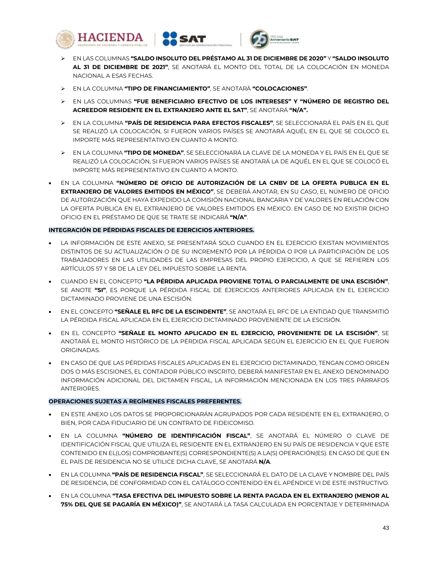





- EN LAS COLUMNAS **"SALDO INSOLUTO DEL PRÉSTAMO AL 31 DE DICIEMBRE DE 2020"** Y **"SALDO INSOLUTO AL 31 DE DICIEMBRE DE 2021"**, SE ANOTARÁ EL MONTO DEL TOTAL DE LA COLOCACIÓN EN MONEDA NACIONAL A ESAS FECHAS.
- EN LA COLUMNA **"TIPO DE FINANCIAMIENTO"**, SE ANOTARÁ **"COLOCACIONES"**.
- EN LAS COLUMNAS **"FUE BENEFICIARIO EFECTIVO DE LOS INTERESES" Y "NÚMERO DE REGISTRO DEL ACREEDOR RESIDENTE EN EL EXTRANJERO ANTE EL SAT"**, SE ANOTARÁ **"N/A".**
- EN LA COLUMNA **"PAÍS DE RESIDENCIA PARA EFECTOS FISCALES"**, SE SELECCIONARÁ EL PAÍS EN EL QUE SE REALIZÓ LA COLOCACIÓN, SI FUERON VARIOS PAÍSES SE ANOTARÁ AQUÉL EN EL QUE SE COLOCÓ EL IMPORTE MÁS REPRESENTATIVO EN CUANTO A MONTO.
- EN LA COLUMNA **"TIPO DE MONEDA"**, SE SELECCIONARÁ LA CLAVE DE LA MONEDA Y EL PAÍS EN EL QUE SE REALIZÓ LA COLOCACIÓN, SI FUERON VARIOS PAÍSES SE ANOTARÁ LA DE AQUÉL EN EL QUE SE COLOCÓ EL IMPORTE MÁS REPRESENTATIVO EN CUANTO A MONTO.
- EN LA COLUMNA **"NÚMERO DE OFICIO DE AUTORIZACIÓN DE LA CNBV DE LA OFERTA PUBLICA EN EL EXTRANJERO DE VALORES EMITIDOS EN MÉXICO"**, SE DEBERÁ ANOTAR, EN SU CASO, EL NÚMERO DE OFICIO DE AUTORIZACIÓN QUE HAYA EXPEDIDO LA COMISIÓN NACIONAL BANCARIA Y DE VALORES EN RELACIÓN CON LA OFERTA PUBLICA EN EL EXTRANJERO DE VALORES EMITIDOS EN MÉXICO. EN CASO DE NO EXISTIR DICHO OFICIO EN EL PRÉSTAMO DE QUE SE TRATE SE INDICARÁ **"N/A"**.

### **INTEGRACIÓN DE PÉRDIDAS FISCALES DE EJERCICIOS ANTERIORES.**

- LA INFORMACIÓN DE ESTE ANEXO, SE PRESENTARÁ SOLO CUANDO EN EL EJERCICIO EXISTAN MOVIMIENTOS DISTINTOS DE SU ACTUALIZACIÓN O DE SU INCREMENTÓ POR LA PÉRDIDA O POR LA PARTICIPACIÓN DE LOS TRABAJADORES EN LAS UTILIDADES DE LAS EMPRESAS DEL PROPIO EJERCICIO, A QUE SE REFIEREN LOS ARTÍCULOS 57 Y 58 DE LA LEY DEL IMPUESTO SOBRE LA RENTA.
- CUANDO EN EL CONCEPTO **"LA PÉRDIDA APLICADA PROVIENE TOTAL O PARCIALMENTE DE UNA ESCISIÓN"**, SE ANOTE **"SI"**, ES PORQUE LA PÉRDIDA FISCAL DE EJERCICIOS ANTERIORES APLICADA EN EL EJERCICIO DICTAMINADO PROVIENE DE UNA ESCISIÓN.
- EN EL CONCEPTO **"SEÑALE EL RFC DE LA ESCINDENTE"**, SE ANOTARÁ EL RFC DE LA ENTIDAD QUE TRANSMITIÓ LA PÉRDIDA FISCAL APLICADA EN EL EJERCICIO DICTAMINADO PROVENIENTE DE LA ESCISIÓN.
- EN EL CONCEPTO **"SEÑALE EL MONTO APLICADO EN EL EJERCICIO, PROVENIENTE DE LA ESCISIÓN"**, SE ANOTARÁ EL MONTO HISTÓRICO DE LA PÉRDIDA FISCAL APLICADA SEGÚN EL EJERCICIO EN EL QUE FUERON ORIGINADAS.
- EN CASO DE QUE LAS PÉRDIDAS FISCALES APLICADAS EN EL EJERCICIO DICTAMINADO, TENGAN COMO ORIGEN DOS O MÁS ESCISIONES, EL CONTADOR PÚBLICO INSCRITO, DEBERÁ MANIFESTAR EN EL ANEXO DENOMINADO INFORMACIÓN ADICIONAL DEL DICTAMEN FISCAL, LA INFORMACIÓN MENCIONADA EN LOS TRES PÁRRAFOS ANTERIORES.

### **OPERACIONES SUJETAS A REGÍMENES FISCALES PREFERENTES.**

- EN ESTE ANEXO LOS DATOS SE PROPORCIONARÁN AGRUPADOS POR CADA RESIDENTE EN EL EXTRANJERO, O BIEN, POR CADA FIDUCIARIO DE UN CONTRATO DE FIDEICOMISO.
- EN LA COLUMNA **"NÚMERO DE IDENTIFICACIÓN FISCAL"**, SE ANOTARÁ EL NÚMERO O CLAVE DE IDENTIFICACIÓN FISCAL QUE UTILIZA EL RESIDENTE EN EL EXTRANJERO EN SU PAÍS DE RESIDENCIA Y QUE ESTE CONTENIDO EN EL(LOS) COMPROBANTE(S) CORRESPONDIENTE(S) A LA(S) OPERACIÓN(ES). EN CASO DE QUE EN EL PAÍS DE RESIDENCIA NO SE UTILICE DICHA CLAVE, SE ANOTARÁ **N/A**.
- EN LA COLUMNA **"PAÍS DE RESIDENCIA FISCAL"**, SE SELECCIONARÁ EL DATO DE LA CLAVE Y NOMBRE DEL PAÍS DE RESIDENCIA, DE CONFORMIDAD CON EL CATÁLOGO CONTENIDO EN EL APÉNDICE VI DE ESTE INSTRUCTIVO.
- EN LA COLUMNA **"TASA EFECTIVA DEL IMPUESTO SOBRE LA RENTA PAGADA EN EL EXTRANJERO (MENOR AL 75% DEL QUE SE PAGARÍA EN MÉXICO)"**, SE ANOTARÁ LA TASA CALCULADA EN PORCENTAJE Y DETERMINADA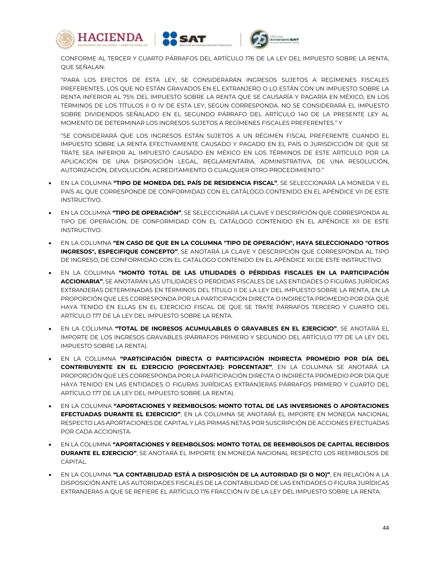





CONFORME AL TERCER Y CUARTO PÁRRAFOS DEL ARTÍCULO 176 DE LA LEY DEL IMPUESTO SOBRE LA RENTA, QUE SEÑALAN:

"PARA LOS EFECTOS DE ESTA LEY, SE CONSIDERARÁN INGRESOS SUJETOS A REGÍMENES FISCALES PREFERENTES, LOS QUE NO ESTÁN GRAVADOS EN EL EXTRANJERO O LO ESTÁN CON UN IMPUESTO SOBRE LA RENTA INFERIOR AL 75% DEL IMPUESTO SOBRE LA RENTA QUE SE CAUSARÍA Y PAGARÍA EN MÉXICO, EN LOS TÉRMINOS DE LOS TÍTULOS II O IV DE ESTA LEY, SEGÚN CORRESPONDA. NO SE CONSIDERARÁ EL IMPUESTO SOBRE DIVIDENDOS SEÑALADO EN EL SEGUNDO PÁRRAFO DEL ARTÍCULO 140 DE LA PRESENTE LEY AL MOMENTO DE DETERMINAR LOS INGRESOS SUJETOS A REGÍMENES FISCALES PREFERENTES." Y

"SE CONSIDERARÁ QUE LOS INGRESOS ESTÁN SUJETOS A UN RÉGIMEN FISCAL PREFERENTE CUANDO EL IMPUESTO SOBRE LA RENTA EFECTIVAMENTE CAUSADO Y PAGADO EN EL PAÍS O JURISDICCIÓN DE QUE SE TRATE SEA INFERIOR AL IMPUESTO CAUSADO EN MÉXICO EN LOS TÉRMINOS DE ESTE ARTÍCULO POR LA APLICACIÓN DE UNA DISPOSICIÓN LEGAL, REGLAMENTARIA, ADMINISTRATIVA, DE UNA RESOLUCIÓN, AUTORIZACIÓN, DEVOLUCIÓN, ACREDITAMIENTO O CUALQUIER OTRO PROCEDIMIENTO."

- EN LA COLUMNA **"TIPO DE MONEDA DEL PAÍS DE RESIDENCIA FISCAL"**, SE SELECCIONARÁ LA MONEDA Y EL PAÍS AL QUE CORRESPONDE DE CONFORMIDAD CON EL CATÁLOGO CONTENIDO EN EL APÉNDICE VII DE ESTE INSTRUCTIVO.
- EN LA COLUMNA **"TIPO DE OPERACIÓN"**, SE SELECCIONARÁ LA CLAVE Y DESCRIPCIÓN QUE CORRESPONDA AL TIPO DE OPERACIÓN, DE CONFORMIDAD CON EL CATÁLOGO CONTENIDO EN EL APÉNDICE XII DE ESTE INSTRUCTIVO.
- EN LA COLUMNA **"EN CASO DE QUE EN LA COLUMNA "TIPO DE OPERACIÓN", HAYA SELECCIONADO "OTROS INGRESOS", ESPECIFIQUE CONCEPTO"**, SE ANOTARÁ LA CLAVE Y DESCRIPCIÓN QUE CORRESPONDA AL TIPO DE INGRESO, DE CONFORMIDAD CON EL CATÁLOGO CONTENIDO EN EL APÉNDICE XII DE ESTE INSTRUCTIVO.
- EN LA COLUMNA **"MONTO TOTAL DE LAS UTILIDADES O PÉRDIDAS FISCALES EN LA PARTICIPACIÓN ACCIONARIA"**, SE ANOTARÁN LAS UTILIDADES O PÉRDIDAS FISCALES DE LAS ENTIDADES O FIGURAS JURÍDICAS EXTRANJERAS DETERMINADAS EN TÉRMINOS DEL TÍTULO II DE LA LEY DEL IMPUESTO SOBRE LA RENTA, EN LA PROPORCIÓN QUE LES CORRESPONDA POR LA PARTICIPACIÓN DIRECTA O INDIRECTA PROMEDIO POR DÍA QUE HAYA TENIDO EN ELLAS EN EL EJERCICIO FISCAL DE QUE SE TRATE PÁRRAFOS TERCERO Y CUARTO DEL ARTÍCULO 177 DE LA LEY DEL IMPUESTO SOBRE LA RENTA.
- EN LA COLUMNA **"TOTAL DE INGRESOS ACUMULABLES O GRAVABLES EN EL EJERCICIO"**, SE ANOTARÁ EL IMPORTE DE LOS INGRESOS GRAVABLES (PÁRRAFOS PRIMERO Y SEGUNDO DEL ARTÍCULO 177 DE LA LEY DEL IMPUESTO SOBRE LA RENTA).
- EN LA COLUMNA **"PARTICIPACIÓN DIRECTA O PARTICIPACIÓN INDIRECTA PROMEDIO POR DÍA DEL CONTRIBUYENTE EN EL EJERCICIO (PORCENTAJE): PORCENTAJE"**, EN LA COLUMNA SE ANOTARÁ LA PROPORCIÓN QUE LES CORRESPONDA POR LA PARTICIPACIÓN DIRECTA O INDIRECTA PROMEDIO POR DÍA QUE HAYA TENIDO EN LAS ENTIDADES O FIGURAS JURÍDICAS EXTRANJERAS PÁRRAFOS PRIMERO Y CUARTO DEL ARTÍCULO 177 DE LA LEY DEL IMPUESTO SOBRE LA RENTA).
- EN LA COLUMNA **"APORTACIONES Y REEMBOLSOS: MONTO TOTAL DE LAS INVERSIONES O APORTACIONES EFECTUADAS DURANTE EL EJERCICIO"**, EN LA COLUMNA SE ANOTARÁ EL IMPORTE EN MONEDA NACIONAL RESPECTO LAS APORTACIONES DE CAPITAL Y LAS PRIMAS NETAS POR SUSCRIPCIÓN DE ACCIONES EFECTUADAS POR CADA ACCIONISTA.
- EN LA COLUMNA **"APORTACIONES Y REEMBOLSOS: MONTO TOTAL DE REEMBOLSOS DE CAPITAL RECIBIDOS DURANTE EL EJERCICIO"**, SE ANOTARÁ EL IMPORTE EN MONEDA NACIONAL RESPECTO LOS REEMBOLSOS DE CAPITAL.
- EN LA COLUMNA **"LA CONTABILIDAD ESTÁ A DISPOSICIÓN DE LA AUTORIDAD (SI O NO)"**, EN RELACIÓN A LA DISPOSICIÓN ANTE LAS AUTORIDADES FISCALES DE LA CONTABILIDAD DE LAS ENTIDADES O FIGURA JURÍDICAS EXTRANJERAS A QUE SE REFIERE EL ARTÍCULO 176 FRACCIÓN IV DE LA LEY DEL IMPUESTO SOBRE LA RENTA.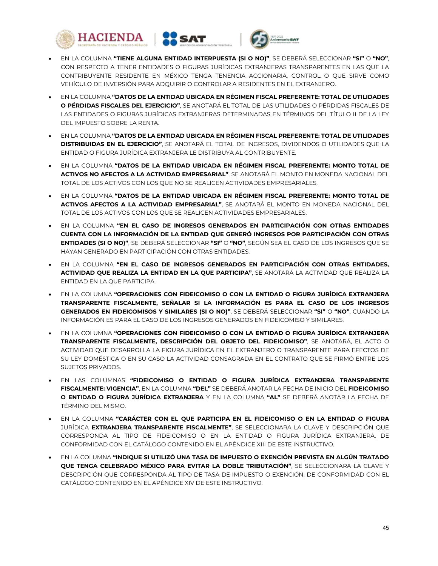





- EN LA COLUMNA **"TIENE ALGUNA ENTIDAD INTERPUESTA (SI O NO)"**, SE DEBERÁ SELECCIONAR **"SI"** O **"NO"**, CON RESPECTO A TENER ENTIDADES O FIGURAS JURÍDICAS EXTRANJERAS TRANSPARENTES EN LAS QUE LA CONTRIBUYENTE RESIDENTE EN MÉXICO TENGA TENENCIA ACCIONARIA, CONTROL O QUE SIRVE COMO VEHÍCULO DE INVERSIÓN PARA ADQUIRIR O CONTROLAR A RESIDENTES EN EL EXTRANJERO.
- EN LA COLUMNA **"DATOS DE LA ENTIDAD UBICADA EN RÉGIMEN FISCAL PREFERENTE: TOTAL DE UTILIDADES O PÉRDIDAS FISCALES DEL EJERCICIO"**, SE ANOTARÁ EL TOTAL DE LAS UTILIDADES O PÉRDIDAS FISCALES DE LAS ENTIDADES O FIGURAS JURÍDICAS EXTRANJERAS DETERMINADAS EN TÉRMINOS DEL TÍTULO II DE LA LEY DEL IMPUESTO SOBRE LA RENTA.
- EN LA COLUMNA **"DATOS DE LA ENTIDAD UBICADA EN RÉGIMEN FISCAL PREFERENTE: TOTAL DE UTILIDADES DISTRIBUIDAS EN EL EJERCICIO"**, SE ANOTARÁ EL TOTAL DE INGRESOS, DIVIDENDOS O UTILIDADES QUE LA ENTIDAD O FIGURA JURÍDICA EXTRANJERA LE DISTRIBUYA AL CONTRIBUYENTE.
- EN LA COLUMNA **"DATOS DE LA ENTIDAD UBICADA EN RÉGIMEN FISCAL PREFERENTE: MONTO TOTAL DE ACTIVOS NO AFECTOS A LA ACTIVIDAD EMPRESARIAL"**, SE ANOTARÁ EL MONTO EN MONEDA NACIONAL DEL TOTAL DE LOS ACTIVOS CON LOS QUE NO SE REALICEN ACTIVIDADES EMPRESARIALES.
- EN LA COLUMNA **"DATOS DE LA ENTIDAD UBICADA EN RÉGIMEN FISCAL PREFERENTE: MONTO TOTAL DE ACTIVOS AFECTOS A LA ACTIVIDAD EMPRESARIAL"**, SE ANOTARÁ EL MONTO EN MONEDA NACIONAL DEL TOTAL DE LOS ACTIVOS CON LOS QUE SE REALICEN ACTIVIDADES EMPRESARIALES.
- EN LA COLUMNA **"EN EL CASO DE INGRESOS GENERADOS EN PARTICIPACIÓN CON OTRAS ENTIDADES CUENTA CON LA INFORMACIÓN DE LA ENTIDAD QUE GENERÓ INGRESOS POR PARTICIPACIÓN CON OTRAS ENTIDADES (SI O NO)"**, SE DEBERÁ SELECCIONAR **"SI"** O **"NO"**, SEGÚN SEA EL CASO DE LOS INGRESOS QUE SE HAYAN GENERADO EN PARTICIPACIÓN CON OTRAS ENTIDADES.
- EN LA COLUMNA **"EN EL CASO DE INGRESOS GENERADOS EN PARTICIPACIÓN CON OTRAS ENTIDADES, ACTIVIDAD QUE REALIZA LA ENTIDAD EN LA QUE PARTICIPA"**, SE ANOTARÁ LA ACTIVIDAD QUE REALIZA LA ENTIDAD EN LA QUE PARTICIPA.
- EN LA COLUMNA **"OPERACIONES CON FIDEICOMISO O CON LA ENTIDAD O FIGURA JURÍDICA EXTRANJERA TRANSPARENTE FISCALMENTE, SEÑALAR SI LA INFORMACIÓN ES PARA EL CASO DE LOS INGRESOS GENERADOS EN FIDEICOMISOS Y SIMILARES (SI O NO)"**, SE DEBERÁ SELECCIONAR **"SI"** O **"NO"**, CUANDO LA INFORMACIÓN ES PARA EL CASO DE LOS INGRESOS GENERADOS EN FIDEICOMISO Y SIMILARES.
- EN LA COLUMNA **"OPERACIONES CON FIDEICOMISO O CON LA ENTIDAD O FIGURA JURÍDICA EXTRANJERA TRANSPARENTE FISCALMENTE, DESCRIPCIÓN DEL OBJETO DEL FIDEICOMISO"**, SE ANOTARÁ, EL ACTO O ACTIVIDAD QUE DESARROLLA LA FIGURA JURÍDICA EN EL EXTRANJERO O TRANSPARENTE PARA EFECTOS DE SU LEY DOMÉSTICA O EN SU CASO LA ACTIVIDAD CONSAGRADA EN EL CONTRATO QUE SE FIRMÓ ENTRE LOS SUJETOS PRIVADOS.
- EN LAS COLUMNAS **"FIDEICOMISO O ENTIDAD O FIGURA JURÍDICA EXTRANJERA TRANSPARENTE FISCALMENTE: VIGENCIA"**, EN LA COLUMNA **"DEL"** SE DEBERÁ ANOTAR LA FECHA DE INICIO DEL **FIDEICOMISO O ENTIDAD O FIGURA JURÍDICA EXTRANJERA** Y EN LA COLUMNA **"AL"** SE DEBERÁ ANOTAR LA FECHA DE TÉRMINO DEL MISMO.
- EN LA COLUMNA **"CARÁCTER CON EL QUE PARTICIPA EN EL FIDEICOMISO O EN LA ENTIDAD O FIGURA**  JURÍDICA **EXTRANJERA TRANSPARENTE FISCALMENTE"**, SE SELECCIONARA LA CLAVE Y DESCRIPCIÓN QUE CORRESPONDA AL TIPO DE FIDEICOMISO O EN LA ENTIDAD O FIGURA JURÍDICA EXTRANJERA, DE CONFORMIDAD CON EL CATÁLOGO CONTENIDO EN EL APÉNDICE XIII DE ESTE INSTRUCTIVO.
- EN LA COLUMNA **"INDIQUE SI UTILIZÓ UNA TASA DE IMPUESTO O EXENCIÓN PREVISTA EN ALGÚN TRATADO QUE TENGA CELEBRADO MÉXICO PARA EVITAR LA DOBLE TRIBUTACIÓN"**, SE SELECCIONARA LA CLAVE Y DESCRIPCIÓN QUE CORRESPONDA AL TIPO DE TASA DE IMPUESTO O EXENCIÓN, DE CONFORMIDAD CON EL CATÁLOGO CONTENIDO EN EL APÉNDICE XIV DE ESTE INSTRUCTIVO.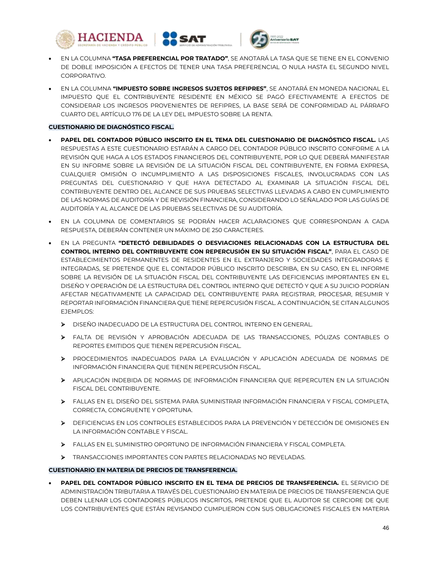



- EN LA COLUMNA **"TASA PREFERENCIAL POR TRATADO"**, SE ANOTARÁ LA TASA QUE SE TIENE EN EL CONVENIO DE DOBLE IMPOSICIÓN A EFECTOS DE TENER UNA TASA PREFERENCIAL O NULA HASTA EL SEGUNDO NIVEL CORPORATIVO.
- EN LA COLUMNA **"IMPUESTO SOBRE INGRESOS SUJETOS REFIPRES"**, SE ANOTARÁ EN MONEDA NACIONAL EL IMPUESTO QUE EL CONTRIBUYENTE RESIDENTE EN MÉXICO SE PAGÓ EFECTIVAMENTE A EFECTOS DE CONSIDERAR LOS INGRESOS PROVENIENTES DE REFIPRES, LA BASE SERÁ DE CONFORMIDAD AL PÁRRAFO CUARTO DEL ARTÍCULO 176 DE LA LEY DEL IMPUESTO SOBRE LA RENTA.

### **CUESTIONARIO DE DIAGNÓSTICO FISCAL.**

- **PAPEL DEL CONTADOR PÚBLICO INSCRITO EN EL TEMA DEL CUESTIONARIO DE DIAGNÓSTICO FISCAL.** LAS RESPUESTAS A ESTE CUESTIONARIO ESTARÁN A CARGO DEL CONTADOR PÚBLICO INSCRITO CONFORME A LA REVISIÓN QUE HAGA A LOS ESTADOS FINANCIEROS DEL CONTRIBUYENTE, POR LO QUE DEBERÁ MANIFESTAR EN SU INFORME SOBRE LA REVISIÓN DE LA SITUACIÓN FISCAL DEL CONTRIBUYENTE, EN FORMA EXPRESA, CUALQUIER OMISIÓN O INCUMPLIMIENTO A LAS DISPOSICIONES FISCALES, INVOLUCRADAS CON LAS PREGUNTAS DEL CUESTIONARIO Y QUE HAYA DETECTADO AL EXAMINAR LA SITUACIÓN FISCAL DEL CONTRIBUYENTE DENTRO DEL ALCANCE DE SUS PRUEBAS SELECTIVAS LLEVADAS A CABO EN CUMPLIMIENTO DE LAS NORMAS DE AUDITORÍA Y DE REVISIÓN FINANCIERA, CONSIDERANDO LO SEÑALADO POR LAS GUÍAS DE AUDITORÍA Y AL ALCANCE DE LAS PRUEBAS SELECTIVAS DE SU AUDITORÍA.
- EN LA COLUMNA DE COMENTARIOS SE PODRÁN HACER ACLARACIONES QUE CORRESPONDAN A CADA RESPUESTA, DEBERÁN CONTENER UN MÁXIMO DE 250 CARACTERES.
- EN LA PREGUNTA **"DETECTÓ DEBILIDADES O DESVIACIONES RELACIONADAS CON LA ESTRUCTURA DEL CONTROL INTERNO DEL CONTRIBUYENTE CON REPERCUSIÓN EN SU SITUACIÓN FISCAL"**, PARA EL CASO DE ESTABLECIMIENTOS PERMANENTES DE RESIDENTES EN EL EXTRANJERO Y SOCIEDADES INTEGRADORAS E INTEGRADAS, SE PRETENDE QUE EL CONTADOR PÚBLICO INSCRITO DESCRIBA, EN SU CASO, EN EL INFORME SOBRE LA REVISIÓN DE LA SITUACIÓN FISCAL DEL CONTRIBUYENTE LAS DEFICIENCIAS IMPORTANTES EN EL DISEÑO Y OPERACIÓN DE LA ESTRUCTURA DEL CONTROL INTERNO QUE DETECTÓ Y QUE A SU JUICIO PODRÍAN AFECTAR NEGATIVAMENTE LA CAPACIDAD DEL CONTRIBUYENTE PARA REGISTRAR, PROCESAR, RESUMIR Y REPORTAR INFORMACIÓN FINANCIERA QUE TIENE REPERCUSIÓN FISCAL. A CONTINUACIÓN, SE CITAN ALGUNOS EJEMPLOS:
	- DISEÑO INADECUADO DE LA ESTRUCTURA DEL CONTROL INTERNO EN GENERAL.
	- FALTA DE REVISIÓN Y APROBACIÓN ADECUADA DE LAS TRANSACCIONES, PÓLIZAS CONTABLES O REPORTES EMITIDOS QUE TIENEN REPERCUSIÓN FISCAL.
	- PROCEDIMIENTOS INADECUADOS PARA LA EVALUACIÓN Y APLICACIÓN ADECUADA DE NORMAS DE INFORMACIÓN FINANCIERA QUE TIENEN REPERCUSIÓN FISCAL.
	- APLICACIÓN INDEBIDA DE NORMAS DE INFORMACIÓN FINANCIERA QUE REPERCUTEN EN LA SITUACIÓN FISCAL DEL CONTRIBUYENTE.
	- FALLAS EN EL DISEÑO DEL SISTEMA PARA SUMINISTRAR INFORMACIÓN FINANCIERA Y FISCAL COMPLETA, CORRECTA, CONGRUENTE Y OPORTUNA.
	- DEFICIENCIAS EN LOS CONTROLES ESTABLECIDOS PARA LA PREVENCIÓN Y DETECCIÓN DE OMISIONES EN LA INFORMACIÓN CONTABLE Y FISCAL.
	- FALLAS EN EL SUMINISTRO OPORTUNO DE INFORMACIÓN FINANCIERA Y FISCAL COMPLETA.
	- TRANSACCIONES IMPORTANTES CON PARTES RELACIONADAS NO REVELADAS.

### **CUESTIONARIO EN MATERIA DE PRECIOS DE TRANSFERENCIA.**

 **PAPEL DEL CONTADOR PÚBLICO INSCRITO EN EL TEMA DE PRECIOS DE TRANSFERENCIA.** EL SERVICIO DE ADMINISTRACIÓN TRIBUTARIA A TRAVÉS DEL CUESTIONARIO EN MATERIA DE PRECIOS DE TRANSFERENCIA QUE DEBEN LLENAR LOS CONTADORES PÚBLICOS INSCRITOS, PRETENDE QUE EL AUDITOR SE CERCIORE DE QUE LOS CONTRIBUYENTES QUE ESTÁN REVISANDO CUMPLIERON CON SUS OBLIGACIONES FISCALES EN MATERIA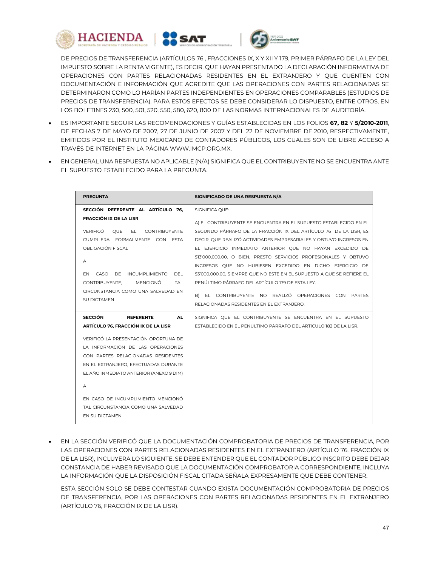





DE PRECIOS DE TRANSFERENCIA (ARTÍCULOS 76 , FRACCIONES IX, X Y XII Y 179, PRIMER PÁRRAFO DE LA LEY DEL IMPUESTO SOBRE LA RENTA VIGENTE), ES DECIR, QUE HAYAN PRESENTADO LA DECLARACIÓN INFORMATIVA DE OPERACIONES CON PARTES RELACIONADAS RESIDENTES EN EL EXTRANJERO Y QUE CUENTEN CON DOCUMENTACIÓN E INFORMACIÓN QUE ACREDITE QUE LAS OPERACIONES CON PARTES RELACIONADAS SE DETERMINARON COMO LO HARÍAN PARTES INDEPENDIENTES EN OPERACIONES COMPARABLES (ESTUDIOS DE PRECIOS DE TRANSFERENCIA). PARA ESTOS EFECTOS SE DEBE CONSIDERAR LO DISPUESTO, ENTRE OTROS, EN LOS BOLETINES 230, 500, 501, 520, 550, 580, 620, 800 DE LAS NORMAS INTERNACIONALES DE AUDITORÍA.

- ES IMPORTANTE SEGUIR LAS RECOMENDACIONES Y GUÍAS ESTABLECIDAS EN LOS FOLIOS **67, 82** Y **5/2010-2011**, DE FECHAS 7 DE MAYO DE 2007, 27 DE JUNIO DE 2007 Y DEL 22 DE NOVIEMBRE DE 2010, RESPECTIVAMENTE, EMITIDOS POR EL INSTITUTO MEXICANO DE CONTADORES PÚBLICOS, LOS CUALES SON DE LIBRE ACCESO A TRAVÉS DE INTERNET EN LA PÁGINA WWW.IMCP.ORG.MX.
- EN GENERAL UNA RESPUESTA NO APLICABLE (N/A) SIGNIFICA QUE EL CONTRIBUYENTE NO SE ENCUENTRA ANTE EL SUPUESTO ESTABLECIDO PARA LA PREGUNTA.

| <b>PREGUNTA</b>                                   | SIGNIFICADO DE UNA RESPUESTA N/A                                                                                            |
|---------------------------------------------------|-----------------------------------------------------------------------------------------------------------------------------|
| SECCIÓN REFERENTE AL ARTÍCULO 76.                 | SIGNIFICA QUE:                                                                                                              |
| <b>FRACCIÓN IX DE LA LISR</b>                     | A) EL CONTRIBUYENTE SE ENCUENTRA EN EL SUPUESTO ESTABLECIDO EN EL                                                           |
| <b>VERIFICÓ</b><br><b>OUE</b><br>EL CONTRIBUYENTE | SEGUNDO PÁRRAFO DE LA FRACCIÓN IX DEL ARTÍCULO 76 DE LA LISR. ES                                                            |
| CUMPLIERA FORMALMENTE CON ESTA                    | DECIR, QUE REALIZÓ ACTIVIDADES EMPRESARIALES Y OBTUVO INGRESOS EN                                                           |
| OBI IGACIÓN FISCAI                                | EL EJERCICIO INMEDIATO ANTERIOR OUE NO HAYAN EXCEDIDO DE                                                                    |
| A                                                 | \$13'000,000.00, O BIEN, PRESTÓ SERVICIOS PROFESIONALES Y OBTUVO<br>INGRESOS QUE NO HUBIESEN EXCEDIDO EN DICHO EJERCICIO DE |
| CASO DE INCUMPLIMIENTO<br>DEL<br>FN.              | \$3'000,000.00, SIEMPRE QUE NO ESTÉ EN EL SUPUESTO A QUE SE REFIERE EL                                                      |
| <b>MENCIONÓ</b><br>CONTRIBUYENTE,<br>TAI          | PENÚLTIMO PÁRRAFO DEL ARTÍCULO 179 DE ESTA LEY.                                                                             |
| CIRCUNSTANCIA COMO UNA SALVEDAD EN                |                                                                                                                             |
| <b>SU DICTAMEN</b>                                | B) EL CONTRIBUYENTE NO REALIZÓ OPERACIONES CON PARTES                                                                       |
|                                                   | RELACIONADAS RESIDENTES EN EL EXTRANJERO.                                                                                   |
| <b>SECCIÓN</b><br><b>REFERENTE</b><br><b>AL</b>   | SIGNIFICA OUE EL CONTRIBUYENTE SE ENCUENTRA EN EL SUPUESTO                                                                  |
| ARTÍCULO 76, FRACCIÓN IX DE LA LISR               | ESTABLECIDO EN EL PENÚLTIMO PÁRRAFO DEL ARTÍCULO 182 DE LA LISR.                                                            |
| VERIFICÓ LA PRESENTACIÓN OPORTUNA DE              |                                                                                                                             |
| LA INFORMACIÓN DE LAS OPERACIONES                 |                                                                                                                             |
| CON PARTES RELACIONADAS RESIDENTES                |                                                                                                                             |
| EN EL EXTRANJERO, EFECTUADAS DURANTE              |                                                                                                                             |
| EL AÑO INMEDIATO ANTERIOR (ANEXO 9 DIM)           |                                                                                                                             |
| A                                                 |                                                                                                                             |
| EN CASO DE INCUMPLIMIENTO MENCIONÓ                |                                                                                                                             |
| TAL CIRCUNSTANCIA COMO UNA SALVEDAD               |                                                                                                                             |
| EN SU DICTAMEN                                    |                                                                                                                             |
|                                                   |                                                                                                                             |

 EN LA SECCIÓN VERIFICÓ QUE LA DOCUMENTACIÓN COMPROBATORIA DE PRECIOS DE TRANSFERENCIA, POR LAS OPERACIONES CON PARTES RELACIONADAS RESIDENTES EN EL EXTRANJERO (ARTÍCULO 76, FRACCIÓN IX DE LA LISR), INCLUYERA LO SIGUIENTE, SE DEBE ENTENDER QUE EL CONTADOR PÚBLICO INSCRITO DEBE DEJAR CONSTANCIA DE HABER REVISADO QUE LA DOCUMENTACIÓN COMPROBATORIA CORRESPONDIENTE, INCLUYA LA INFORMACIÓN QUE LA DISPOSICIÓN FISCAL CITADA SEÑALA EXPRESAMENTE QUE DEBE CONTENER.

ESTA SECCIÓN SOLO SE DEBE CONTESTAR CUANDO EXISTA DOCUMENTACIÓN COMPROBATORIA DE PRECIOS DE TRANSFERENCIA, POR LAS OPERACIONES CON PARTES RELACIONADAS RESIDENTES EN EL EXTRANJERO (ARTÍCULO 76, FRACCIÓN IX DE LA LISR).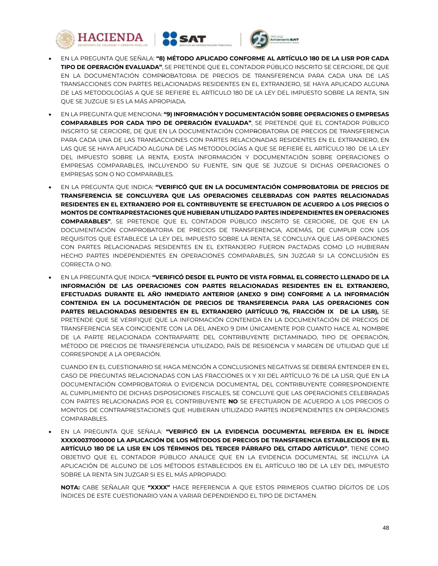





- EN LA PREGUNTA QUE SEÑALA: **"8) MÉTODO APLICADO CONFORME AL ARTÍCULO 180 DE LA LISR POR CADA TIPO DE OPERACIÓN EVALUADA"**, SE PRETENDE QUE EL CONTADOR PÚBLICO INSCRITO SE CERCIORE, DE QUE EN LA DOCUMENTACIÓN COMPROBATORIA DE PRECIOS DE TRANSFERENCIA PARA CADA UNA DE LAS TRANSACCIONES CON PARTES RELACIONADAS RESIDENTES EN EL EXTRANJERO, SE HAYA APLICADO ALGUNA DE LAS METODOLOGÍAS A QUE SE REFIERE EL ARTÍCULO 180 DE LA LEY DEL IMPUESTO SOBRE LA RENTA, SIN QUE SE JUZGUE SI ES LA MÁS APROPIADA.
- EN LA PREGUNTA QUE MENCIONA: **"9) INFORMACIÓN Y DOCUMENTACIÓN SOBRE OPERACIONES O EMPRESAS COMPARABLES POR CADA TIPO DE OPERACIÓN EVALUADA"**, SE PRETENDE QUE EL CONTADOR PÚBLICO INSCRITO SE CERCIORE, DE QUE EN LA DOCUMENTACIÓN COMPROBATORIA DE PRECIOS DE TRANSFERENCIA PARA CADA UNA DE LAS TRANSACCIONES CON PARTES RELACIONADAS RESIDENTES EN EL EXTRANJERO, EN LAS QUE SE HAYA APLICADO ALGUNA DE LAS METODOLOGÍAS A QUE SE REFIERE EL ARTÍCULO 180 DE LA LEY DEL IMPUESTO SOBRE LA RENTA, EXISTA INFORMACIÓN Y DOCUMENTACIÓN SOBRE OPERACIONES O EMPRESAS COMPARABLES, INCLUYENDO SU FUENTE, SIN QUE SE JUZGUE SI DICHAS OPERACIONES O EMPRESAS SON O NO COMPARABLES.
- EN LA PREGUNTA QUE INDICA: **"VERIFICÓ QUE EN LA DOCUMENTACIÓN COMPROBATORIA DE PRECIOS DE TRANSFERENCIA SE CONCLUYERA QUE LAS OPERACIONES CELEBRADAS CON PARTES RELACIONADAS RESIDENTES EN EL EXTRANJERO POR EL CONTRIBUYENTE SE EFECTUARON DE ACUERDO A LOS PRECIOS O MONTOS DE CONTRAPRESTACIONES QUE HUBIERAN UTILIZADO PARTES INDEPENDIENTES EN OPERACIONES COMPARABLES"**, SE PRETENDE QUE EL CONTADOR PÚBLICO INSCRITO SE CERCIORE, DE QUE EN LA DOCUMENTACIÓN COMPROBATORIA DE PRECIOS DE TRANSFERENCIA, ADEMÁS, DE CUMPLIR CON LOS REQUISITOS QUE ESTABLECE LA LEY DEL IMPUESTO SOBRE LA RENTA, SE CONCLUYA QUE LAS OPERACIONES CON PARTES RELACIONADAS RESIDENTES EN EL EXTRANJERO FUERON PACTADAS COMO LO HUBIERAN HECHO PARTES INDEPENDIENTES EN OPERACIONES COMPARABLES, SIN JUZGAR SI LA CONCLUSIÓN ES CORRECTA O NO.
- EN LA PREGUNTA QUE INDICA: **"VERIFICÓ DESDE EL PUNTO DE VISTA FORMAL EL CORRECTO LLENADO DE LA INFORMACIÓN DE LAS OPERACIONES CON PARTES RELACIONADAS RESIDENTES EN EL EXTRANJERO, EFECTUADAS DURANTE EL AÑO INMEDIATO ANTERIOR (ANEXO 9 DIM) CONFORME A LA INFORMACIÓN CONTENIDA EN LA DOCUMENTACIÓN DE PRECIOS DE TRANSFERENCIA PARA LAS OPERACIONES CON PARTES RELACIONADAS RESIDENTES EN EL EXTRANJERO (ARTÍCULO 76, FRACCIÓN IX DE LA LISR),** SE PRETENDE QUE SE VERIFIQUE QUE LA INFORMACIÓN CONTENIDA EN LA DOCUMENTACIÓN DE PRECIOS DE TRANSFERENCIA SEA COINCIDENTE CON LA DEL ANEXO 9 DIM ÚNICAMENTE POR CUANTO HACE AL NOMBRE DE LA PARTE RELACIONADA CONTRAPARTE DEL CONTRIBUYENTE DICTAMINADO, TIPO DE OPERACIÓN, MÉTODO DE PRECIOS DE TRANSFERENCIA UTILIZADO, PAÍS DE RESIDENCIA Y MARGEN DE UTILIDAD QUE LE CORRESPONDE A LA OPERACIÓN.

CUANDO EN EL CUESTIONARIO SE HAGA MENCIÓN A CONCLUSIONES NEGATIVAS SE DEBERÁ ENTENDER EN EL CASO DE PREGUNTAS RELACIONADAS CON LAS FRACCIONES IX Y XII DEL ARTÍCULO 76 DE LA LISR, QUE EN LA DOCUMENTACIÓN COMPROBATORIA O EVIDENCIA DOCUMENTAL DEL CONTRIBUYENTE CORRESPONDIENTE AL CUMPLIMIENTO DE DICHAS DISPOSICIONES FISCALES, SE CONCLUYE QUE LAS OPERACIONES CELEBRADAS CON PARTES RELACIONADAS POR EL CONTRIBUYENTE **NO** SE EFECTUARON DE ACUERDO A LOS PRECIOS O MONTOS DE CONTRAPRESTACIONES QUE HUBIERAN UTILIZADO PARTES INDEPENDIENTES EN OPERACIONES COMPARABLES.

 EN LA PREGUNTA QUE SEÑALA: **"VERIFICÓ EN LA EVIDENCIA DOCUMENTAL REFERIDA EN EL ÍNDICE XXXX0037000000 LA APLICACIÓN DE LOS MÉTODOS DE PRECIOS DE TRANSFERENCIA ESTABLECIDOS EN EL ARTÍCULO 180 DE LA LISR EN LOS TÉRMINOS DEL TERCER PÁRRAFO DEL CITADO ARTÍCULO"**, TIENE COMO OBJETIVO QUE EL CONTADOR PÚBLICO ANALICE QUE EN LA EVIDENCIA DOCUMENTAL SE INCLUYA LA APLICACIÓN DE ALGUNO DE LOS MÉTODOS ESTABLECIDOS EN EL ARTÍCULO 180 DE LA LEY DEL IMPUESTO SOBRE LA RENTA SIN JUZGAR SI ES EL MÁS APROPIADO.

**NOTA:** CABE SEÑALAR QUE **"XXXX"** HACE REFERENCIA A QUE ESTOS PRIMEROS CUATRO DÍGITOS DE LOS ÍNDICES DE ESTE CUESTIONARIO VAN A VARIAR DEPENDIENDO EL TIPO DE DICTAMEN.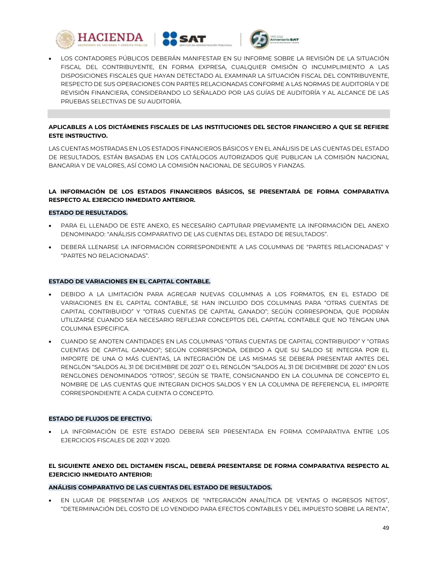





 LOS CONTADORES PÚBLICOS DEBERÁN MANIFESTAR EN SU INFORME SOBRE LA REVISIÓN DE LA SITUACIÓN FISCAL DEL CONTRIBUYENTE, EN FORMA EXPRESA, CUALQUIER OMISIÓN O INCUMPLIMIENTO A LAS DISPOSICIONES FISCALES QUE HAYAN DETECTADO AL EXAMINAR LA SITUACIÓN FISCAL DEL CONTRIBUYENTE, RESPECTO DE SUS OPERACIONES CON PARTES RELACIONADAS CONFORME A LAS NORMAS DE AUDITORÍA Y DE REVISIÓN FINANCIERA, CONSIDERANDO LO SEÑALADO POR LAS GUÍAS DE AUDITORÍA Y AL ALCANCE DE LAS PRUEBAS SELECTIVAS DE SU AUDITORÍA.

## **APLICABLES A LOS DICTÁMENES FISCALES DE LAS INSTITUCIONES DEL SECTOR FINANCIERO A QUE SE REFIERE ESTE INSTRUCTIVO.**

LAS CUENTAS MOSTRADAS EN LOS ESTADOS FINANCIEROS BÁSICOS Y EN EL ANÁLISIS DE LAS CUENTAS DEL ESTADO DE RESULTADOS, ESTÁN BASADAS EN LOS CATÁLOGOS AUTORIZADOS QUE PUBLICAN LA COMISIÓN NACIONAL BANCARIA Y DE VALORES, ASÍ COMO LA COMISIÓN NACIONAL DE SEGUROS Y FIANZAS.

## **LA INFORMACIÓN DE LOS ESTADOS FINANCIEROS BÁSICOS, SE PRESENTARÁ DE FORMA COMPARATIVA RESPECTO AL EJERCICIO INMEDIATO ANTERIOR.**

### **ESTADO DE RESULTADOS.**

- PARA EL LLENADO DE ESTE ANEXO, ES NECESARIO CAPTURAR PREVIAMENTE LA INFORMACIÓN DEL ANEXO DENOMINADO: "ANÁLISIS COMPARATIVO DE LAS CUENTAS DEL ESTADO DE RESULTADOS".
- DEBERÁ LLENARSE LA INFORMACIÓN CORRESPONDIENTE A LAS COLUMNAS DE "PARTES RELACIONADAS" Y "PARTES NO RELACIONADAS".

## **ESTADO DE VARIACIONES EN EL CAPITAL CONTABLE.**

- DEBIDO A LA LIMITACIÓN PARA AGREGAR NUEVAS COLUMNAS A LOS FORMATOS, EN EL ESTADO DE VARIACIONES EN EL CAPITAL CONTABLE, SE HAN INCLUIDO DOS COLUMNAS PARA "OTRAS CUENTAS DE CAPITAL CONTRIBUIDO" Y "OTRAS CUENTAS DE CAPITAL GANADO"; SEGÚN CORRESPONDA, QUE PODRÁN UTILIZARSE CUANDO SEA NECESARIO REFLEJAR CONCEPTOS DEL CAPITAL CONTABLE QUE NO TENGAN UNA COLUMNA ESPECIFICA.
- CUANDO SE ANOTEN CANTIDADES EN LAS COLUMNAS "OTRAS CUENTAS DE CAPITAL CONTRIBUIDO" Y "OTRAS CUENTAS DE CAPITAL GANADO"; SEGÚN CORRESPONDA, DEBIDO A QUE SU SALDO SE INTEGRA POR EL IMPORTE DE UNA O MÁS CUENTAS, LA INTEGRACIÓN DE LAS MISMAS SE DEBERÁ PRESENTAR ANTES DEL RENGLÓN "SALDOS AL 31 DE DICIEMBRE DE 2021" O EL RENGLÓN "SALDOS AL 31 DE DICIEMBRE DE 2020" EN LOS RENGLONES DENOMINADOS "OTROS", SEGÚN SE TRATE, CONSIGNANDO EN LA COLUMNA DE CONCEPTO EL NOMBRE DE LAS CUENTAS QUE INTEGRAN DICHOS SALDOS Y EN LA COLUMNA DE REFERENCIA, EL IMPORTE CORRESPONDIENTE A CADA CUENTA O CONCEPTO.

### **ESTADO DE FLUJOS DE EFECTIVO.**

 LA INFORMACIÓN DE ESTE ESTADO DEBERÁ SER PRESENTADA EN FORMA COMPARATIVA ENTRE LOS EJERCICIOS FISCALES DE 2021 Y 2020.

## **EL SIGUIENTE ANEXO DEL DICTAMEN FISCAL, DEBERÁ PRESENTARSE DE FORMA COMPARATIVA RESPECTO AL EJERCICIO INMEDIATO ANTERIOR:**

### **ANÁLISIS COMPARATIVO DE LAS CUENTAS DEL ESTADO DE RESULTADOS.**

 EN LUGAR DE PRESENTAR LOS ANEXOS DE "INTEGRACIÓN ANALÍTICA DE VENTAS O INGRESOS NETOS", "DETERMINACIÓN DEL COSTO DE LO VENDIDO PARA EFECTOS CONTABLES Y DEL IMPUESTO SOBRE LA RENTA",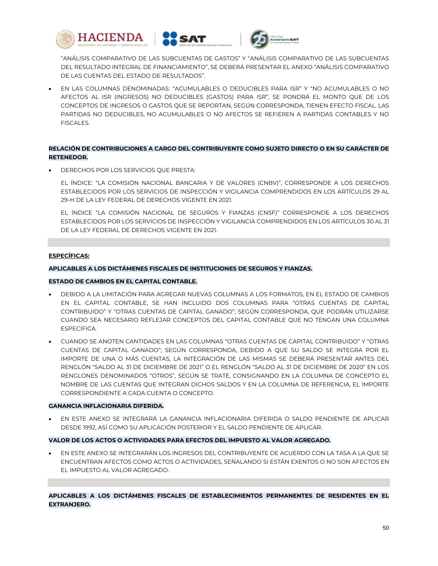





"ANÁLISIS COMPARATIVO DE LAS SUBCUENTAS DE GASTOS" Y "ANÁLISIS COMPARATIVO DE LAS SUBCUENTAS DEL RESULTADO INTEGRAL DE FINANCIAMIENTO", SE DEBERÁ PRESENTAR EL ANEXO "ANÁLISIS COMPARATIVO DE LAS CUENTAS DEL ESTADO DE RESULTADOS".

 EN LAS COLUMNAS DENOMINADAS: "ACUMULABLES O DEDUCIBLES PARA ISR" Y "NO ACUMULABLES O NO AFECTOS AL ISR (INGRESOS) NO DEDUCIBLES (GASTOS) PARA ISR", SE PONDRÁ EL MONTO QUE DE LOS CONCEPTOS DE INGRESOS O GASTOS QUE SE REPORTAN, SEGÚN CORRESPONDA, TIENEN EFECTO FISCAL. LAS PARTIDAS NO DEDUCIBLES, NO ACUMULABLES O NO AFECTOS SE REFIEREN A PARTIDAS CONTABLES Y NO FISCALES.

## **RELACIÓN DE CONTRIBUCIONES A CARGO DEL CONTRIBUYENTE COMO SUJETO DIRECTO O EN SU CARÁCTER DE RETENEDOR.**

DERECHOS POR LOS SERVICIOS QUE PRESTA:

EL ÍNDICE: "LA COMISIÓN NACIONAL BANCARIA Y DE VALORES (CNBV)", CORRESPONDE A LOS DERECHOS ESTABLECIDOS POR LOS SERVICIOS DE INSPECCIÓN Y VIGILANCIA COMPRENDIDOS EN LOS ARTÍCULOS 29 AL 29-H DE LA LEY FEDERAL DE DERECHOS VIGENTE EN 2021.

EL ÍNDICE "LA COMISIÓN NACIONAL DE SEGUROS Y FIANZAS (CNSF)" CORRESPONDE A LOS DERECHOS ESTABLECIDOS POR LOS SERVICIOS DE INSPECCIÓN Y VIGILANCIA COMPRENDIDOS EN LOS ARTÍCULOS 30 AL 31 DE LA LEY FEDERAL DE DERECHOS VIGENTE EN 2021.

## **ESPECÍFICAS:**

## **APLICABLES A LOS DICTÁMENES FISCALES DE INSTITUCIONES DE SEGUROS Y FIANZAS.**

### **ESTADO DE CAMBIOS EN EL CAPITAL CONTABLE.**

- DEBIDO A LA LIMITACIÓN PARA AGREGAR NUEVAS COLUMNAS A LOS FORMATOS, EN EL ESTADO DE CAMBIOS EN EL CAPITAL CONTABLE, SE HAN INCLUIDO DOS COLUMNAS PARA "OTRAS CUENTAS DE CAPITAL CONTRIBUIDO" Y "OTRAS CUENTAS DE CAPITAL GANADO"; SEGÚN CORRESPONDA, QUE PODRÁN UTILIZARSE CUANDO SEA NECESARIO REFLEJAR CONCEPTOS DEL CAPITAL CONTABLE QUE NO TENGAN UNA COLUMNA ESPECIFICA.
- CUANDO SE ANOTEN CANTIDADES EN LAS COLUMNAS "OTRAS CUENTAS DE CAPITAL CONTRIBUIDO" Y "OTRAS CUENTAS DE CAPITAL GANADO"; SEGÚN CORRESPONDA, DEBIDO A QUE SU SALDO SE INTEGRA POR EL IMPORTE DE UNA O MÁS CUENTAS, LA INTEGRACIÓN DE LAS MISMAS SE DEBERÁ PRESENTAR ANTES DEL RENGLÓN "SALDO AL 31 DE DICIEMBRE DE 2021" O EL RENGLÓN "SALDO AL 31 DE DICIEMBRE DE 2020" EN LOS RENGLONES DENOMINADOS "OTROS", SEGÚN SE TRATE, CONSIGNANDO EN LA COLUMNA DE CONCEPTO EL NOMBRE DE LAS CUENTAS QUE INTEGRAN DICHOS SALDOS Y EN LA COLUMNA DE REFERENCIA, EL IMPORTE CORRESPONDIENTE A CADA CUENTA O CONCEPTO.

### **GANANCIA INFLACIONARIA DIFERIDA.**

 EN ESTE ANEXO SE INTEGRARÁ LA GANANCIA INFLACIONARIA DIFERIDA O SALDO PENDIENTE DE APLICAR DESDE 1992, ASÍ COMO SU APLICACIÓN POSTERIOR Y EL SALDO PENDIENTE DE APLICAR.

### **VALOR DE LOS ACTOS O ACTIVIDADES PARA EFECTOS DEL IMPUESTO AL VALOR AGREGADO.**

 EN ESTE ANEXO SE INTEGRARÁN LOS INGRESOS DEL CONTRIBUYENTE DE ACUERDO CON LA TASA A LA QUE SE ENCUENTRAN AFECTOS COMO ACTOS O ACTIVIDADES, SEÑALANDO SI ESTÁN EXENTOS O NO SON AFECTOS EN EL IMPUESTO AL VALOR AGREGADO.

**APLICABLES A LOS DICTÁMENES FISCALES DE ESTABLECIMIENTOS PERMANENTES DE RESIDENTES EN EL EXTRANJERO.**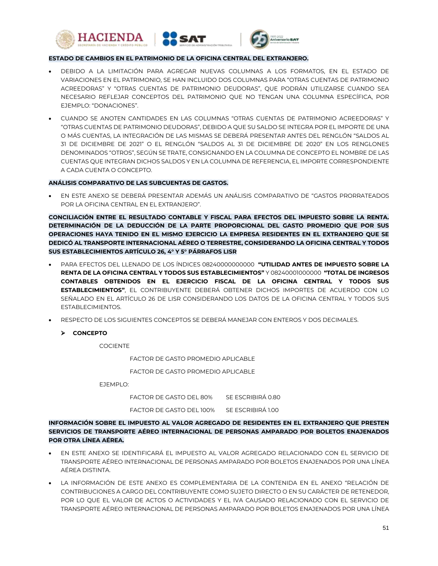



### **ESTADO DE CAMBIOS EN EL PATRIMONIO DE LA OFICINA CENTRAL DEL EXTRANJERO.**

- DEBIDO A LA LIMITACIÓN PARA AGREGAR NUEVAS COLUMNAS A LOS FORMATOS, EN EL ESTADO DE VARIACIONES EN EL PATRIMONIO, SE HAN INCLUIDO DOS COLUMNAS PARA "OTRAS CUENTAS DE PATRIMONIO ACREEDORAS" Y "OTRAS CUENTAS DE PATRIMONIO DEUDORAS", QUE PODRÁN UTILIZARSE CUANDO SEA NECESARIO REFLEJAR CONCEPTOS DEL PATRIMONIO QUE NO TENGAN UNA COLUMNA ESPECÍFICA, POR EJEMPLO: "DONACIONES".
- CUANDO SE ANOTEN CANTIDADES EN LAS COLUMNAS "OTRAS CUENTAS DE PATRIMONIO ACREEDORAS" Y "OTRAS CUENTAS DE PATRIMONIO DEUDORAS", DEBIDO A QUE SU SALDO SE INTEGRA POR EL IMPORTE DE UNA O MÁS CUENTAS, LA INTEGRACIÓN DE LAS MISMAS SE DEBERÁ PRESENTAR ANTES DEL RENGLÓN "SALDOS AL 31 DE DICIEMBRE DE 2021" O EL RENGLÓN "SALDOS AL 31 DE DICIEMBRE DE 2020" EN LOS RENGLONES DENOMINADOS "OTROS", SEGÚN SE TRATE, CONSIGNANDO EN LA COLUMNA DE CONCEPTO EL NOMBRE DE LAS CUENTAS QUE INTEGRAN DICHOS SALDOS Y EN LA COLUMNA DE REFERENCIA, EL IMPORTE CORRESPONDIENTE A CADA CUENTA O CONCEPTO.

#### **ANÁLISIS COMPARATIVO DE LAS SUBCUENTAS DE GASTOS.**

 EN ESTE ANEXO SE DEBERÁ PRESENTAR ADEMÁS UN ANÁLISIS COMPARATIVO DE "GASTOS PRORRATEADOS POR LA OFICINA CENTRAL EN EL EXTRANJERO".

**CONCILIACIÓN ENTRE EL RESULTADO CONTABLE Y FISCAL PARA EFECTOS DEL IMPUESTO SOBRE LA RENTA. DETERMINACIÓN DE LA DEDUCCIÓN DE LA PARTE PROPORCIONAL DEL GASTO PROMEDIO QUE POR SUS OPERACIONES HAYA TENIDO EN EL MISMO EJERCICIO LA EMPRESA RESIDENTES EN EL EXTRANJERO QUE SE DEDICÓ AL TRANSPORTE INTERNACIONAL AÉREO O TERRESTRE, CONSIDERANDO LA OFICINA CENTRAL Y TODOS SUS ESTABLECIMIENTOS ARTÍCULO 26, 4° Y 5° PÁRRAFOS LISR**

- PARA EFECTOS DEL LLENADO DE LOS ÍNDICES 08240000000000 **"UTILIDAD ANTES DE IMPUESTO SOBRE LA RENTA DE LA OFICINA CENTRAL Y TODOS SUS ESTABLECIMIENTOS"** Y 08240001000000 **"TOTAL DE INGRESOS CONTABLES OBTENIDOS EN EL EJERCICIO FISCAL DE LA OFICINA CENTRAL Y TODOS SUS ESTABLECIMIENTOS"**, EL CONTRIBUYENTE DEBERÁ OBTENER DICHOS IMPORTES DE ACUERDO CON LO SEÑALADO EN EL ARTÍCULO 26 DE LISR CONSIDERANDO LOS DATOS DE LA OFICINA CENTRAL Y TODOS SUS ESTABLECIMIENTOS.
- RESPECTO DE LOS SIGUIENTES CONCEPTOS SE DEBERÁ MANEJAR CON ENTEROS Y DOS DECIMALES.
	- **CONCEPTO**

COCIENTE

FACTOR DE GASTO PROMEDIO APLICABLE

FACTOR DE GASTO PROMEDIO APLICABLE

EJEMPLO:

FACTOR DE GASTO DEL 80% SE ESCRIBIRÁ 0.80 FACTOR DE GASTO DEL 100% SE ESCRIBIRÁ 1.00

## **INFORMACIÓN SOBRE EL IMPUESTO AL VALOR AGREGADO DE RESIDENTES EN EL EXTRANJERO QUE PRESTEN SERVICIOS DE TRANSPORTE AÉREO INTERNACIONAL DE PERSONAS AMPARADO POR BOLETOS ENAJENADOS POR OTRA LÍNEA AÉREA.**

- EN ESTE ANEXO SE IDENTIFICARÁ EL IMPUESTO AL VALOR AGREGADO RELACIONADO CON EL SERVICIO DE TRANSPORTE AÉREO INTERNACIONAL DE PERSONAS AMPARADO POR BOLETOS ENAJENADOS POR UNA LÍNEA AÉREA DISTINTA.
- LA INFORMACIÓN DE ESTE ANEXO ES COMPLEMENTARIA DE LA CONTENIDA EN EL ANEXO "RELACIÓN DE CONTRIBUCIONES A CARGO DEL CONTRIBUYENTE COMO SUJETO DIRECTO O EN SU CARÁCTER DE RETENEDOR, POR LO QUE EL VALOR DE ACTOS O ACTIVIDADES Y EL IVA CAUSADO RELACIONADO CON EL SERVICIO DE TRANSPORTE AÉREO INTERNACIONAL DE PERSONAS AMPARADO POR BOLETOS ENAJENADOS POR UNA LÍNEA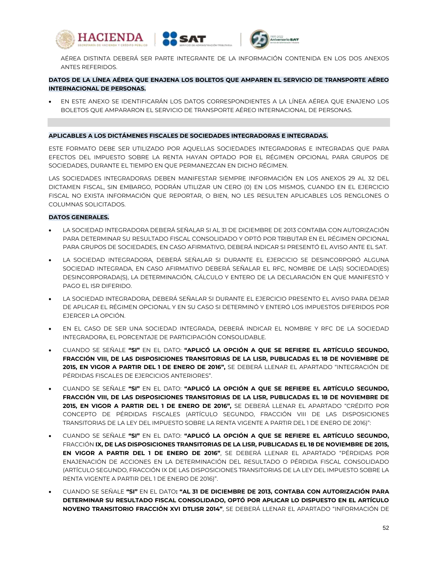





AÉREA DISTINTA DEBERÁ SER PARTE INTEGRANTE DE LA INFORMACIÓN CONTENIDA EN LOS DOS ANEXOS ANTES REFERIDOS.

## **DATOS DE LA LÍNEA AÉREA QUE ENAJENA LOS BOLETOS QUE AMPAREN EL SERVICIO DE TRANSPORTE AÉREO INTERNACIONAL DE PERSONAS.**

 EN ESTE ANEXO SE IDENTIFICARÁN LOS DATOS CORRESPONDIENTES A LA LÍNEA AÉREA QUE ENAJENO LOS BOLETOS QUE AMPARARON EL SERVICIO DE TRANSPORTE AÉREO INTERNACIONAL DE PERSONAS.

#### **APLICABLES A LOS DICTÁMENES FISCALES DE SOCIEDADES INTEGRADORAS E INTEGRADAS.**

ESTE FORMATO DEBE SER UTILIZADO POR AQUELLAS SOCIEDADES INTEGRADORAS E INTEGRADAS QUE PARA EFECTOS DEL IMPUESTO SOBRE LA RENTA HAYAN OPTADO POR EL RÉGIMEN OPCIONAL PARA GRUPOS DE SOCIEDADES, DURANTE EL TIEMPO EN QUE PERMANEZCAN EN DICHO RÉGIMEN.

LAS SOCIEDADES INTEGRADORAS DEBEN MANIFESTAR SIEMPRE INFORMACIÓN EN LOS ANEXOS 29 AL 32 DEL DICTAMEN FISCAL, SIN EMBARGO, PODRÁN UTILIZAR UN CERO (0) EN LOS MISMOS, CUANDO EN EL EJERCICIO FISCAL NO EXISTA INFORMACIÓN QUE REPORTAR, O BIEN, NO LES RESULTEN APLICABLES LOS RENGLONES O COLUMNAS SOLICITADOS.

### **DATOS GENERALES.**

- LA SOCIEDAD INTEGRADORA DEBERÁ SEÑALAR SI AL 31 DE DICIEMBRE DE 2013 CONTABA CON AUTORIZACIÓN PARA DETERMINAR SU RESULTADO FISCAL CONSOLIDADO Y OPTÓ POR TRIBUTAR EN EL RÉGIMEN OPCIONAL PARA GRUPOS DE SOCIEDADES, EN CASO AFIRMATIVO, DEBERÁ INDICAR SI PRESENTÓ EL AVISO ANTE EL SAT.
- LA SOCIEDAD INTEGRADORA, DEBERÁ SEÑALAR SI DURANTE EL EJERCICIO SE DESINCORPORÓ ALGUNA SOCIEDAD INTEGRADA, EN CASO AFIRMATIVO DEBERÁ SEÑALAR EL RFC, NOMBRE DE LA(S) SOCIEDAD(ES) DESINCORPORADA(S), LA DETERMINACIÓN, CÁLCULO Y ENTERO DE LA DECLARACIÓN EN QUE MANIFESTÓ Y PAGO EL ISR DIFERIDO.
- LA SOCIEDAD INTEGRADORA, DEBERÁ SEÑALAR SI DURANTE EL EJERCICIO PRESENTO EL AVISO PARA DEJAR DE APLICAR EL RÉGIMEN OPCIONAL Y EN SU CASO SI DETERMINÓ Y ENTERÓ LOS IMPUESTOS DIFERIDOS POR EJERCER LA OPCIÓN.
- EN EL CASO DE SER UNA SOCIEDAD INTEGRADA, DEBERÁ INDICAR EL NOMBRE Y RFC DE LA SOCIEDAD INTEGRADORA, EL PORCENTAJE DE PARTICIPACIÓN CONSOLIDABLE.
- CUANDO SE SEÑALE **"SI"** EN EL DATO: **"APLICÓ LA OPCIÓN A QUE SE REFIERE EL ARTÍCULO SEGUNDO, FRACCIÓN VIII, DE LAS DISPOSICIONES TRANSITORIAS DE LA LISR, PUBLICADAS EL 18 DE NOVIEMBRE DE 2015, EN VIGOR A PARTIR DEL 1 DE ENERO DE 2016",** SE DEBERÁ LLENAR EL APARTADO "INTEGRACIÓN DE PÉRDIDAS FISCALES DE EJERCICIOS ANTERIORES".
- CUANDO SE SEÑALE **"SI"** EN EL DATO: **"APLICÓ LA OPCIÓN A QUE SE REFIERE EL ARTÍCULO SEGUNDO, FRACCIÓN VIII, DE LAS DISPOSICIONES TRANSITORIAS DE LA LISR, PUBLICADAS EL 18 DE NOVIEMBRE DE 2015, EN VIGOR A PARTIR DEL 1 DE ENERO DE 2016",** SE DEBERÁ LLENAR EL APARTADO "CRÉDITO POR CONCEPTO DE PÉRDIDAS FISCALES (ARTÍCULO SEGUNDO, FRACCIÓN VIII DE LAS DISPOSICIONES TRANSITORIAS DE LA LEY DEL IMPUESTO SOBRE LA RENTA VIGENTE A PARTIR DEL 1 DE ENERO DE 2016)":
- CUANDO SE SEÑALE **"SI"** EN EL DATO: **"APLICÓ LA OPCIÓN A QUE SE REFIERE EL ARTÍCULO SEGUNDO,**  FRACCIÓN **IX, DE LAS DISPOSICIONES TRANSITORIAS DE LA LISR, PUBLICADAS EL 18 DE NOVIEMBRE DE 2015, EN VIGOR A PARTIR DEL 1 DE ENERO DE 2016"**, SE DEBERÁ LLENAR EL APARTADO "PÉRDIDAS POR ENAJENACIÓN DE ACCIONES EN LA DETERMINACIÓN DEL RESULTADO O PÉRDIDA FISCAL CONSOLIDADO (ARTÍCULO SEGUNDO, FRACCIÓN IX DE LAS DISPOSICIONES TRANSITORIAS DE LA LEY DEL IMPUESTO SOBRE LA RENTA VIGENTE A PARTIR DEL 1 DE ENERO DE 2016)".
- CUANDO SE SEÑALE **"SI"** EN EL DATO**: "AL 31 DE DICIEMBRE DE 2013, CONTABA CON AUTORIZACIÓN PARA DETERMINAR SU RESULTADO FISCAL CONSOLIDADO, OPTÓ POR APLICAR LO DISPUESTO EN EL ARTÍCULO NOVENO TRANSITORIO FRACCIÓN XVI DTLISR 2014"**, SE DEBERÁ LLENAR EL APARTADO "INFORMACIÓN DE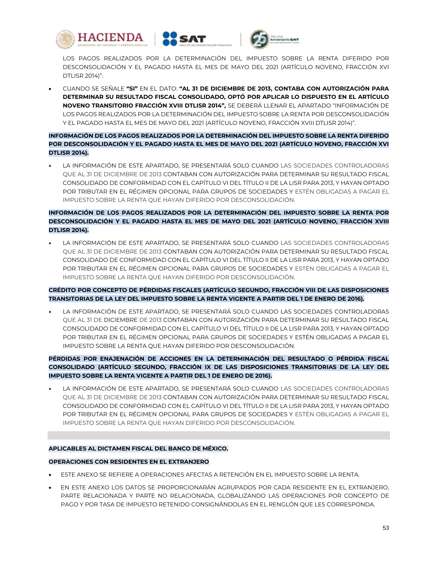





LOS PAGOS REALIZADOS POR LA DETERMINACIÓN DEL IMPUESTO SOBRE LA RENTA DIFERIDO POR DESCONSOLIDACIÓN Y EL PAGADO HASTA EL MES DE MAYO DEL 2021 (ARTÍCULO NOVENO, FRACCIÓN XVI DTLISR 2014)".

 CUANDO SE SEÑALE **"SI"** EN EL DATO: **"AL 31 DE DICIEMBRE DE 2013, CONTABA CON AUTORIZACIÓN PARA DETERMINAR SU RESULTADO FISCAL CONSOLIDADO, OPTÓ POR APLICAR LO DISPUESTO EN EL ARTÍCULO NOVENO TRANSITORIO FRACCIÓN XVIII DTLISR 2014",** SE DEBERÁ LLENAR EL APARTADO "INFORMACIÓN DE LOS PAGOS REALIZADOS POR LA DETERMINACIÓN DEL IMPUESTO SOBRE LA RENTA POR DESCONSOLIDACIÓN Y EL PAGADO HASTA EL MES DE MAYO DEL 2021 (ARTÍCULO NOVENO, FRACCIÓN XVIII DTLISR 2014)".

## **INFORMACIÓN DE LOS PAGOS REALIZADOS POR LA DETERMINACIÓN DEL IMPUESTO SOBRE LA RENTA DIFERIDO POR DESCONSOLIDACIÓN Y EL PAGADO HASTA EL MES DE MAYO DEL 2021 (ARTÍCULO NOVENO, FRACCIÓN XVI DTLISR 2014).**

 LA INFORMACIÓN DE ESTE APARTADO, SE PRESENTARÁ SOLO CUANDO LAS SOCIEDADES CONTROLADORAS QUE AL 31 DE DICIEMBRE DE 2013 CONTABAN CON AUTORIZACIÓN PARA DETERMINAR SU RESULTADO FISCAL CONSOLIDADO DE CONFORMIDAD CON EL CAPÍTULO VI DEL TÍTULO II DE LA LISR PARA 2013, Y HAYAN OPTADO POR TRIBUTAR EN EL RÉGIMEN OPCIONAL PARA GRUPOS DE SOCIEDADES Y ESTÉN OBLIGADAS A PAGAR EL IMPUESTO SOBRE LA RENTA QUE HAYAN DIFERIDO POR DESCONSOLIDACIÓN.

# **INFORMACIÓN DE LOS PAGOS REALIZADOS POR LA DETERMINACIÓN DEL IMPUESTO SOBRE LA RENTA POR DESCONSOLIDACIÓN Y EL PAGADO HASTA EL MES DE MAYO DEL 2021 (ARTÍCULO NOVENO, FRACCIÓN XVIII DTLISR 2014).**

 LA INFORMACIÓN DE ESTE APARTADO, SE PRESENTARÁ SOLO CUANDO LAS SOCIEDADES CONTROLADORAS QUE AL 31 DE DICIEMBRE DE 2013 CONTABAN CON AUTORIZACIÓN PARA DETERMINAR SU RESULTADO FISCAL CONSOLIDADO DE CONFORMIDAD CON EL CAPÍTULO VI DEL TÍTULO II DE LA LISR PARA 2013, Y HAYAN OPTADO POR TRIBUTAR EN EL RÉGIMEN OPCIONAL PARA GRUPOS DE SOCIEDADES Y ESTÉN OBLIGADAS A PAGAR EL IMPUESTO SOBRE LA RENTA QUE HAYAN DIFERIDO POR DESCONSOLIDACIÓN.

## **CRÉDITO POR CONCEPTO DE PÉRDIDAS FISCALES (ARTÍCULO SEGUNDO, FRACCIÓN VIII DE LAS DISPOSICIONES TRANSITORIAS DE LA LEY DEL IMPUESTO SOBRE LA RENTA VIGENTE A PARTIR DEL 1 DE ENERO DE 2016).**

 LA INFORMACIÓN DE ESTE APARTADO, SE PRESENTARÁ SOLO CUANDO LAS SOCIEDADES CONTROLADORAS QUE AL 31 DE DICIEMBRE DE 2013 CONTABAN CON AUTORIZACIÓN PARA DETERMINAR SU RESULTADO FISCAL CONSOLIDADO DE CONFORMIDAD CON EL CAPÍTULO VI DEL TÍTULO II DE LA LISR PARA 2013, Y HAYAN OPTADO POR TRIBUTAR EN EL RÉGIMEN OPCIONAL PARA GRUPOS DE SOCIEDADES Y ESTÉN OBLIGADAS A PAGAR EL IMPUESTO SOBRE LA RENTA QUE HAYAN DIFERIDO POR DESCONSOLIDACIÓN.

## **PÉRDIDAS POR ENAJENACIÓN DE ACCIONES EN LA DETERMINACIÓN DEL RESULTADO O PÉRDIDA FISCAL CONSOLIDADO (ARTÍCULO SEGUNDO, FRACCIÓN IX DE LAS DISPOSICIONES TRANSITORIAS DE LA LEY DEL IMPUESTO SOBRE LA RENTA VIGENTE A PARTIR DEL 1 DE ENERO DE 2016).**

 LA INFORMACIÓN DE ESTE APARTADO, SE PRESENTARÁ SOLO CUANDO LAS SOCIEDADES CONTROLADORAS QUE AL 31 DE DICIEMBRE DE 2013 CONTABAN CON AUTORIZACIÓN PARA DETERMINAR SU RESULTADO FISCAL CONSOLIDADO DE CONFORMIDAD CON EL CAPÍTULO VI DEL TÍTULO II DE LA LISR PARA 2013, Y HAYAN OPTADO POR TRIBUTAR EN EL RÉGIMEN OPCIONAL PARA GRUPOS DE SOCIEDADES Y ESTÉN OBLIGADAS A PAGAR EL IMPUESTO SOBRE LA RENTA QUE HAYAN DIFERIDO POR DESCONSOLIDACIÓN.

### **APLICABLES AL DICTAMEN FISCAL DEL BANCO DE MÉXICO.**

### **OPERACIONES CON RESIDENTES EN EL EXTRANJERO**

- ESTE ANEXO SE REFIERE A OPERACIONES AFECTAS A RETENCIÓN EN EL IMPUESTO SOBRE LA RENTA.
- EN ESTE ANEXO LOS DATOS SE PROPORCIONARÁN AGRUPADOS POR CADA RESIDENTE EN EL EXTRANJERO, PARTE RELACIONADA Y PARTE NO RELACIONADA, GLOBALIZANDO LAS OPERACIONES POR CONCEPTO DE PAGO Y POR TASA DE IMPUESTO RETENIDO CONSIGNÁNDOLAS EN EL RENGLÓN QUE LES CORRESPONDA.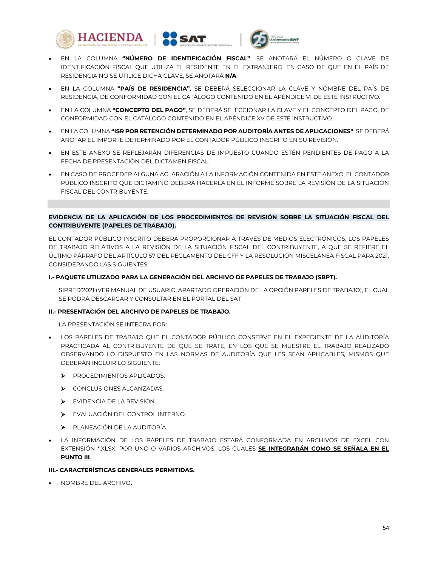



- EN LA COLUMNA **"PAÍS DE RESIDENCIA"**, SE DEBERÁ SELECCIONAR LA CLAVE Y NOMBRE DEL PAÍS DE RESIDENCIA, DE CONFORMIDAD CON EL CATÁLOGO CONTENIDO EN EL APÉNDICE VI DE ESTE INSTRUCTIVO.
- EN LA COLUMNA **"CONCEPTO DEL PAGO"**, SE DEBERÁ SELECCIONAR LA CLAVE Y EL CONCEPTO DEL PAGO, DE CONFORMIDAD CON EL CATÁLOGO CONTENIDO EN EL APÉNDICE XV DE ESTE INSTRUCTIVO.
- EN LA COLUMNA **"ISR POR RETENCIÓN DETERMINADO POR AUDITORÍA ANTES DE APLICACIONES"**, SE DEBERÁ ANOTAR EL IMPORTE DETERMINADO POR EL CONTADOR PÚBLICO INSCRITO EN SU REVISIÓN.
- EN ESTE ANEXO SE REFLEJARÁN DIFERENCIAS DE IMPUESTO CUANDO ESTÉN PENDIENTES DE PAGO A LA FECHA DE PRESENTACIÓN DEL DICTAMEN FISCAL.
- EN CASO DE PROCEDER ALGUNA ACLARACIÓN A LA INFORMACIÓN CONTENIDA EN ESTE ANEXO, EL CONTADOR PÚBLICO INSCRITO QUE DICTAMINÓ DEBERÁ HACERLA EN EL INFORME SOBRE LA REVISIÓN DE LA SITUACIÓN FISCAL DEL CONTRIBUYENTE.

### **EVIDENCIA DE LA APLICACIÓN DE LOS PROCEDIMIENTOS DE REVISIÓN SOBRE LA SITUACIÓN FISCAL DEL CONTRIBUYENTE (PAPELES DE TRABAJO).**

EL CONTADOR PÚBLICO INSCRITO DEBERÁ PROPORCIONAR A TRAVÉS DE MEDIOS ELECTRÓNICOS, LOS PAPELES DE TRABAJO RELATIVOS A LA REVISIÓN DE LA SITUACIÓN FISCAL DEL CONTRIBUYENTE, A QUE SE REFIERE EL ÚLTIMO PÁRRAFO DEL ARTÍCULO 57 DEL REGLAMENTO DEL CFF Y LA RESOLUCIÓN MISCELÁNEA FISCAL PARA 2021, CONSIDERANDO LAS SIGUIENTES:

### **I.- PAQUETE UTILIZADO PARA LA GENERACIÓN DEL ARCHIVO DE PAPELES DE TRABAJO (SBPT).**

SIPRED'2021 (VER MANUAL DE USUARIO, APARTADO OPERACIÓN DE LA OPCIÓN PAPELES DE TRABAJO), EL CUAL SE PODRÁ DESCARGAR Y CONSULTAR EN EL PORTAL DEL SAT

### **II.- PRESENTACIÓN DEL ARCHIVO DE PAPELES DE TRABAJO.**

LA PRESENTACIÓN SE INTEGRA POR:

- LOS PAPELES DE TRABAJO QUE EL CONTADOR PÚBLICO CONSERVE EN EL EXPEDIENTE DE LA AUDITORÍA PRACTICADA AL CONTRIBUYENTE DE QUE SE TRATE, EN LOS QUE SE MUESTRE EL TRABAJO REALIZADO OBSERVANDO LO DISPUESTO EN LAS NORMAS DE AUDITORÍA QUE LES SEAN APLICABLES, MISMOS QUE DEBERÁN INCLUIR LO SIGUIENTE:
	- PROCEDIMIENTOS APLICADOS.
	- > CONCLUSIONES ALCANZADAS.
	- EVIDENCIA DE LA REVISIÓN.
	- EVALUACIÓN DEL CONTROL INTERNO.
	- PLANEACIÓN DE LA AUDITORÍA.
- LA INFORMACIÓN DE LOS PAPELES DE TRABAJO ESTARÁ CONFORMADA EN ARCHIVOS DE EXCEL CON EXTENSIÓN \*.XLSX, POR UNO O VARIOS ARCHIVOS, LOS CUALES **SE INTEGRARÁN COMO SE SEÑALA EN EL PUNTO III**.

## **III.- CARACTERÍSTICAS GENERALES PERMITIDAS.**

NOMBRE DEL ARCHIVO**.**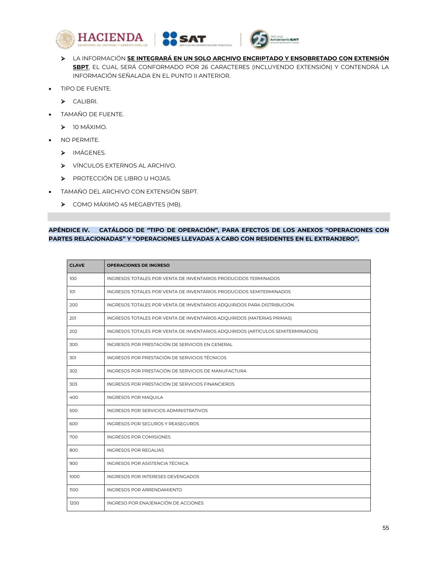





- LA INFORMACIÓN **SE INTEGRARÁ EN UN SOLO ARCHIVO ENCRIPTADO Y ENSOBRETADO CON EXTENSIÓN SBPT**, EL CUAL SERÁ CONFORMADO POR 26 CARACTERES (INCLUYENDO EXTENSIÓN) Y CONTENDRÁ LA INFORMACIÓN SEÑALADA EN EL PUNTO II ANTERIOR.
- TIPO DE FUENTE.
	- > CALIBRI.
- TAMAÑO DE FUENTE.
	- > 10 MÁXIMO.
- NO PERMITE.
	- > IMÁGENES.
	- VÍNCULOS EXTERNOS AL ARCHIVO.
	- PROTECCIÓN DE LIBRO U HOJAS.
- TAMAÑO DEL ARCHIVO CON EXTENSIÓN SBPT.
	- $\triangleright$  COMO MÁXIMO 45 MEGABYTES (MB).

## **APÉNDICE IV. CATÁLOGO DE "TIPO DE OPERACIÓN", PARA EFECTOS DE LOS ANEXOS "OPERACIONES CON PARTES RELACIONADAS" Y "OPERACIONES LLEVADAS A CABO CON RESIDENTES EN EL EXTRANJERO".**

| <b>CLAVE</b> | <b>OPERACIONES DE INGRESO</b>                                                   |
|--------------|---------------------------------------------------------------------------------|
| 100          | INGRESOS TOTALES POR VENTA DE INVENTARIOS PRODUCIDOS TERMINADOS                 |
| 101          | INGRESOS TOTALES POR VENTA DE INVENTARIOS PRODUCIDOS SEMITERMINADOS             |
| 200          | INGRESOS TOTALES POR VENTA DE INVENTARIOS ADQUIRIDOS PARA DISTRIBUCIÓN          |
| 201          | INGRESOS TOTALES POR VENTA DE INVENTARIOS ADQUIRIDOS (MATERIAS PRIMAS)          |
| 202          | INGRESOS TOTALES POR VENTA DE INVENTARIOS ADQUIRIDOS (ARTÍCULOS SEMITERMINADOS) |
| 300          | INGRESOS POR PRESTACIÓN DE SERVICIOS EN GENERAL                                 |
| 301          | INGRESOS POR PRESTACIÓN DE SERVICIOS TÉCNICOS                                   |
| 302          | INGRESOS POR PRESTACIÓN DE SERVICIOS DE MANUFACTURA                             |
| 303          | INGRESOS POR PRESTACIÓN DE SERVICIOS FINANCIEROS                                |
| 400          | INGRESOS POR MAQUILA                                                            |
| 500          | INGRESOS POR SERVICIOS ADMINISTRATIVOS                                          |
| 600          | <b>INGRESOS POR SEGUROS Y REASEGUROS</b>                                        |
| 700          | INGRESOS POR COMISIONES                                                         |
| 800          | <b>INGRESOS POR REGALÍAS</b>                                                    |
| 900          | INGRESOS POR ASISTENCIA TÉCNICA                                                 |
| 1000         | INGRESOS POR INTERESES DEVENGADOS                                               |
| 1100         | INGRESOS POR ARRENDAMIENTO                                                      |
| 1200         | INGRESO POR ENAJENACIÓN DE ACCIONES                                             |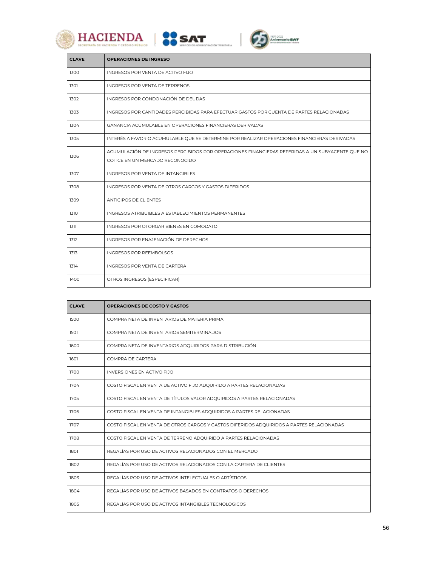







| <b>CLAVE</b> | <b>OPERACIONES DE INGRESO</b>                                                                                                      |
|--------------|------------------------------------------------------------------------------------------------------------------------------------|
| 1300         | INGRESOS POR VENTA DE ACTIVO FIJO                                                                                                  |
| 1301         | INGRESOS POR VENTA DE TERRENOS                                                                                                     |
| 1302         | INGRESOS POR CONDONACIÓN DE DEUDAS                                                                                                 |
| 1303         | INGRESOS POR CANTIDADES PERCIBIDAS PARA EFECTUAR GASTOS POR CUENTA DE PARTES RELACIONADAS                                          |
| 1304         | GANANCIA ACUMULABLE EN OPERACIONES FINANCIERAS DERIVADAS                                                                           |
| 1305         | INTERÉS A FAVOR O ACUMULABLE QUE SE DETERMINE POR REALIZAR OPERACIONES FINANCIERAS DERIVADAS                                       |
| 1306         | ACUMULACIÓN DE INGRESOS PERCIBIDOS POR OPERACIONES FINANCIERAS REFERIDAS A UN SUBYACENTE QUE NO<br>COTICE EN UN MERCADO RECONOCIDO |
| 1307         | INGRESOS POR VENTA DE INTANGIBLES                                                                                                  |
| 1308         | INGRESOS POR VENTA DE OTROS CARGOS Y GASTOS DIFERIDOS                                                                              |
| 1309         | <b>ANTICIPOS DE CLIENTES</b>                                                                                                       |
| 1310         | INGRESOS ATRIBUIBLES A ESTABLECIMIENTOS PERMANENTES                                                                                |
| 1311         | INGRESOS POR OTORGAR BIENES EN COMODATO                                                                                            |
| 1312         | INGRESOS POR ENAJENACIÓN DE DERECHOS                                                                                               |
| 1313         | INGRESOS POR REEMBOLSOS                                                                                                            |
| 1314         | <b>INGRESOS POR VENTA DE CARTERA</b>                                                                                               |
| 1400         | OTROS INGRESOS (ESPECIFICAR)                                                                                                       |

| <b>CLAVE</b> | <b>OPERACIONES DE COSTO Y GASTOS</b>                                                      |
|--------------|-------------------------------------------------------------------------------------------|
| 1500         | COMPRA NETA DE INVENTARIOS DE MATERIA PRIMA                                               |
| 1501         | COMPRA NETA DE INVENTARIOS SEMITERMINADOS                                                 |
| 1600         | COMPRA NETA DE INVENTARIOS ADQUIRIDOS PARA DISTRIBUCIÓN                                   |
| 1601         | COMPRA DE CARTERA                                                                         |
| 1700         | <b>INVERSIONES EN ACTIVO FIJO</b>                                                         |
| 1704         | COSTO FISCAL EN VENTA DE ACTIVO FIJO ADQUIRIDO A PARTES RELACIONADAS                      |
| 1705         | COSTO FISCAL EN VENTA DE TÍTULOS VALOR ADQUIRIDOS A PARTES RELACIONADAS                   |
| 1706         | COSTO FISCAL EN VENTA DE INTANGIBLES ADQUIRIDOS A PARTES RELACIONADAS                     |
| 1707         | COSTO FISCAL EN VENTA DE OTROS CARGOS Y GASTOS DIFERIDOS ADQUIRIDOS A PARTES RELACIONADAS |
| 1708         | COSTO FISCAL EN VENTA DE TERRENO ADQUIRIDO A PARTES RELACIONADAS                          |
| 1801         | REGALÍAS POR USO DE ACTIVOS RELACIONADOS CON EL MERCADO                                   |
| 1802         | REGALÍAS POR USO DE ACTIVOS RELACIONADOS CON LA CARTERA DE CLIENTES                       |
| 1803         | REGALÍAS POR USO DE ACTIVOS INTELECTUALES O ARTÍSTICOS                                    |
| 1804         | REGALÍAS POR USO DE ACTIVOS BASADOS EN CONTRATOS O DERECHOS                               |
| 1805         | REGALÍAS POR USO DE ACTIVOS INTANGIBLES TECNOLÓGICOS                                      |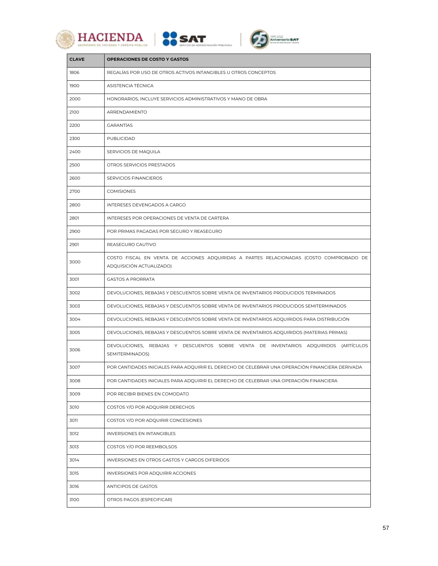





| <b>CLAVE</b> | <b>OPERACIONES DE COSTO Y GASTOS</b>                                                                                |
|--------------|---------------------------------------------------------------------------------------------------------------------|
| 1806         | REGALÍAS POR USO DE OTROS ACTIVOS INTANGIBLES U OTROS CONCEPTOS                                                     |
| 1900         | ASISTENCIA TÉCNICA                                                                                                  |
| 2000         | HONORARIOS, INCLUYE SERVICIOS ADMINISTRATIVOS Y MANO DE OBRA                                                        |
| 2100         | ARRENDAMIENTO                                                                                                       |
| 2200         | <b>GARANTÍAS</b>                                                                                                    |
| 2300         | PUBLICIDAD                                                                                                          |
| 2400         | SERVICIOS DE MAQUILA                                                                                                |
| 2500         | OTROS SERVICIOS PRESTADOS                                                                                           |
| 2600         | SERVICIOS FINANCIEROS                                                                                               |
| 2700         | <b>COMISIONES</b>                                                                                                   |
| 2800         | INTERESES DEVENGADOS A CARGO                                                                                        |
| 2801         | INTERESES POR OPERACIONES DE VENTA DE CARTERA                                                                       |
| 2900         | POR PRIMAS PAGADAS POR SEGURO Y REASEGURO                                                                           |
| 2901         | REASEGURO CAUTIVO                                                                                                   |
| 3000         | COSTO FISCAL EN VENTA DE ACCIONES ADQUIRIDAS A PARTES RELACIONADAS (COSTO COMPROBADO DE<br>ADQUISICIÓN ACTUALIZADO) |
| 3001         | <b>GASTOS A PRORRATA</b>                                                                                            |
| 3002         | DEVOLUCIONES, REBAJAS Y DESCUENTOS SOBRE VENTA DE INVENTARIOS PRODUCIDOS TERMINADOS                                 |
| 3003         | DEVOLUCIONES, REBAJAS Y DESCUENTOS SOBRE VENTA DE INVENTARIOS PRODUCIDOS SEMITERMINADOS                             |
| 3004         | DEVOLUCIONES, REBAJAS Y DESCUENTOS SOBRE VENTA DE INVENTARIOS ADQUIRIDOS PARA DISTRIBUCIÓN                          |
| 3005         | DEVOLUCIONES, REBAJAS Y DESCUENTOS SOBRE VENTA DE INVENTARIOS ADQUIRIDOS (MATERIAS PRIMAS)                          |
| 3006         | DEVOLUCIONES, REBAJAS Y DESCUENTOS SOBRE VENTA DE INVENTARIOS ADQUIRIDOS (ARTÍCULOS<br>SEMITERMINADOS)              |
| 3007         | POR CANTIDADES INICIALES PARA ADQUIRIR EL DERECHO DE CELEBRAR UNA OPERACIÓN FINANCIERA DERIVADA                     |
| 3008         | POR CANTIDADES INICIALES PARA ADQUIRIR EL DERECHO DE CELEBRAR UNA OPERACIÓN FINANCIERA                              |
| 3009         | POR RECIBIR BIENES EN COMODATO                                                                                      |
| 3010         | COSTOS Y/O POR ADQUIRIR DERECHOS                                                                                    |
| 3011         | COSTOS Y/O POR ADQUIRIR CONCESIONES                                                                                 |
| 3012         | INVERSIONES EN INTANGIBLES                                                                                          |
| 3013         | COSTOS Y/O POR REEMBOLSOS                                                                                           |
| 3014         | INVERSIONES EN OTROS GASTOS Y CARGOS DIFERIDOS                                                                      |
| 3015         | INVERSIONES POR ADQUIRIR ACCIONES                                                                                   |
| 3016         | ANTICIPOS DE GASTOS                                                                                                 |
| 3100         | OTROS PAGOS (ESPECIFICAR)                                                                                           |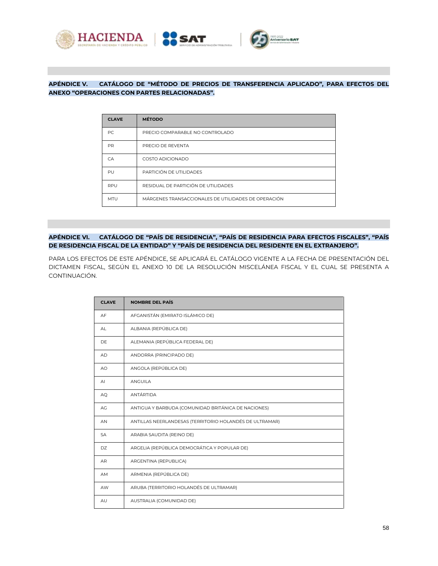



# **APÉNDICE V. CATÁLOGO DE "MÉTODO DE PRECIOS DE TRANSFERENCIA APLICADO", PARA EFECTOS DEL ANEXO "OPERACIONES CON PARTES RELACIONADAS".**

| <b>CLAVE</b> | <b>MÉTODO</b>                                       |
|--------------|-----------------------------------------------------|
| PC.          | PRECIO COMPARABLE NO CONTROLADO                     |
| <b>PR</b>    | PRECIO DE REVENTA                                   |
| CA           | COSTO ADICIONADO                                    |
| PU           | PARTICIÓN DE UTILIDADES                             |
| RPU          | RESIDUAL DE PARTICIÓN DE UTILIDADES                 |
| <b>MTU</b>   | MÁRGENES TRANSACCIONALES DE UTILIDADES DE OPERACIÓN |

## **APÉNDICE VI. CATÁLOGO DE "PAÍS DE RESIDENCIA", "PAÍS DE RESIDENCIA PARA EFECTOS FISCALES", "PAÍS DE RESIDENCIA FISCAL DE LA ENTIDAD" Y "PAÍS DE RESIDENCIA DEL RESIDENTE EN EL EXTRANJERO".**

PARA LOS EFECTOS DE ESTE APÉNDICE, SE APLICARÁ EL CATÁLOGO VIGENTE A LA FECHA DE PRESENTACIÓN DEL DICTAMEN FISCAL, SEGÚN EL ANEXO 10 DE LA RESOLUCIÓN MISCELÁNEA FISCAL Y EL CUAL SE PRESENTA A CONTINUACIÓN.

| <b>CLAVE</b> | <b>NOMBRE DEL PAÍS</b>                                  |
|--------------|---------------------------------------------------------|
| AF           | AFGANISTÁN (EMIRATO ISLÁMICO DE)                        |
| <b>AL</b>    | ALBANIA (REPÚBLICA DE)                                  |
| DF.          | ALEMANIA (REPÚBLICA FEDERAL DE)                         |
| AD.          | ANDORRA (PRINCIPADO DE)                                 |
| AO           | ANGOLA (REPÚBLICA DE)                                   |
| $\mathsf{A}$ | ANGUILA                                                 |
| AQ.          | ANTÁRTIDA                                               |
| AG           | ANTIGUA Y BARBUDA (COMUNIDAD BRITÁNICA DE NACIONES)     |
| AN           | ANTILLAS NEERLANDESAS (TERRITORIO HOLANDÉS DE ULTRAMAR) |
| <b>SA</b>    | ARABIA SAUDITA (REINO DE)                               |
| DZ           | ARGELIA (REPÚBLICA DEMOCRÁTICA Y POPULAR DE)            |
| AR.          | ARGENTINA (REPUBLICA)                                   |
| AM           | ARMENIA (REPÚBLICA DE)                                  |
| AW           | ARUBA (TERRITORIO HOLANDÉS DE ULTRAMAR)                 |
| AU           | AUSTRALIA (COMUNIDAD DE)                                |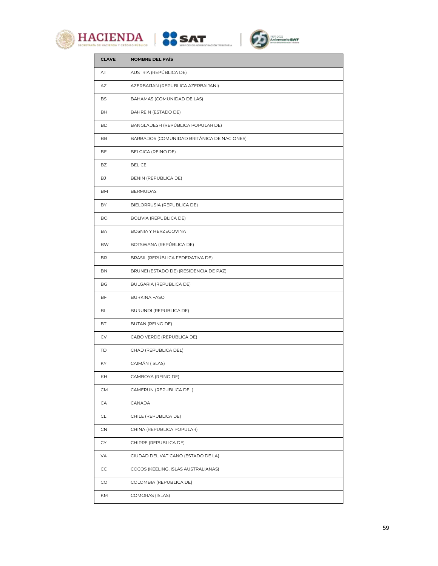





| <b>CLAVE</b> | <b>NOMBRE DEL PAÍS</b>                     |
|--------------|--------------------------------------------|
| AT           | AUSTRIA (REPÚBLICA DE)                     |
| AZ           | AZERBAIJAN (REPUBLICA AZERBAIJANI)         |
| BS           | BAHAMAS (COMUNIDAD DE LAS)                 |
| BH           | BAHREIN (ESTADO DE)                        |
| <b>BD</b>    | BANGLADESH (REPÚBLICA POPULAR DE)          |
| BB           | BARBADOS (COMUNIDAD BRITÁNICA DE NACIONES) |
| BE           | BELGICA (REINO DE)                         |
| BZ           | <b>BELICE</b>                              |
| BJ           | BENIN (REPUBLICA DE)                       |
| BM           | <b>BERMUDAS</b>                            |
| BY           | BIELORRUSIA (REPUBLICA DE)                 |
| <b>BO</b>    | BOLIVIA (REPUBLICA DE)                     |
| BA           | BOSNIA Y HERZEGOVINA                       |
| BW           | BOTSWANA (REPÚBLICA DE)                    |
| BR.          | BRASIL (REPÚBLICA FEDERATIVA DE)           |
| BN           | BRUNEI (ESTADO DE) (RESIDENCIA DE PAZ)     |
| BG           | BULGARIA (REPUBLICA DE)                    |
| BF           | <b>BURKINA FASO</b>                        |
| BI           | BURUNDI (REPUBLICA DE)                     |
| ВT           | BUTAN (REINO DE)                           |
| CV           | CABO VERDE (REPUBLICA DE)                  |
| TD           | CHAD (REPUBLICA DEL)                       |
| KY           | CAIMÁN (ISLAS)                             |
| KH           | CAMBOYA (REINO DE)                         |
| CM           | CAMERUN (REPUBLICA DEL)                    |
| CA           | CANADA                                     |
| CL.          | CHILE (REPUBLICA DE)                       |
| CN           | CHINA (REPUBLICA POPULAR)                  |
| CY           | CHIPRE (REPUBLICA DE)                      |
| VA           | CIUDAD DEL VATICANO (ESTADO DE LA)         |
| CC           | COCOS (KEELING, ISLAS AUSTRALIANAS)        |
| CO           | COLOMBIA (REPUBLICA DE)                    |
| KM           | COMORAS (ISLAS)                            |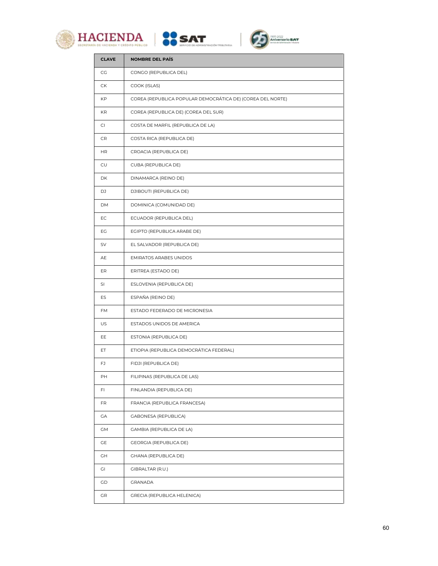





| <b>CLAVE</b> | <b>NOMBRE DEL PAÍS</b>                                     |
|--------------|------------------------------------------------------------|
| CG           | CONGO (REPUBLICA DEL)                                      |
| СK           | COOK (ISLAS)                                               |
| KP           | COREA (REPUBLICA POPULAR DEMOCRÁTICA DE) (COREA DEL NORTE) |
| KR           | COREA (REPUBLICA DE) (COREA DEL SUR)                       |
| CI           | COSTA DE MARFIL (REPUBLICA DE LA)                          |
| CR           | COSTA RICA (REPUBLICA DE)                                  |
| HR.          | CROACIA (REPUBLICA DE)                                     |
| CU           | CUBA (REPUBLICA DE)                                        |
| DK           | DINAMARCA (REINO DE)                                       |
| DJ           | DJIBOUTI (REPUBLICA DE)                                    |
| DM           | DOMINICA (COMUNIDAD DE)                                    |
| EC           | ECUADOR (REPUBLICA DEL)                                    |
| EG           | EGIPTO (REPUBLICA ARABE DE)                                |
| SV           | EL SALVADOR (REPUBLICA DE)                                 |
| AE           | <b>EMIRATOS ARABES UNIDOS</b>                              |
| ER           | ERITREA (ESTADO DE)                                        |
| SI           | ESLOVENIA (REPUBLICA DE)                                   |
| ES           | ESPAÑA (REINO DE)                                          |
| FM           | ESTADO FEDERADO DE MICRONESIA                              |
| US           | ESTADOS UNIDOS DE AMERICA                                  |
| EE           | ESTONIA (REPUBLICA DE)                                     |
| ET           | ETIOPIA (REPUBLICA DEMOCRÁTICA FEDERAL)                    |
| FJ           | FIDJI (REPUBLICA DE)                                       |
| PH           | FILIPINAS (REPUBLICA DE LAS)                               |
| FL           | FINLANDIA (REPUBLICA DE)                                   |
| FR           | FRANCIA (REPUBLICA FRANCESA)                               |
| GA           | GABONESA (REPUBLICA)                                       |
| GМ           | GAMBIA (REPUBLICA DE LA)                                   |
| GE           | GEORGIA (REPUBLICA DE)                                     |
| GН           | GHANA (REPUBLICA DE)                                       |
| GI           | <b>GIBRALTAR (R.U.)</b>                                    |
| GD           | GRANADA                                                    |
| GR           | GRECIA (REPUBLICA HELENICA)                                |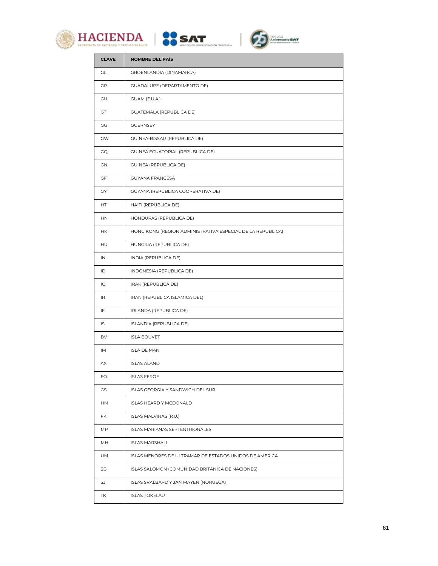





| <b>CLAVE</b> | NOMBRE DEL PAÍS                                            |
|--------------|------------------------------------------------------------|
| GL           | GROENLANDIA (DINAMARCA)                                    |
| GP           | <b>GUADALUPE (DEPARTAMENTO DE)</b>                         |
| GU           | GUAM (E.U.A.)                                              |
| <b>GT</b>    | <b>GUATEMALA (REPUBLICA DE)</b>                            |
| СG           | <b>GUERNSEY</b>                                            |
| GW           | GUINEA-BISSAU (REPUBLICA DE)                               |
| GQ           | GUINEA ECUATORIAL (REPUBLICA DE)                           |
| GΝ           | GUINEA (REPUBLICA DE)                                      |
| GF           | <b>GUYANA FRANCESA</b>                                     |
| GY           | GUYANA (REPUBLICA COOPERATIVA DE)                          |
| HT           | HAITI (REPUBLICA DE)                                       |
| <b>HN</b>    | HONDURAS (REPUBLICA DE)                                    |
| НK           | HONG KONG (REGION ADMINISTRATIVA ESPECIAL DE LA REPUBLICA) |
| <b>HU</b>    | HUNGRIA (REPUBLICA DE)                                     |
| IN           | INDIA (REPUBLICA DE)                                       |
| ID           | INDONESIA (REPUBLICA DE)                                   |
| IQ           | IRAK (REPUBLICA DE)                                        |
| IR           | IRAN (REPUBLICA ISLAMICA DEL)                              |
| IE           | IRLANDA (REPUBLICA DE)                                     |
| IS           | ISLANDIA (REPUBLICA DE)                                    |
| BV           | <b>ISLA BOUVET</b>                                         |
| IM           | <b>ISLA DE MAN</b>                                         |
| АX           | <b>ISLAS ALAND</b>                                         |
| FO           | <b>ISLAS FEROE</b>                                         |
| GS           | ISLAS GEORGIA Y SANDWICH DEL SUR                           |
| HМ           | ISLAS HEARD Y MCDONALD                                     |
| FK           | ISLAS MALVINAS (R.U.)                                      |
| MP.          | <b>ISLAS MARIANAS SEPTENTRIONALES</b>                      |
| MН           | <b>ISLAS MARSHALL</b>                                      |
| UM           | ISLAS MENORES DE ULTRAMAR DE ESTADOS UNIDOS DE AMERICA     |
| SB           | ISLAS SALOMON (COMUNIDAD BRITÁNICA DE NACIONES)            |
| SJ           | ISLAS SVALBARD Y JAN MAYEN (NORUEGA)                       |
| ΤK           | <b>ISLAS TOKELAU</b>                                       |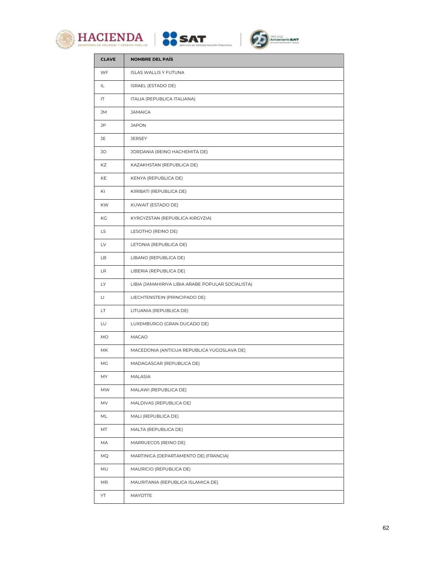





| <b>CLAVE</b> | <b>NOMBRE DEL PAÍS</b>                            |
|--------------|---------------------------------------------------|
| WF           | <b>ISLAS WALLIS Y FUTUNA</b>                      |
| IL           | ISRAEL (ESTADO DE)                                |
| IT           | ITALIA (REPUBLICA ITALIANA)                       |
| <b>JM</b>    | <b>JAMAICA</b>                                    |
| JP           | <b>JAPON</b>                                      |
| JE.          | <b>JERSEY</b>                                     |
| JO           | JORDANIA (REINO HACHEMITA DE)                     |
| KZ           | KAZAKHSTAN (REPUBLICA DE)                         |
| KE           | KENYA (REPUBLICA DE)                              |
| KI           | KIRIBATI (REPUBLICA DE)                           |
| KW.          | KUWAIT (ESTADO DE)                                |
| KG           | KYRGYZSTAN (REPUBLICA KIRGYZIA)                   |
| LS.          | LESOTHO (REINO DE)                                |
| LV           | LETONIA (REPUBLICA DE)                            |
| LB.          | LIBANO (REPUBLICA DE)                             |
| LR           | LIBERIA (REPUBLICA DE)                            |
| LY.          | LIBIA (JAMAHIRIYA LIBIA ARABE POPULAR SOCIALISTA) |
| LI.          | LIECHTENSTEIN (PRINCIPADO DE)                     |
| LT.          | LITUANIA (REPUBLICA DE)                           |
| LU           | LUXEMBURGO (GRAN DUCADO DE)                       |
| MO           | <b>MACAO</b>                                      |
| MK.          | MACEDONIA (ANTIGUA REPUBLICA YUGOSLAVA DE)        |
| МG           | MADAGASCAR (REPUBLICA DE)                         |
| MY           | MALASIA                                           |
| MW           | MALAWI (REPUBLICA DE)                             |
| MV           | MALDIVAS (REPUBLICA DE)                           |
| ML           | MALI (REPUBLICA DE)                               |
| MT           | MALTA (REPUBLICA DE)                              |
| MA           | MARRUECOS (REINO DE)                              |
| МQ           | MARTINICA (DEPARTAMENTO DE) (FRANCIA)             |
| MU           | MAURICIO (REPUBLICA DE)                           |
| MR           | MAURITANIA (REPUBLICA ISLAMICA DE)                |
| YT           | <b>MAYOTTE</b>                                    |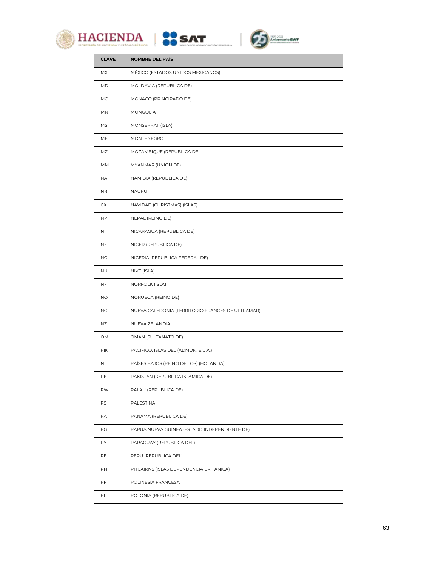





| <b>CLAVE</b> | <b>NOMBRE DEL PAÍS</b>                           |
|--------------|--------------------------------------------------|
| MX           | MÉXICO (ESTADOS UNIDOS MEXICANOS)                |
| MD           | MOLDAVIA (REPUBLICA DE)                          |
| MC.          | MONACO (PRINCIPADO DE)                           |
| MN           | MONGOLIA                                         |
| МS           | MONSERRAT (ISLA)                                 |
| МE           | MONTENEGRO                                       |
| ΜZ           | MOZAMBIQUE (REPUBLICA DE)                        |
| МM           | MYANMAR (UNION DE)                               |
| ΝA           | NAMIBIA (REPUBLICA DE)                           |
| <b>NR</b>    | NAURU                                            |
| CX           | NAVIDAD (CHRISTMAS) (ISLAS)                      |
| <b>NP</b>    | NEPAL (REINO DE)                                 |
| NI           | NICARAGUA (REPUBLICA DE)                         |
| <b>NE</b>    | NIGER (REPUBLICA DE)                             |
| ΝG           | NIGERIA (REPUBLICA FEDERAL DE)                   |
| <b>NU</b>    | NIVE (ISLA)                                      |
| NF.          | <b>NORFOLK (ISLA)</b>                            |
| NO.          | NORUEGA (REINO DE)                               |
| NC.          | NUEVA CALEDONIA (TERRITORIO FRANCES DE ULTRAMAR) |
| NZ           | NUEVA ZELANDIA                                   |
| OM           | OMAN (SULTANATO DE)                              |
| PIK          | PACIFICO, ISLAS DEL (ADMON. E.U.A.)              |
| <b>NL</b>    | PAÍSES BAJOS (REINO DE LOS) (HOLANDA)            |
| РK           | PAKISTAN (REPUBLICA ISLAMICA DE)                 |
| PW           | PALAU (REPUBLICA DE)                             |
| PS           | PALESTINA                                        |
| PA           | PANAMA (REPUBLICA DE)                            |
| PG           | PAPUA NUEVA GUINEA (ESTADO INDEPENDIENTE DE)     |
| PY           | PARAGUAY (REPUBLICA DEL)                         |
| PE           | PERU (REPUBLICA DEL)                             |
| PN           | PITCAIRNS (ISLAS DEPENDENCIA BRITÁNICA)          |
| PF           | POLINESIA FRANCESA                               |
| PL           | POLONIA (REPUBLICA DE)                           |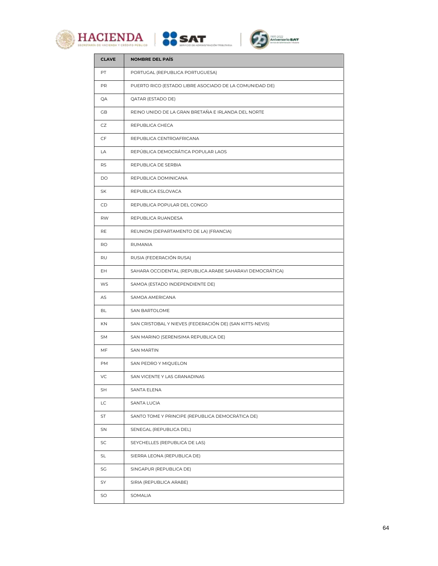





| <b>CLAVE</b> | <b>NOMBRE DEL PAÍS</b>                                   |
|--------------|----------------------------------------------------------|
| PT           | PORTUGAL (REPUBLICA PORTUGUESA)                          |
| PR           | PUERTO RICO (ESTADO LIBRE ASOCIADO DE LA COMUNIDAD DE)   |
| QA           | QATAR (ESTADO DE)                                        |
| GB.          | REINO UNIDO DE LA GRAN BRETAÑA E IRLANDA DEL NORTE       |
| CZ           | REPUBLICA CHECA                                          |
| CF           | REPUBLICA CENTROAFRICANA                                 |
| LA           | REPÚBLICA DEMOCRÁTICA POPULAR LAOS                       |
| RS           | REPUBLICA DE SERBIA                                      |
| <b>DO</b>    | REPUBLICA DOMINICANA                                     |
| SK           | REPUBLICA ESLOVACA                                       |
| CD.          | REPUBLICA POPULAR DEL CONGO                              |
| <b>RW</b>    | REPUBLICA RUANDESA                                       |
| RE           | REUNION (DEPARTAMENTO DE LA) (FRANCIA)                   |
| RO           | RUMANIA                                                  |
| RU           | RUSIA (FEDERACIÓN RUSA)                                  |
| EH           | SAHARA OCCIDENTAL (REPUBLICA ARABE SAHARAVI DEMOCRÁTICA) |
| WS           | SAMOA (ESTADO INDEPENDIENTE DE)                          |
| AS           | SAMOA AMERICANA                                          |
| BL           | SAN BARTOLOME                                            |
| <b>KN</b>    | SAN CRISTOBAL Y NIEVES (FEDERACIÓN DE) (SAN KITTS-NEVIS) |
| SM           | SAN MARINO (SERENISIMA REPUBLICA DE)                     |
| MF           | <b>SAN MARTIN</b>                                        |
| PМ           | SAN PEDRO Y MIQUELON                                     |
| VC           | SAN VICENTE Y LAS GRANADINAS                             |
| SH           | <b>SANTA ELENA</b>                                       |
| LC.          | SANTA LUCIA                                              |
| ST           | SANTO TOME Y PRINCIPE (REPUBLICA DEMOCRÁTICA DE)         |
| SN           | SENEGAL (REPUBLICA DEL)                                  |
| SC           | SEYCHELLES (REPUBLICA DE LAS)                            |
| SL           | SIERRA LEONA (REPUBLICA DE)                              |
| SG           | SINGAPUR (REPUBLICA DE)                                  |
| SY           | SIRIA (REPUBLICA ARABE)                                  |
| SO           | SOMALIA                                                  |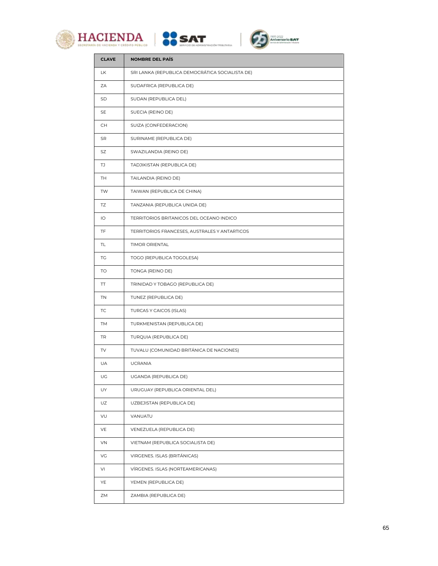





| <b>CLAVE</b> | <b>NOMBRE DEL PAÍS</b>                          |
|--------------|-------------------------------------------------|
| LK           | SRI LANKA (REPUBLICA DEMOCRÁTICA SOCIALISTA DE) |
| ZA           | SUDAFRICA (REPUBLICA DE)                        |
| SD           | SUDAN (REPUBLICA DEL)                           |
| SE           | SUECIA (REINO DE)                               |
| CH           | SUIZA (CONFEDERACION)                           |
| SR           | SURINAME (REPUBLICA DE)                         |
| SZ           | SWAZILANDIA (REINO DE)                          |
| TJ           | TADJIKISTAN (REPUBLICA DE)                      |
| TH           | TAILANDIA (REINO DE)                            |
| <b>TW</b>    | TAIWAN (REPUBLICA DE CHINA)                     |
| TZ           | TANZANIA (REPUBLICA UNIDA DE)                   |
| IО           | TERRITORIOS BRITANICOS DEL OCEANO INDICO        |
| TF.          | TERRITORIOS FRANCESES, AUSTRALES Y ANTARTICOS   |
| TL.          | <b>TIMOR ORIENTAL</b>                           |
| TG           | TOGO (REPUBLICA TOGOLESA)                       |
| TO           | TONGA (REINO DE)                                |
| TT           | TRINIDAD Y TOBAGO (REPUBLICA DE)                |
| TN           | TUNEZ (REPUBLICA DE)                            |
| TC           | TURCAS Y CAICOS (ISLAS)                         |
| TM           | TURKMENISTAN (REPUBLICA DE)                     |
| TR           | TURQUIA (REPUBLICA DE)                          |
| TV           | TUVALU (COMUNIDAD BRITÁNICA DE NACIONES)        |
| UA           | <b>UCRANIA</b>                                  |
| UG           | UGANDA (REPUBLICA DE)                           |
| UY           | URUGUAY (REPUBLICA ORIENTAL DEL)                |
| UZ           | UZBEJISTAN (REPUBLICA DE)                       |
| VU           | VANUATU                                         |
| VE           | VENEZUELA (REPUBLICA DE)                        |
| VN           | VIETNAM (REPUBLICA SOCIALISTA DE)               |
| VG           | VIRGENES. ISLAS (BRITÁNICAS)                    |
| VI           | VÍRGENES. ISLAS (NORTEAMERICANAS)               |
| YE           | YEMEN (REPUBLICA DE)                            |
| ZΜ           | ZAMBIA (REPUBLICA DE)                           |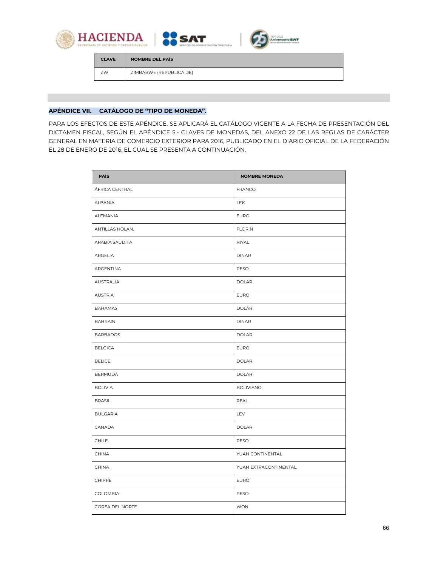



| <b>CLAVE</b> | NOMBRE DEL PAÍS         |
|--------------|-------------------------|
| 7W           | ZIMBABWE (REPUBLICA DE) |

**AS SAT** 

## **APÉNDICE VII. CATÁLOGO DE "TIPO DE MONEDA".**

PARA LOS EFECTOS DE ESTE APÉNDICE, SE APLICARÁ EL CATÁLOGO VIGENTE A LA FECHA DE PRESENTACIÓN DEL DICTAMEN FISCAL, SEGÚN EL APÉNDICE 5.- CLAVES DE MONEDAS, DEL ANEXO 22 DE LAS REGLAS DE CARÁCTER GENERAL EN MATERIA DE COMERCIO EXTERIOR PARA 2016, PUBLICADO EN EL DIARIO OFICIAL DE LA FEDERACIÓN EL 28 DE ENERO DE 2016, EL CUAL SE PRESENTA A CONTINUACIÓN.

| <b>PAÍS</b>      | <b>NOMBRE MONEDA</b>  |
|------------------|-----------------------|
| ÁFRICA CENTRAL   | <b>FRANCO</b>         |
| ALBANIA          | <b>LEK</b>            |
| ALEMANIA         | <b>EURO</b>           |
| ANTILLAS HOLAN.  | <b>FLORIN</b>         |
| ARABIA SAUDITA   | RIYAL                 |
| ARGELIA          | <b>DINAR</b>          |
| ARGENTINA        | PESO                  |
| <b>AUSTRALIA</b> | <b>DOLAR</b>          |
| <b>AUSTRIA</b>   | <b>EURO</b>           |
| <b>BAHAMAS</b>   | <b>DOLAR</b>          |
| <b>BAHRAIN</b>   | <b>DINAR</b>          |
| <b>BARBADOS</b>  | <b>DOLAR</b>          |
| <b>BELGICA</b>   | <b>EURO</b>           |
| <b>BELICE</b>    | <b>DOLAR</b>          |
| <b>BERMUDA</b>   | <b>DOLAR</b>          |
| <b>BOLIVIA</b>   | <b>BOLIVIANO</b>      |
| <b>BRASIL</b>    | <b>REAL</b>           |
| <b>BULGARIA</b>  | LEV                   |
| CANADA           | <b>DOLAR</b>          |
| <b>CHILE</b>     | PESO                  |
| <b>CHINA</b>     | YUAN CONTINENTAL      |
| <b>CHINA</b>     | YUAN EXTRACONTINENTAL |
| CHIPRE           | <b>EURO</b>           |
| <b>COLOMBIA</b>  | PESO                  |
| COREA DEL NORTE  | <b>WON</b>            |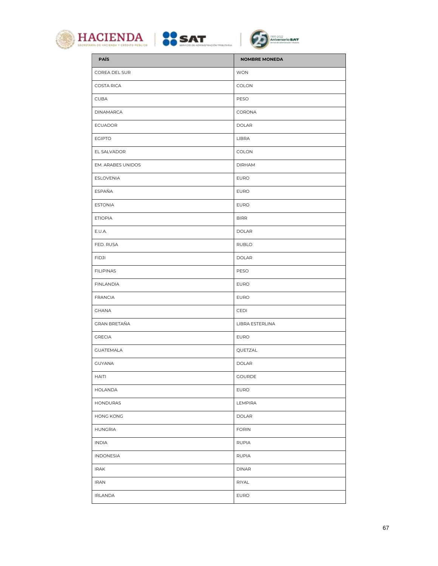





| <b>PAÍS</b>         | <b>NOMBRE MONEDA</b> |
|---------------------|----------------------|
| COREA DEL SUR       | <b>WON</b>           |
| <b>COSTA RICA</b>   | COLON                |
| <b>CUBA</b>         | PESO                 |
| <b>DINAMARCA</b>    | CORONA               |
| <b>ECUADOR</b>      | <b>DOLAR</b>         |
| <b>EGIPTO</b>       | LIBRA                |
| EL SALVADOR         | <b>COLON</b>         |
| EM. ARABES UNIDOS   | <b>DIRHAM</b>        |
| <b>ESLOVENIA</b>    | <b>EURO</b>          |
| ESPAÑA              | <b>EURO</b>          |
| <b>ESTONIA</b>      | <b>EURO</b>          |
| <b>ETIOPIA</b>      | <b>BIRR</b>          |
| E.U.A.              | <b>DOLAR</b>         |
| FED. RUSA           | RUBLO                |
| <b>FIDJI</b>        | <b>DOLAR</b>         |
| <b>FILIPINAS</b>    | PESO                 |
| <b>FINLANDIA</b>    | <b>EURO</b>          |
| <b>FRANCIA</b>      | <b>EURO</b>          |
| <b>GHANA</b>        | CEDI                 |
| <b>GRAN BRETAÑA</b> | LIBRA ESTERLINA      |
| <b>GRECIA</b>       | <b>EURO</b>          |
| <b>GUATEMALA</b>    | QUETZAL              |
| <b>GUYANA</b>       | <b>DOLAR</b>         |
| <b>HAITI</b>        | <b>GOURDE</b>        |
| <b>HOLANDA</b>      | <b>EURO</b>          |
| HONDURAS            | LEMPIRA              |
| <b>HONG KONG</b>    | <b>DOLAR</b>         |
| <b>HUNGRIA</b>      | <b>FORIN</b>         |
| <b>INDIA</b>        | <b>RUPIA</b>         |
| <b>INDONESIA</b>    | <b>RUPIA</b>         |
| <b>IRAK</b>         | <b>DINAR</b>         |
| <b>IRAN</b>         | RIYAL                |
| <b>IRLANDA</b>      | <b>EURO</b>          |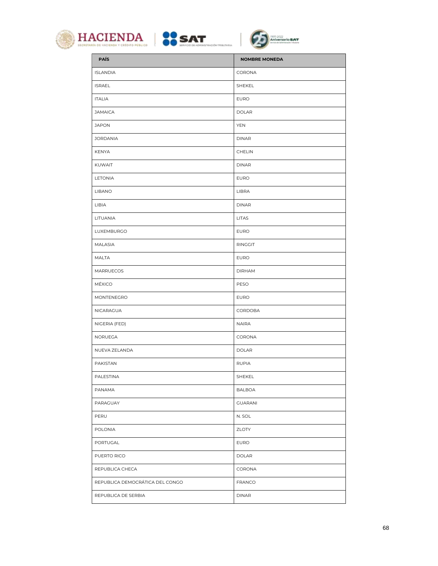





| <b>PAÍS</b>                     | <b>NOMBRE MONEDA</b> |
|---------------------------------|----------------------|
| <b>ISLANDIA</b>                 | CORONA               |
| <b>ISRAEL</b>                   | SHEKEL               |
| <b>ITALIA</b>                   | <b>EURO</b>          |
| <b>JAMAICA</b>                  | <b>DOLAR</b>         |
| <b>JAPON</b>                    | <b>YEN</b>           |
| <b>JORDANIA</b>                 | <b>DINAR</b>         |
| KENYA                           | <b>CHELIN</b>        |
| KUWAIT                          | <b>DINAR</b>         |
| LETONIA                         | <b>EURO</b>          |
| <b>LIBANO</b>                   | LIBRA                |
| LIBIA                           | <b>DINAR</b>         |
| LITUANIA                        | <b>LITAS</b>         |
| LUXEMBURGO                      | <b>EURO</b>          |
| MALASIA                         | RINGGIT              |
| <b>MALTA</b>                    | <b>EURO</b>          |
| MARRUECOS                       | <b>DIRHAM</b>        |
| <b>MÉXICO</b>                   | PESO                 |
| MONTENEGRO                      | <b>EURO</b>          |
| NICARAGUA                       | CORDOBA              |
| NIGERIA (FED)                   | <b>NAIRA</b>         |
| NORUEGA                         | CORONA               |
| NUEVA ZELANDA                   | <b>DOLAR</b>         |
| PAKISTAN                        | <b>RUPIA</b>         |
| PALESTINA                       | SHEKEL               |
| PANAMA                          | <b>BALBOA</b>        |
| PARAGUAY                        | <b>GUARANI</b>       |
| PERU                            | N. SOL               |
| POLONIA                         | ZLOTY                |
| PORTUGAL                        | <b>EURO</b>          |
| PUERTO RICO                     | <b>DOLAR</b>         |
| REPUBLICA CHECA                 | CORONA               |
| REPUBLICA DEMOCRÁTICA DEL CONGO | <b>FRANCO</b>        |
| REPUBLICA DE SERBIA             | <b>DINAR</b>         |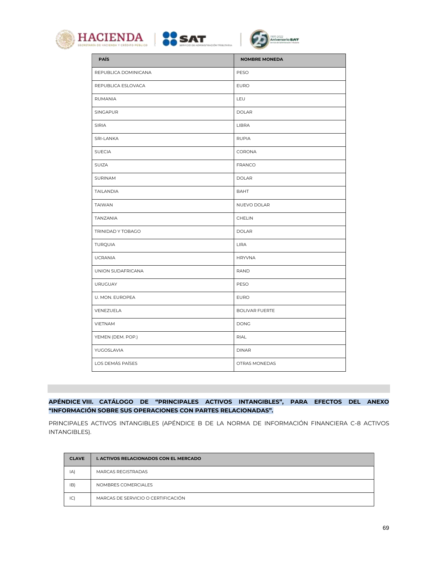





| <b>PAÍS</b>          | <b>NOMBRE MONEDA</b> |
|----------------------|----------------------|
| REPUBLICA DOMINICANA | PESO                 |
| REPUBLICA ESLOVACA   | <b>EURO</b>          |
| RUMANIA              | LEU                  |
| SINGAPUR             | <b>DOLAR</b>         |
| SIRIA                | LIBRA                |
| SRI-LANKA            | <b>RUPIA</b>         |
| <b>SUECIA</b>        | CORONA               |
| SUIZA                | <b>FRANCO</b>        |
| SURINAM              | <b>DOLAR</b>         |
| <b>TAILANDIA</b>     | <b>BAHT</b>          |
| <b>TAIWAN</b>        | NUEVO DOLAR          |
| TANZANIA             | <b>CHELIN</b>        |
| TRINIDAD Y TOBAGO    | <b>DOLAR</b>         |
| <b>TURQUIA</b>       | LIRA                 |
| <b>UCRANIA</b>       | <b>HRYVNA</b>        |
| UNION SUDAFRICANA    | <b>RAND</b>          |
| URUGUAY              | PESO                 |
| U. MON. EUROPEA      | <b>EURO</b>          |
| VENEZUELA            | BOLIVAR FUERTE       |
| <b>VIETNAM</b>       | <b>DONG</b>          |
| YEMEN (DEM. POP.)    | RIAL                 |
| YUGOSLAVIA           | <b>DINAR</b>         |
| LOS DEMÁS PAÍSES     | OTRAS MONEDAS        |

**APÉNDICE VIII. CATÁLOGO DE "PRINCIPALES ACTIVOS INTANGIBLES", PARA EFECTOS DEL ANEXO "INFORMACIÓN SOBRE SUS OPERACIONES CON PARTES RELACIONADAS".**

PRINCIPALES ACTIVOS INTANGIBLES (APÉNDICE B DE LA NORMA DE INFORMACIÓN FINANCIERA C-8 ACTIVOS INTANGIBLES).

| <b>CLAVE</b> | <b>I. ACTIVOS RELACIONADOS CON EL MERCADO</b> |
|--------------|-----------------------------------------------|
| IA)          | <b>MARCAS REGISTRADAS</b>                     |
| IB)          | NOMBRES COMERCIALES                           |
| C            | MARCAS DE SERVICIO O CERTIFICACIÓN            |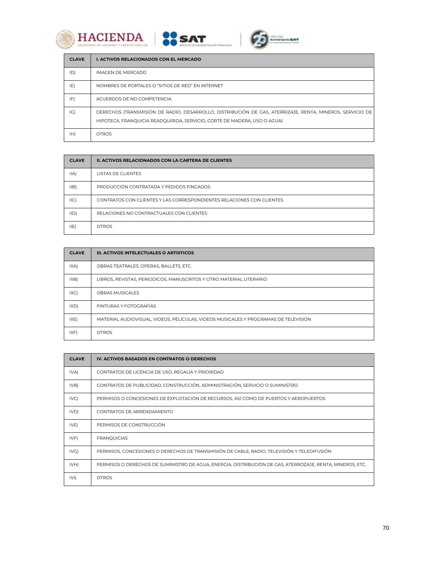





| <b>CLAVE</b> | <b>I. ACTIVOS RELACIONADOS CON EL MERCADO</b>                                                                                                                                        |
|--------------|--------------------------------------------------------------------------------------------------------------------------------------------------------------------------------------|
| ID)          | IMAGEN DE MERCADO                                                                                                                                                                    |
| IE)          | NOMBRES DE PORTALES O "SITIOS DE RED" EN INTERNET                                                                                                                                    |
| IF)          | ACUERDOS DE NO COMPETENCIA                                                                                                                                                           |
| G            | DERECHOS (TRANSMISIÓN DE RADIO, DESARROLLO, DISTRIBUCIÓN DE GAS, ATERRIZAJE, RENTA, MINEROS, SERVICIO DE<br>HIPOTECA, FRANQUICIA READQUIRIDA, SERVICIO, CORTE DE MADERA, USO O AGUA) |
| HH)          | <b>OTROS</b>                                                                                                                                                                         |

| <b>CLAVE</b> | <b>II. ACTIVOS RELACIONADOS CON LA CARTERA DE CLIENTES</b>            |
|--------------|-----------------------------------------------------------------------|
| IIA)         | <b>LISTAS DE CLIENTES</b>                                             |
| IIB          | PRODUCCIÓN CONTRATADA Y PEDIDOS FINCADOS                              |
| IIC)         | CONTRATOS CON CLIENTES Y LAS CORRESPONDIENTES RELACIONES CON CLIENTES |
| IID)         | RELACIONES NO CONTRACTUALES CON CLIENTES                              |
| I(E)         | <b>OTROS</b>                                                          |

| <b>CLAVE</b>     | III. ACTIVOS INTELECTUALES O ARTISTICOS                                             |
|------------------|-------------------------------------------------------------------------------------|
| IIIA)            | OBRAS TEATRALES, OPERAS, BALLETS, ETC.                                              |
| IIIB)            | LIBROS, REVISTAS, PERIODICOS, MANUSCRITOS Y OTRO MATERIAL LITERARIO                 |
| IIIC)            | <b>OBRAS MUSICALES</b>                                                              |
| III <sub>D</sub> | PINTURAS Y FOTOGRAFÍAS                                                              |
| IIIE)            | MATERIAL AUDIOVISUAL, VIDEOS, PELÍCULAS, VIDEOS MUSICALES Y PROGRAMAS DE TELEVISIÓN |
| IIIF)            | <b>OTROS</b>                                                                        |

| <b>CLAVE</b> | IV. ACTIVOS BASADOS EN CONTRATOS O DERECHOS                                                               |
|--------------|-----------------------------------------------------------------------------------------------------------|
| IVA)         | CONTRATOS DE LICENCIA DE USO, REGALÍA Y PRIORIDAD                                                         |
| IVB)         | CONTRATOS DE PUBLICIDAD, CONSTRUCCIÓN, ADMINISTRACIÓN, SERVICIO O SUMINISTRO                              |
| IVC)         | PERMISOS O CONCESIONES DE EXPLOTACIÓN DE RECURSOS, ASÍ COMO DE PUERTOS Y AEROPUERTOS                      |
| IVD)         | CONTRATOS DE ARRENDAMIENTO                                                                                |
| IVE)         | PERMISOS DE CONSTRUCCIÓN                                                                                  |
| IVF)         | <b>FRANQUICIAS</b>                                                                                        |
| IVG)         | PERMISOS, CONCESIONES O DERECHOS DE TRANSMISIÓN DE CABLE, RADIO, TELEVISIÓN Y TELEDIFUSIÓN                |
| IVH)         | PERMISOS O DERECHOS DE SUMINISTRO DE AGUA, ENERGÍA, DISTRIBUCIÓN DE GAS, ATERROZAJE, RENTA, MINEROS, ETC. |
| IVI)         | <b>OTROS</b>                                                                                              |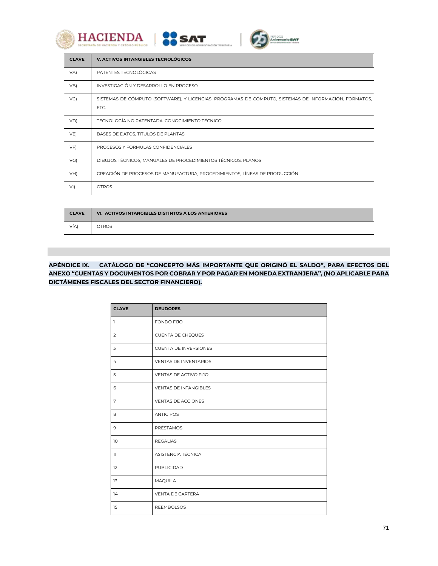





| <b>CLAVE</b> | V. ACTIVOS INTANGIBLES TECNOLÓGICOS                                                                           |
|--------------|---------------------------------------------------------------------------------------------------------------|
| VA)          | PATENTES TECNOLÓGICAS                                                                                         |
| VB           | INVESTIGACIÓN Y DESARROLLO EN PROCESO                                                                         |
| VC)          | SISTEMAS DE CÓMPUTO (SOFTWARE), Y LICENCIAS, PROGRAMAS DE CÓMPUTO, SISTEMAS DE INFORMACIÓN, FORMATOS,<br>ETC. |
| VD)          | TECNOLOGÍA NO PATENTADA, CONOCIMIENTO TÉCNICO.                                                                |
| $VE$ )       | BASES DE DATOS, TÍTULOS DE PLANTAS                                                                            |
| VF)          | PROCESOS Y FÓRMULAS CONFIDENCIALES                                                                            |
| VG)          | DIBUJOS TÉCNICOS, MANUALES DE PROCEDIMIENTOS TÉCNICOS, PLANOS                                                 |
| VH)          | CREACIÓN DE PROCESOS DE MANUFACTURA, PROCEDIMIENTOS, LÍNEAS DE PRODUCCIÓN                                     |
| VI)          | <b>OTROS</b>                                                                                                  |

| <b>CLAVE</b> | VI. ACTIVOS INTANGIBLES DISTINTOS A LOS ANTERIORES |
|--------------|----------------------------------------------------|
| VÍA)         | OTROS                                              |

# **APÉNDICE IX. CATÁLOGO DE "CONCEPTO MÁS IMPORTANTE QUE ORIGINÓ EL SALDO", PARA EFECTOS DEL ANEXO "CUENTAS Y DOCUMENTOS POR COBRAR Y POR PAGAR EN MONEDA EXTRANJERA", (NO APLICABLE PARA DICTÁMENES FISCALES DEL SECTOR FINANCIERO).**

| <b>CLAVE</b>   | <b>DEUDORES</b>              |
|----------------|------------------------------|
| $\mathbf{1}$   | FONDO FIJO                   |
| 2              | CUENTA DE CHEQUES            |
| 3              | <b>CUENTA DE INVERSIONES</b> |
| $\overline{4}$ | <b>VENTAS DE INVENTARIOS</b> |
| 5              | <b>VENTAS DE ACTIVO FIJO</b> |
| 6              | <b>VENTAS DE INTANGIBLES</b> |
| 7              | <b>VENTAS DE ACCIONES</b>    |
| 8              | <b>ANTICIPOS</b>             |
| 9              | PRÉSTAMOS                    |
| 10             | <b>REGALÍAS</b>              |
| $\mathbf{1}$   | ASISTENCIA TÉCNICA           |
| 12             | PUBLICIDAD                   |
| 13             | <b>MAQUILA</b>               |
| 14             | VENTA DE CARTERA             |
| 15             | <b>REEMBOLSOS</b>            |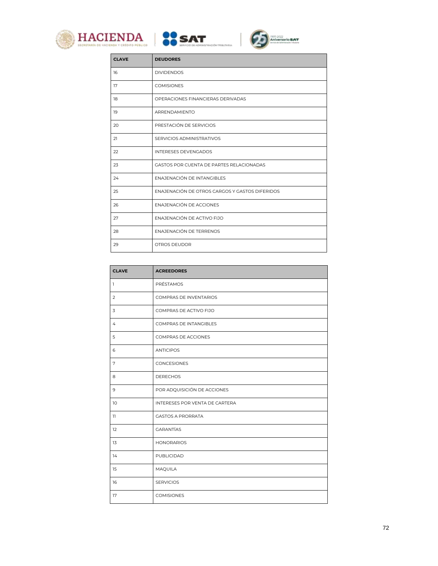





| <b>CLAVE</b> | <b>DEUDORES</b>                                 |
|--------------|-------------------------------------------------|
| 16           | <b>DIVIDENDOS</b>                               |
| 17           | <b>COMISIONES</b>                               |
| 18           | OPERACIONES FINANCIERAS DERIVADAS               |
| 19           | ARRENDAMIENTO                                   |
| 20           | PRESTACIÓN DE SERVICIOS                         |
| 21           | SERVICIOS ADMINISTRATIVOS                       |
| 22           | <b>INTERESES DEVENGADOS</b>                     |
| 23           | <b>GASTOS POR CUENTA DE PARTES RELACIONADAS</b> |
| 24           | <b>FNAJENACIÓN DE INTANGIBI ES</b>              |
| 25           | ENAJENACIÓN DE OTROS CARGOS Y GASTOS DIFERIDOS  |
| 26           | ENAJENACIÓN DE ACCIONES                         |
| 27           | ENAJENACIÓN DE ACTIVO FIJO                      |
| 28           | ENAJENACIÓN DE TERRENOS                         |
| 29           | <b>OTROS DEUDOR</b>                             |

| <b>CLAVE</b>   | <b>ACREEDORES</b>              |
|----------------|--------------------------------|
| $\mathbf{I}$   | PRÉSTAMOS                      |
| $\overline{2}$ | <b>COMPRAS DE INVENTARIOS</b>  |
| 3              | COMPRAS DE ACTIVO FIJO         |
| 4              | COMPRAS DE INTANGIBLES         |
| 5              | <b>COMPRAS DE ACCIONES</b>     |
| 6              | <b>ANTICIPOS</b>               |
| $\overline{7}$ | CONCESIONES                    |
| 8              | <b>DERECHOS</b>                |
| $\mathbf 9$    | POR ADQUISICIÓN DE ACCIONES    |
| 10             | INTERESES POR VENTA DE CARTERA |
| $\mathbb{I}$   | <b>GASTOS A PRORRATA</b>       |
| 12             | <b>GARANTÍAS</b>               |
| 13             | <b>HONORARIOS</b>              |
| 14             | PUBLICIDAD                     |
| 15             | MAQUILA                        |
| 16             | <b>SERVICIOS</b>               |
| 17             | <b>COMISIONES</b>              |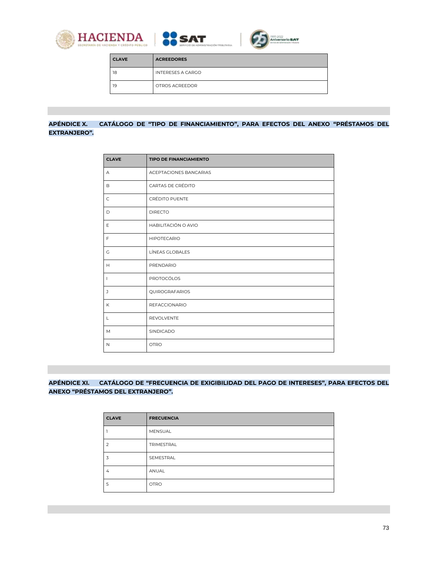





| <b>CLAVE</b> | <b>ACREEDORES</b>        |
|--------------|--------------------------|
| 18           | <b>INTERESES A CARGO</b> |
| 19           | OTROS ACREEDOR           |

## **APÉNDICE X. CATÁLOGO DE "TIPO DE FINANCIAMIENTO", PARA EFECTOS DEL ANEXO "PRÉSTAMOS DEL EXTRANJERO".**

| <b>CLAVE</b>   | <b>TIPO DE FINANCIAMIENTO</b> |
|----------------|-------------------------------|
| А              | ACEPTACIONES BANCARIAS        |
| B              | CARTAS DE CRÉDITO             |
| $\mathsf C$    | CRÉDITO PUENTE                |
| $\mathsf D$    | <b>DIRECTO</b>                |
| $\mathsf E$    | HABILITACIÓN O AVIO           |
| $\mathsf{F}$   | <b>HIPOTECARIO</b>            |
| G              | LÍNEAS GLOBALES               |
| H              | PRENDARIO                     |
| $\overline{1}$ | PROTOCÓLOS                    |
| $\mathsf{J}$   | QUIROGRAFARIOS                |
| K              | <b>REFACCIONARIO</b>          |
| $\mathsf L$    | REVOLVENTE                    |
| M              | SINDICADO                     |
| $\mathsf{N}$   | <b>OTRO</b>                   |

## **APÉNDICE XI. CATÁLOGO DE "FRECUENCIA DE EXIGIBILIDAD DEL PAGO DE INTERESES", PARA EFECTOS DEL ANEXO "PRÉSTAMOS DEL EXTRANJERO".**

| <b>CLAVE</b> | <b>FRECUENCIA</b> |
|--------------|-------------------|
|              | MENSUAL           |
|              | TRIMESTRAL        |
| 3            | SEMESTRAL         |
| 4            | ANUAL             |
| 5            | <b>OTRO</b>       |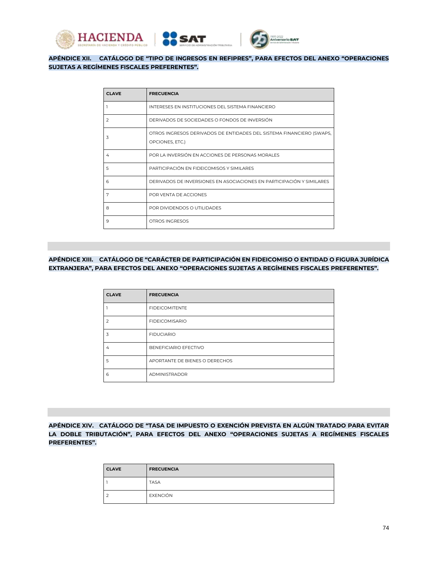



#### **APÉNDICE XII. CATÁLOGO DE "TIPO DE INGRESOS EN REFIPRES", PARA EFECTOS DEL ANEXO "OPERACIONES SUJETAS A REGÍMENES FISCALES PREFERENTES".**

**SAT** 

| <b>CLAVE</b>  | <b>FRECUENCIA</b>                                                                       |
|---------------|-----------------------------------------------------------------------------------------|
|               | INTERESES EN INSTITUCIONES DEL SISTEMA FINANCIERO                                       |
| $\mathcal{P}$ | DERIVADOS DE SOCIEDADES O FONDOS DE INVERSIÓN                                           |
| 3             | OTROS INGRESOS DERIVADOS DE ENTIDADES DEL SISTEMA FINANCIERO (SWAPS,<br>OPCIONES, ETC.) |
| 4             | POR LA INVERSIÓN EN ACCIONES DE PERSONAS MORALES                                        |
| 5             | PARTICIPACIÓN EN FIDEICOMISOS Y SIMILARES                                               |
| 6             | DERIVADOS DE INVERSIONES EN ASOCIACIONES EN PARTICIPACIÓN Y SIMILARES                   |
| 7             | POR VENTA DE ACCIONES                                                                   |
| 8             | POR DIVIDENDOS O UTILIDADES                                                             |
| 9             | OTROS INGRESOS                                                                          |

#### **APÉNDICE XIII. CATÁLOGO DE "CARÁCTER DE PARTICIPACIÓN EN FIDEICOMISO O ENTIDAD O FIGURA JURÍDICA EXTRANJERA", PARA EFECTOS DEL ANEXO "OPERACIONES SUJETAS A REGÍMENES FISCALES PREFERENTES".**

| <b>CLAVE</b>  | <b>FRECUENCIA</b>              |
|---------------|--------------------------------|
|               | <b>FIDEICOMITENTE</b>          |
| $\mathcal{P}$ | <b>FIDEICOMISARIO</b>          |
| 3             | <b>FIDUCIARIO</b>              |
| 4             | BENEFICIARIO EFECTIVO          |
| 5             | APORTANTE DE BIENES O DERECHOS |
| 6             | <b>ADMINISTRADOR</b>           |

**APÉNDICE XIV. CATÁLOGO DE "TASA DE IMPUESTO O EXENCIÓN PREVISTA EN ALGÚN TRATADO PARA EVITAR LA DOBLE TRIBUTACIÓN", PARA EFECTOS DEL ANEXO "OPERACIONES SUJETAS A REGÍMENES FISCALES PREFERENTES".**

| <b>CLAVE</b>             | <b>FRECUENCIA</b> |
|--------------------------|-------------------|
|                          | <b>TASA</b>       |
| $\overline{\phantom{a}}$ | EXENCIÓN          |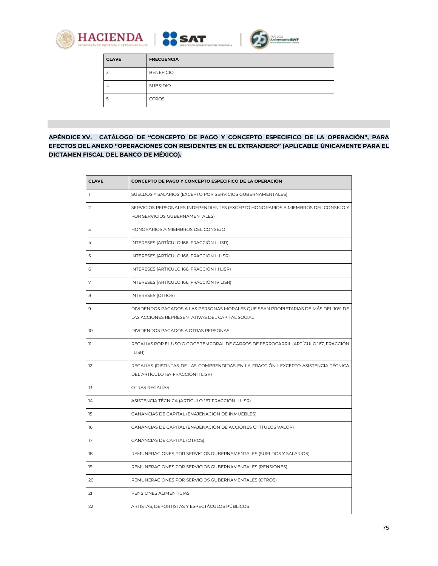





| <b>CLAVE</b> | <b>FRECUENCIA</b> |
|--------------|-------------------|
|              | <b>BENEFICIO</b>  |
| 4            | <b>SUBSIDIO</b>   |
| b.           | <b>OTROS</b>      |

**APÉNDICE XV. CATÁLOGO DE "CONCEPTO DE PAGO Y CONCEPTO ESPECIFICO DE LA OPERACIÓN", PARA EFECTOS DEL ANEXO "OPERACIONES CON RESIDENTES EN EL EXTRANJERO" (APLICABLE ÚNICAMENTE PARA EL DICTAMEN FISCAL DEL BANCO DE MÉXICO).**

| <b>CLAVE</b> | CONCEPTO DE PAGO Y CONCEPTO ESPECIFICO DE LA OPERACIÓN                                                                               |
|--------------|--------------------------------------------------------------------------------------------------------------------------------------|
| $\mathbf{1}$ | SUELDOS Y SALARIOS (EXCEPTO POR SERVICIOS GUBERNAMENTALES)                                                                           |
| 2            | SERVICIOS PERSONALES INDEPENDIENTES (EXCEPTO HONORARIOS A MIEMBROS DEL CONSEJO Y<br>POR SERVICIOS GUBERNAMENTALES)                   |
| 3            | HONORARIOS A MIEMBROS DEL CONSEJO                                                                                                    |
| 4            | INTERESES (ARTÍCULO 166. FRACCIÓN I LISR)                                                                                            |
| 5            | INTERESES (ARTÍCULO 166, FRACCIÓN II LISR)                                                                                           |
| 6            | INTERESES (ARTÍCULO 166, FRACCIÓN III LISR)                                                                                          |
| 7            | INTERESES (ARTÍCULO 166, FRACCIÓN IV LISR)                                                                                           |
| 8            | <b>INTERESES (OTROS)</b>                                                                                                             |
| 9            | DIVIDENDOS PAGADOS A LAS PERSONAS MORALES QUE SEAN PROPIETARIAS DE MÁS DEL 10% DE<br>LAS ACCIONES REPRESENTATIVAS DEL CAPITAL SOCIAL |
| 10           | DIVIDENDOS PAGADOS A OTRAS PERSONAS                                                                                                  |
| 11           | REGALÍAS POR EL USO O GOCE TEMPORAL DE CARROS DE FERROCARRIL (ARTÍCULO 167, FRACCIÓN<br>I LISR)                                      |
| 12           | REGALÍAS (DISTINTAS DE LAS COMPRENDIDAS EN LA FRACCIÓN I EXCEPTO ASISTENCIA TÉCNICA<br>DEL ARTÍCULO 167 FRACCIÓN II LISR)            |
| 13           | OTRAS REGALÍAS                                                                                                                       |
| 14           | ASISTENCIA TÉCNICA (ARTÍCULO 167 FRACCIÓN II LISR)                                                                                   |
| 15           | GANANCIAS DE CAPITAL (ENAJENACIÓN DE INMUEBLES)                                                                                      |
| 16           | GANANCIAS DE CAPITAL (ENAJENACIÓN DE ACCIONES O TÍTULOS VALOR)                                                                       |
| 17           | <b>GANANCIAS DE CAPITAL (OTROS)</b>                                                                                                  |
| 18           | REMUNERACIONES POR SERVICIOS GUBERNAMENTALES (SUELDOS Y SALARIOS)                                                                    |
| 19           | REMUNERACIONES POR SERVICIOS GUBERNAMENTALES (PENSIONES)                                                                             |
| 20           | REMUNERACIONES POR SERVICIOS GUBERNAMENTALES (OTROS)                                                                                 |
| 21           | PENSIONES ALIMENTICIAS                                                                                                               |
| 22           | ARTISTAS, DEPORTISTAS Y ESPECTÁCULOS PÚBLICOS                                                                                        |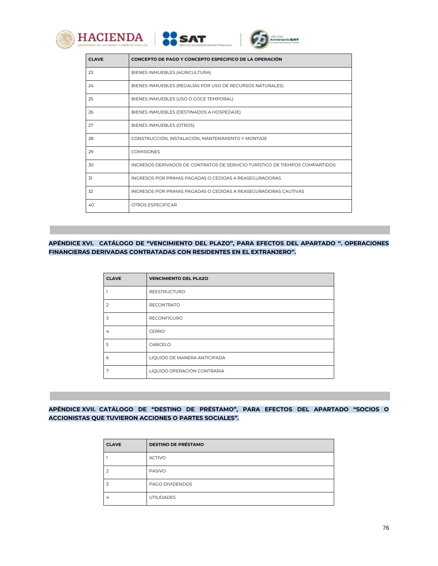





| <b>CLAVE</b> | CONCEPTO DE PAGO Y CONCEPTO ESPECIFICO DE LA OPERACIÓN                       |
|--------------|------------------------------------------------------------------------------|
| 23           | BIENES INMUEBLES (AGRICULTURA)                                               |
| 24           | BIENES INMUEBLES (REGALÍAS POR USO DE RECURSOS NATURALES)                    |
| 25           | BIENES INMUEBLES (USO O GOCE TEMPORAL)                                       |
| 26           | BIENES INMUEBLES (DESTINADOS A HOSPEDAJE)                                    |
| 27           | BIENES INMUEBLES (OTROS)                                                     |
| 28           | CONSTRUCCIÓN, INSTALACIÓN, MANTENIMIENTO Y MONTAJE                           |
| 29           | <b>COMISIONES</b>                                                            |
| 30           | INGRESOS DERIVADOS DE CONTRATOS DE SERVICIO TURÍSTICO DE TIEMPOS COMPARTIDOS |
| 31           | INGRESOS POR PRIMAS PAGADAS O CEDIDAS A REASEGURADORAS                       |
| 32           | INGRESOS POR PRIMAS PAGADAS O CEDIDAS A REASEGURADORAS CAUTIVAS              |
| 40           | OTROS ESPECIFICAR                                                            |
|              |                                                                              |

**APÉNDICE XVI. CATÁLOGO DE "VENCIMIENTO DEL PLAZO", PARA EFECTOS DEL APARTADO ". OPERACIONES FINANCIERAS DERIVADAS CONTRATADAS CON RESIDENTES EN EL EXTRANJERO".** 

| <b>CLAVE</b> | <b>VENCIMIENTO DEL PLAZO</b> |
|--------------|------------------------------|
|              | <b>REESTRUCTURO</b>          |
| 2            | <b>RECONTRATO</b>            |
| 3            | <b>RECONFIGURO</b>           |
| 4            | CERRO                        |
| 5            | CANCELO                      |
| 6            | LIQUIDO DE MANERA ANTICIPADA |
| 7            | LIQUIDO OPERACIÓN CONTRARIA  |

# **APÉNDICE XVII. CATÁLOGO DE "DESTINO DE PRÉSTAMO", PARA EFECTOS DEL APARTADO "SOCIOS O ACCIONISTAS QUE TUVIERON ACCIONES O PARTES SOCIALES".**

| <b>CLAVE</b>   | <b>DESTINO DE PRÉSTAMO</b> |
|----------------|----------------------------|
|                | <b>ACTIVO</b>              |
|                | <b>PASIVO</b>              |
|                | PAGO DIVIDENDOS            |
| $\overline{4}$ | <b>UTILIDADES</b>          |